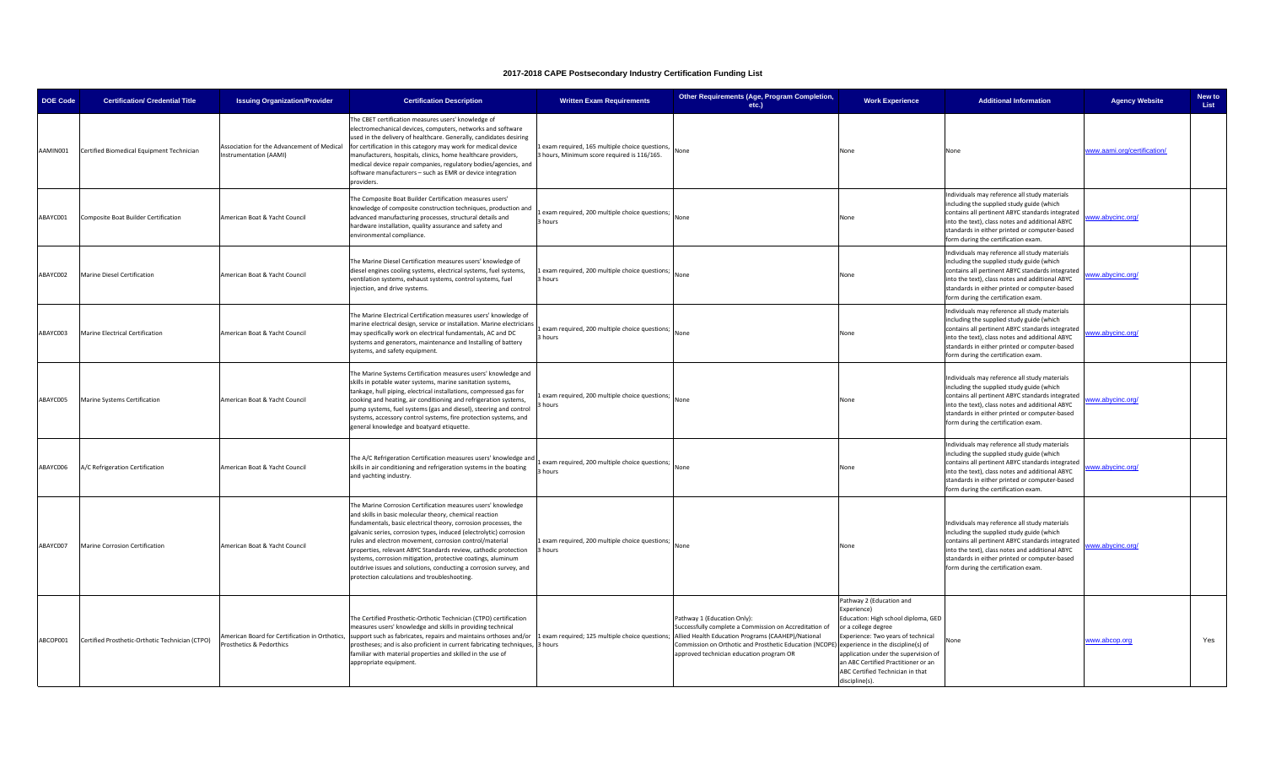| <b>DOE Code</b> | <b>Certification/ Credential Title</b>          | <b>Issuing Organization/Provider</b>                                       | <b>Certification Description</b>                                                                                                                                                                                                                                                                                                                                                                                                                                                                                                                                                   | <b>Written Exam Requirements</b>                                                           | Other Requirements (Age, Program Completion,<br>etc.)                                                                                                                                                                                                                                                                               | <b>Work Experience</b>                                                                                                                                                                                                                                                           | <b>Additional Information</b>                                                                                                                                                                                                                                                             | <b>Agency Website</b>       | New to<br>List |
|-----------------|-------------------------------------------------|----------------------------------------------------------------------------|------------------------------------------------------------------------------------------------------------------------------------------------------------------------------------------------------------------------------------------------------------------------------------------------------------------------------------------------------------------------------------------------------------------------------------------------------------------------------------------------------------------------------------------------------------------------------------|--------------------------------------------------------------------------------------------|-------------------------------------------------------------------------------------------------------------------------------------------------------------------------------------------------------------------------------------------------------------------------------------------------------------------------------------|----------------------------------------------------------------------------------------------------------------------------------------------------------------------------------------------------------------------------------------------------------------------------------|-------------------------------------------------------------------------------------------------------------------------------------------------------------------------------------------------------------------------------------------------------------------------------------------|-----------------------------|----------------|
| AAMIN001        | Certified Biomedical Equipment Technician       | Association for the Advancement of Medical<br>nstrumentation (AAMI)        | he CBET certification measures users' knowledge of<br>electromechanical devices, computers, networks and software<br>used in the delivery of healthcare. Generally, candidates desiring<br>for certification in this category may work for medical device<br>manufacturers, hospitals, clinics, home healthcare providers,<br>medical device repair companies, regulatory bodies/agencies, and<br>software manufacturers - such as EMR or device integration<br>providers.                                                                                                         | exam required, 165 multiple choice questions,<br>hours, Minimum score required is 116/165. | None                                                                                                                                                                                                                                                                                                                                | None                                                                                                                                                                                                                                                                             | None                                                                                                                                                                                                                                                                                      | vww.aami.org/certification/ |                |
| ABAYC001        | Composite Boat Builder Certification            | American Boat & Yacht Council                                              | The Composite Boat Builder Certification measures users'<br>mowledge of composite construction techniques, production and<br>advanced manufacturing processes, structural details and<br>hardware installation, quality assurance and safety and<br>environmental compliance.                                                                                                                                                                                                                                                                                                      | exam required, 200 multiple choice questions;<br>hours                                     | None                                                                                                                                                                                                                                                                                                                                | None                                                                                                                                                                                                                                                                             | Individuals may reference all study materials<br>including the supplied study guide (which<br>contains all pertinent ABYC standards integrated<br>into the text), class notes and additional ABYC<br>standards in either printed or computer-based<br>form during the certification exam. | www.abycinc.org/            |                |
| ABAYC002        | Marine Diesel Certification                     | American Boat & Yacht Council                                              | The Marine Diesel Certification measures users' knowledge of<br>diesel engines cooling systems, electrical systems, fuel systems,<br>ventilation systems, exhaust systems, control systems, fuel<br>njection, and drive systems.                                                                                                                                                                                                                                                                                                                                                   | exam required, 200 multiple choice questions;<br>hours                                     | None                                                                                                                                                                                                                                                                                                                                | None                                                                                                                                                                                                                                                                             | Individuals may reference all study materials<br>including the supplied study guide (which<br>contains all pertinent ABYC standards integrated<br>into the text), class notes and additional ABYC<br>standards in either printed or computer-based<br>form during the certification exam. | /ww.abycinc.org/            |                |
| ABAYC003        | Marine Electrical Certification                 | American Boat & Yacht Council                                              | The Marine Electrical Certification measures users' knowledge of<br>marine electrical design, service or installation. Marine electricians<br>may specifically work on electrical fundamentals, AC and DC<br>systems and generators, maintenance and Installing of battery<br>systems, and safety equipment.                                                                                                                                                                                                                                                                       | exam required, 200 multiple choice questions;<br>hours                                     | None                                                                                                                                                                                                                                                                                                                                | None                                                                                                                                                                                                                                                                             | Individuals may reference all study materials<br>including the supplied study guide (which<br>contains all pertinent ABYC standards integrated<br>into the text), class notes and additional ABYC<br>standards in either printed or computer-based<br>form during the certification exam. | ww.abycinc.org/             |                |
| ABAYC005        | Marine Systems Certification                    | American Boat & Yacht Council                                              | The Marine Systems Certification measures users' knowledge and<br>skills in potable water systems, marine sanitation systems,<br>ankage, hull piping, electrical installations, compressed gas for<br>cooking and heating, air conditioning and refrigeration systems,<br>bump systems, fuel systems (gas and diesel), steering and control<br>systems, accessory control systems, fire protection systems, and<br>general knowledge and boatyard etiquette.                                                                                                                       | exam required, 200 multiple choice questions;<br>hours                                     | None                                                                                                                                                                                                                                                                                                                                | None                                                                                                                                                                                                                                                                             | Individuals may reference all study materials<br>including the supplied study guide (which<br>contains all pertinent ABYC standards integrated<br>into the text), class notes and additional ABYC<br>standards in either printed or computer-based<br>form during the certification exam. | www.abycinc.org/            |                |
| ABAYC006        | A/C Refrigeration Certification                 | American Boat & Yacht Council                                              | The A/C Refrigeration Certification measures users' knowledge and<br>skills in air conditioning and refrigeration systems in the boating<br>and yachting industry.                                                                                                                                                                                                                                                                                                                                                                                                                 | exam required, 200 multiple choice questions;<br>hours                                     | None                                                                                                                                                                                                                                                                                                                                | None                                                                                                                                                                                                                                                                             | Individuals may reference all study materials<br>including the supplied study guide (which<br>contains all pertinent ABYC standards integrated<br>into the text), class notes and additional ABYC<br>standards in either printed or computer-based<br>form during the certification exam. | ww.abycinc.org/             |                |
| ABAYC007        | Marine Corrosion Certification                  | American Boat & Yacht Council                                              | The Marine Corrosion Certification measures users' knowledge<br>and skills in basic molecular theory, chemical reaction<br>undamentals, basic electrical theory, corrosion processes, the<br>galvanic series, corrosion types, induced (electrolytic) corrosion<br>rules and electron movement, corrosion control/material<br>properties, relevant ABYC Standards review, cathodic protection<br>systems, corrosion mitigation, protective coatings, aluminum<br>butdrive issues and solutions, conducting a corrosion survey, and<br>protection calculations and troubleshooting. | exam required, 200 multiple choice questions;<br>hours                                     | None                                                                                                                                                                                                                                                                                                                                | None                                                                                                                                                                                                                                                                             | Individuals may reference all study materials<br>including the supplied study guide (which<br>contains all pertinent ABYC standards integrated<br>into the text), class notes and additional ABYC<br>standards in either printed or computer-based<br>form during the certification exam. | ww.abycinc.org/             |                |
| ABCOP001        | Certified Prosthetic-Orthotic Technician (CTPO) | American Board for Certification in Orthotics,<br>Prosthetics & Pedorthics | The Certified Prosthetic-Orthotic Technician (CTPO) certification<br>measures users' knowledge and skills in providing technical<br>support such as fabricates, repairs and maintains orthoses and/or<br>prostheses; and is also proficient in current fabricating techniques,<br>familiar with material properties and skilled in the use of<br>appropriate equipment.                                                                                                                                                                                                            | 3 hours                                                                                    | Pathway 1 (Education Only):<br>Successfully complete a Commission on Accreditation of<br>exam required; 125 multiple choice questions; Allied Health Education Programs (CAAHEP)/National<br>Commission on Orthotic and Prosthetic Education (NCOPE) experience in the discipline(s) of<br>approved technician education program OR | Pathway 2 (Education and<br>Experience)<br>Education: High school diploma, GED<br>or a college degree<br>Experience: Two years of technical<br>application under the supervision of<br>an ABC Certified Practitioner or an<br>ABC Certified Technician in that<br>discipline(s). | None                                                                                                                                                                                                                                                                                      | www.abcop.org               | Yes            |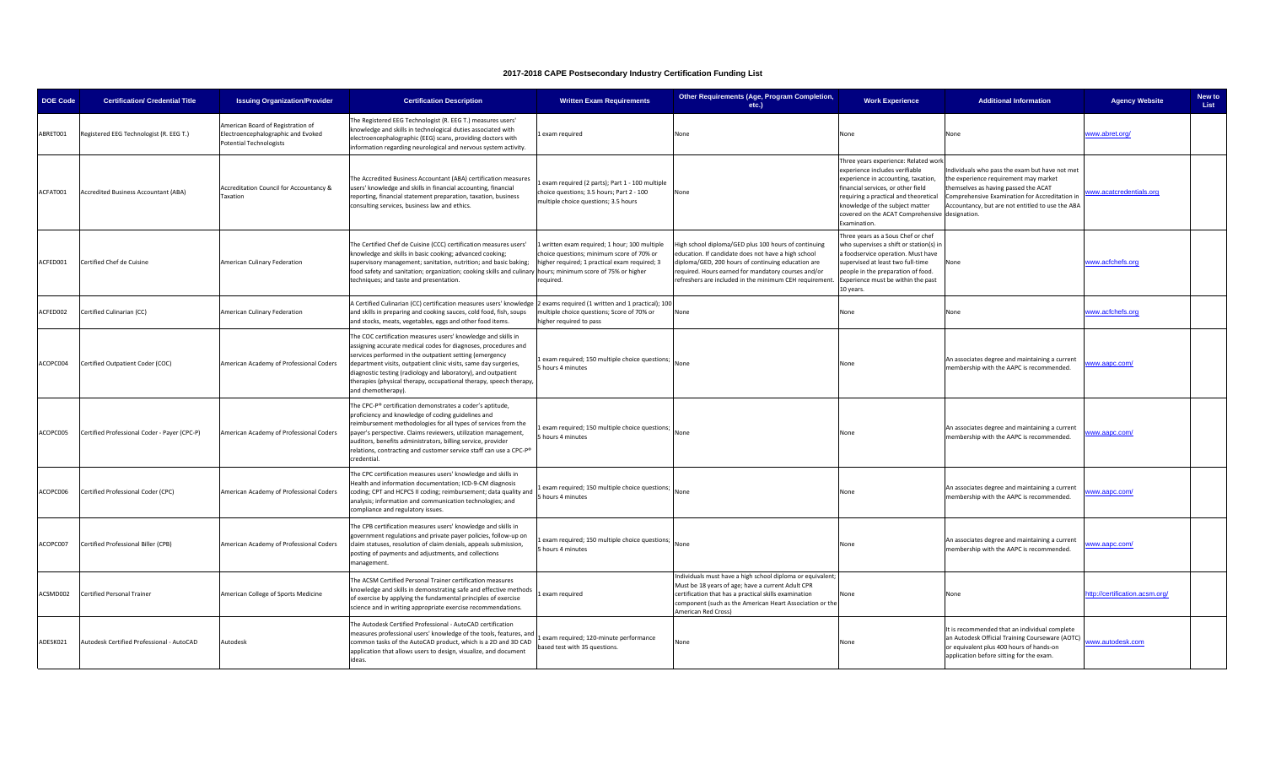| <b>DOE Code</b> | <b>Certification/ Credential Title</b>       | <b>Issuing Organization/Provider</b>                                                                      | <b>Certification Description</b>                                                                                                                                                                                                                                                                                                                                                                                           | <b>Written Exam Requirements</b>                                                                                                                      | Other Requirements (Age, Program Completion,<br>etc.)                                                                                                                                                                                                                               | <b>Work Experience</b>                                                                                                                                                                                                                                                                            | <b>Additional Information</b>                                                                                                                                                                                                        | <b>Agency Website</b>          | New to<br>List |
|-----------------|----------------------------------------------|-----------------------------------------------------------------------------------------------------------|----------------------------------------------------------------------------------------------------------------------------------------------------------------------------------------------------------------------------------------------------------------------------------------------------------------------------------------------------------------------------------------------------------------------------|-------------------------------------------------------------------------------------------------------------------------------------------------------|-------------------------------------------------------------------------------------------------------------------------------------------------------------------------------------------------------------------------------------------------------------------------------------|---------------------------------------------------------------------------------------------------------------------------------------------------------------------------------------------------------------------------------------------------------------------------------------------------|--------------------------------------------------------------------------------------------------------------------------------------------------------------------------------------------------------------------------------------|--------------------------------|----------------|
| ABRET001        | Registered EEG Technologist (R. EEG T.)      | American Board of Registration of<br>Electroencephalographic and Evoked<br><b>Potential Technologists</b> | The Registered EEG Technologist (R. EEG T.) measures users'<br>mowledge and skills in technological duties associated with<br>electroencephalographic (EEG) scans, providing doctors with<br>nformation regarding neurological and nervous system activity.                                                                                                                                                                | exam required                                                                                                                                         | None                                                                                                                                                                                                                                                                                | None                                                                                                                                                                                                                                                                                              | None                                                                                                                                                                                                                                 | www.abret.org/                 |                |
| ACFAT001        | <b>Accredited Business Accountant (ABA)</b>  | Accreditation Council for Accountancy &<br>Taxation                                                       | The Accredited Business Accountant (ABA) certification measures<br>users' knowledge and skills in financial accounting, financial<br>reporting, financial statement preparation, taxation, business<br>consulting services, business law and ethics.                                                                                                                                                                       | exam required (2 parts); Part 1 - 100 multiple<br>hoice questions; 3.5 hours; Part 2 - 100<br>multiple choice questions; 3.5 hours                    | None                                                                                                                                                                                                                                                                                | Three years experience: Related work<br>experience includes verifiable<br>experience in accounting, taxation,<br>financial services, or other field<br>requiring a practical and theoretical<br>knowledge of the subject matter<br>covered on the ACAT Comprehensive designation.<br>Examination. | Individuals who pass the exam but have not met<br>the experience requirement may market<br>hemselves as having passed the ACAT<br>Comprehensive Examination for Accreditation in<br>Accountancy, but are not entitled to use the ABA | www.acatcredentials.org        |                |
| ACFED001        | Certified Chef de Cuisine                    | American Culinary Federation                                                                              | The Certified Chef de Cuisine (CCC) certification measures users'<br>cnowledge and skills in basic cooking; advanced cooking;<br>supervisory management; sanitation, nutrition; and basic baking;<br>food safety and sanitation; organization; cooking skills and culinary hours; minimum score of 75% or higher<br>techniques; and taste and presentation.                                                                | written exam required; 1 hour; 100 multiple<br>hoice questions; minimum score of 70% or<br>higher required; 1 practical exam required; 3<br>required. | High school diploma/GED plus 100 hours of continuing<br>education. If candidate does not have a high school<br>diploma/GED, 200 hours of continuing education are<br>required. Hours earned for mandatory courses and/or<br>refreshers are included in the minimum CEH requirement. | Three years as a Sous Chef or chef<br>who supervises a shift or station(s) ir<br>a foodservice operation. Must have<br>supervised at least two full-time<br>people in the preparation of food.<br>Experience must be within the past<br>LO years.                                                 | None                                                                                                                                                                                                                                 | www.acfchefs.org               |                |
| ACFED002        | Certified Culinarian (CC)                    | American Culinary Federation                                                                              | A Certified Culinarian (CC) certification measures users' knowledge 2 exams required (1 written and 1 practical); 100<br>and skills in preparing and cooking sauces, cold food, fish, soups<br>and stocks, meats, vegetables, eggs and other food items.                                                                                                                                                                   | nultiple choice questions; Score of 70% or<br>higher required to pass                                                                                 | None                                                                                                                                                                                                                                                                                | None                                                                                                                                                                                                                                                                                              | None                                                                                                                                                                                                                                 | www.acfchefs.org               |                |
| ACOPC004        | Certified Outpatient Coder (COC)             | American Academy of Professional Coders                                                                   | The COC certification measures users' knowledge and skills in<br>assigning accurate medical codes for diagnoses, procedures and<br>services performed in the outpatient setting (emergency<br>department visits, outpatient clinic visits, same day surgeries,<br>diagnostic testing (radiology and laboratory), and outpatient<br>herapies (physical therapy, occupational therapy, speech therapy,<br>and chemotherapy). | exam required; 150 multiple choice questions;<br>hours 4 minutes                                                                                      | None                                                                                                                                                                                                                                                                                | None                                                                                                                                                                                                                                                                                              | An associates degree and maintaining a current<br>membership with the AAPC is recommended.                                                                                                                                           | vww.aapc.com/                  |                |
| ACOPC005        | Certified Professional Coder - Payer (CPC-P) | American Academy of Professional Coders                                                                   | The CPC-P® certification demonstrates a coder's aptitude,<br>proficiency and knowledge of coding guidelines and<br>reimbursement methodologies for all types of services from the<br>payer's perspective. Claims reviewers, utilization management,<br>auditors, benefits administrators, billing service, provider<br>relations, contracting and customer service staff can use a CPC-P <sup>®</sup><br>redential.        | exam required; 150 multiple choice questions; None<br>hours 4 minutes                                                                                 |                                                                                                                                                                                                                                                                                     | None                                                                                                                                                                                                                                                                                              | An associates degree and maintaining a current<br>membership with the AAPC is recommended.                                                                                                                                           | vww.aapc.com/                  |                |
| ACOPC006        | Certified Professional Coder (CPC)           | American Academy of Professional Coders                                                                   | The CPC certification measures users' knowledge and skills in<br>Health and information documentation; ICD-9-CM diagnosis<br>coding; CPT and HCPCS II coding; reimbursement; data quality and<br>analysis; information and communication technologies; and<br>ompliance and regulatory issues.                                                                                                                             | exam required; 150 multiple choice questions;<br>5 hours 4 minutes                                                                                    | None                                                                                                                                                                                                                                                                                | None                                                                                                                                                                                                                                                                                              | An associates degree and maintaining a current<br>membership with the AAPC is recommended.                                                                                                                                           | ww.aapc.com/                   |                |
| ACOPC007        | Certified Professional Biller (CPB)          | American Academy of Professional Coders                                                                   | The CPB certification measures users' knowledge and skills in<br>government regulations and private payer policies, follow-up on<br>claim statuses, resolution of claim denials, appeals submission,<br>posting of payments and adjustments, and collections<br>management.                                                                                                                                                | exam required; 150 multiple choice questions;<br>hours 4 minutes                                                                                      | None                                                                                                                                                                                                                                                                                | None                                                                                                                                                                                                                                                                                              | An associates degree and maintaining a current<br>membership with the AAPC is recommended.                                                                                                                                           | ww.aapc.com/                   |                |
| ACSMD002        | Certified Personal Trainer                   | American College of Sports Medicine                                                                       | The ACSM Certified Personal Trainer certification measures<br>knowledge and skills in demonstrating safe and effective methods<br>of exercise by applying the fundamental principles of exercise<br>science and in writing appropriate exercise recommendations.                                                                                                                                                           | exam required                                                                                                                                         | Individuals must have a high school diploma or equivalent<br>Must be 18 years of age; have a current Adult CPR<br>certification that has a practical skills examination<br>component (such as the American Heart Association or the<br>American Red Cross)                          | None                                                                                                                                                                                                                                                                                              | None                                                                                                                                                                                                                                 | http://certification.acsm.org/ |                |
| ADESK021        | Autodesk Certified Professional - AutoCAD    | Autodesk                                                                                                  | The Autodesk Certified Professional - AutoCAD certification<br>measures professional users' knowledge of the tools, features, and<br>common tasks of the AutoCAD product, which is a 2D and 3D CAD<br>application that allows users to design, visualize, and document<br>ideas.                                                                                                                                           | exam required; 120-minute performance<br>ased test with 35 questions.                                                                                 | None                                                                                                                                                                                                                                                                                | None                                                                                                                                                                                                                                                                                              | It is recommended that an individual complete<br>an Autodesk Official Training Courseware (AOTC)<br>or equivalent plus 400 hours of hands-on<br>application before sitting for the exam.                                             | www.autodesk.com               |                |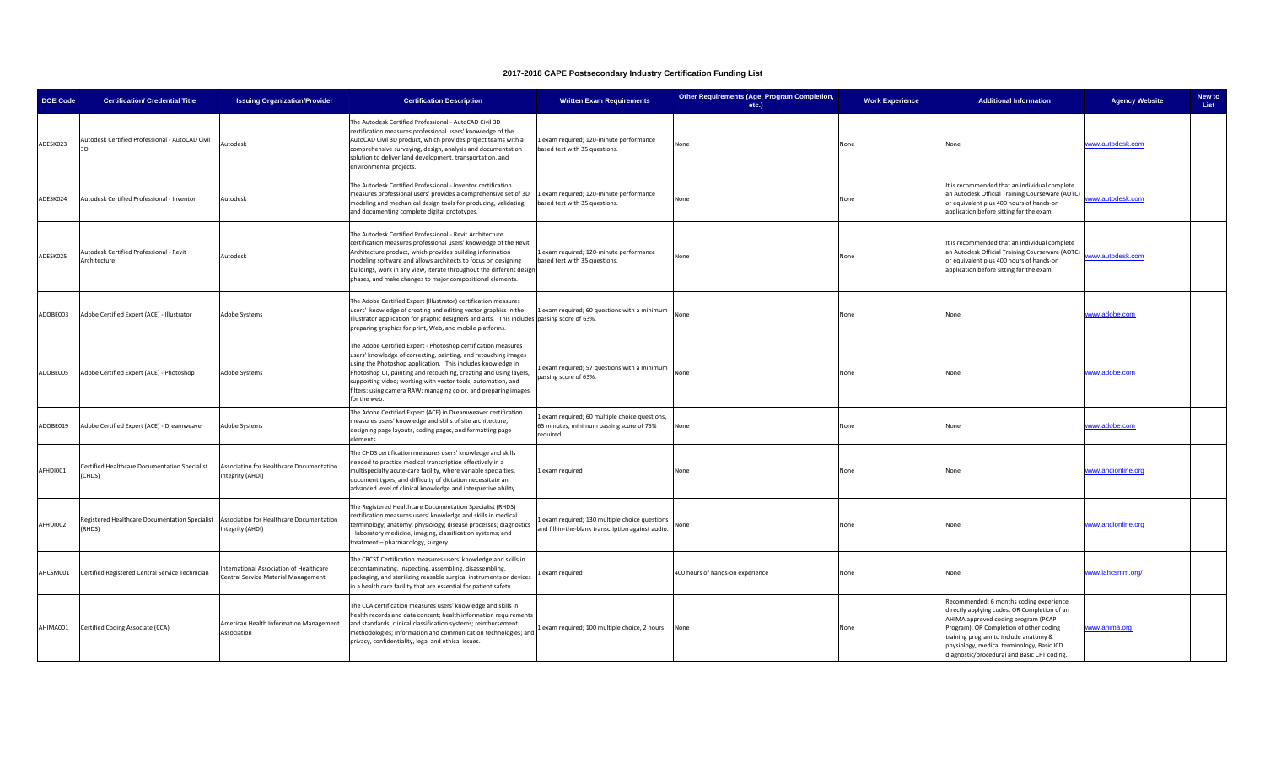| <b>DOE Code</b> | <b>Certification/ Credential Title</b>                   | <b>Issuing Organization/Provider</b>                                          | <b>Certification Description</b>                                                                                                                                                                                                                                                                                                                                                                                      | <b>Written Exam Requirements</b>                                                                      | Other Requirements (Age, Program Completion,<br>etc.) | <b>Work Experience</b> | <b>Additional Information</b>                                                                                                                                                                                                                                                                                   | <b>Agency Website</b> | New to<br>List |
|-----------------|----------------------------------------------------------|-------------------------------------------------------------------------------|-----------------------------------------------------------------------------------------------------------------------------------------------------------------------------------------------------------------------------------------------------------------------------------------------------------------------------------------------------------------------------------------------------------------------|-------------------------------------------------------------------------------------------------------|-------------------------------------------------------|------------------------|-----------------------------------------------------------------------------------------------------------------------------------------------------------------------------------------------------------------------------------------------------------------------------------------------------------------|-----------------------|----------------|
| ADESK023        | utodesk Certified Professional - AutoCAD Civil           | Autodesk                                                                      | The Autodesk Certified Professional - AutoCAD Civil 3D<br>certification measures professional users' knowledge of the<br>AutoCAD Civil 3D product, which provides project teams with a<br>omprehensive surveying, design, analysis and documentation<br>solution to deliver land development, transportation, and<br>environmental projects.                                                                          | 1 exam required; 120-minute performance<br>based test with 35 questions.                              | None                                                  | None                   | None                                                                                                                                                                                                                                                                                                            | www.autodesk.com      |                |
| ADESK024        | Autodesk Certified Professional - Inventor               | Autodesk                                                                      | The Autodesk Certified Professional - Inventor certification<br>measures professional users' provides a comprehensive set of 3D<br>modeling and mechanical design tools for producing, validating,<br>and documenting complete digital prototypes.                                                                                                                                                                    | exam required; 120-minute performance<br>ased test with 35 questions.                                 | None                                                  | None                   | It is recommended that an individual complete<br>an Autodesk Official Training Courseware (AOTC)<br>or equivalent plus 400 hours of hands-on<br>application before sitting for the exam.                                                                                                                        | www.autodesk.com      |                |
| ADESK025        | Autodesk Certified Professional - Revit<br>Architecture  | Autodesk                                                                      | The Autodesk Certified Professional - Revit Architecture<br>certification measures professional users' knowledge of the Revit<br>Architecture product, which provides building information<br>modeling software and allows architects to focus on designing<br>buildings, work in any view, iterate throughout the different design<br>phases, and make changes to major compositional elements.                      | 1 exam required; 120-minute performance<br>based test with 35 questions.                              | None                                                  | None                   | It is recommended that an individual complete<br>an Autodesk Official Training Courseware (AOTC)<br>or equivalent plus 400 hours of hands-on<br>application before sitting for the exam.                                                                                                                        | www.autodesk.com      |                |
| ADOBE003        | Adobe Certified Expert (ACE) - Illustrator               | Adobe Systems                                                                 | The Adobe Certified Expert (Illustrator) certification measures<br>users' knowledge of creating and editing vector graphics in the<br>Illustrator application for graphic designers and arts. This includes passing score of 63%.<br>preparing graphics for print, Web, and mobile platforms.                                                                                                                         | exam required; 60 questions with a minimum                                                            | None                                                  | None                   | None                                                                                                                                                                                                                                                                                                            | www.adobe.com         |                |
| ADOBE005        | Adobe Certified Expert (ACE) - Photoshop                 | Adobe Systems                                                                 | The Adobe Certified Expert - Photoshop certification measures<br>users' knowledge of correcting, painting, and retouching images<br>using the Photoshop application. This includes knowledge in<br>Photoshop UI, painting and retouching, creating and using layers<br>supporting video; working with vector tools, automation, and<br>ilters; using camera RAW; managing color, and preparing images<br>for the web. | exam required; 57 questions with a minimum<br>passing score of 63%.                                   | None                                                  | None                   | None                                                                                                                                                                                                                                                                                                            | www.adobe.com         |                |
| ADOBE019        | Adobe Certified Expert (ACE) - Dreamweaver               | Adobe Systems                                                                 | The Adobe Certified Expert (ACE) in Dreamweaver certification<br>neasures users' knowledge and skills of site architecture,<br>designing page layouts, coding pages, and formatting page<br>lements.                                                                                                                                                                                                                  | exam required; 60 multiple choice questions,<br>65 minutes, minimum passing score of 75%<br>required. | None                                                  | None                   | None                                                                                                                                                                                                                                                                                                            | www.adobe.com         |                |
| AFHDI001        | Certified Healthcare Documentation Specialist<br>CHDS)   | Association for Healthcare Documentation<br>ntegrity (AHDI)                   | The CHDS certification measures users' knowledge and skills<br>needed to practice medical transcription effectively in a<br>multispecialty acute-care facility, where variable specialties,<br>document types, and difficulty of dictation necessitate an<br>advanced level of clinical knowledge and interpretive ability.                                                                                           | exam required                                                                                         | None                                                  | None                   | None                                                                                                                                                                                                                                                                                                            | www.ahdionline.org    |                |
| AFHDI002        | Registered Healthcare Documentation Specialist<br>(RHDS) | Association for Healthcare Documentation<br>ntegrity (AHDI)                   | The Registered Healthcare Documentation Specialist (RHDS)<br>certification measures users' knowledge and skills in medical<br>erminology; anatomy; physiology; disease processes; diagnostics<br>laboratory medicine, imaging, classification systems; and<br>reatment - pharmacology, surgery.                                                                                                                       | exam required; 130 multiple choice questions<br>and fill-in-the-blank transcription against audio.    | None                                                  | None                   | None                                                                                                                                                                                                                                                                                                            | www.ahdionline.org    |                |
| AHCSM001        | Certified Registered Central Service Technician          | nternational Association of Healthcare<br>Central Service Material Management | The CRCST Certification measures users' knowledge and skills in<br>decontaminating, inspecting, assembling, disassembling,<br>packaging, and sterilizing reusable surgical instruments or devices<br>n a health care facility that are essential for patient safety.                                                                                                                                                  | exam required                                                                                         | 400 hours of hands-on experience                      | None                   | None                                                                                                                                                                                                                                                                                                            | www.iahcsmm.org/      |                |
| AHIMA001        | Certified Coding Associate (CCA)                         | American Health Information Management<br><b>Association</b>                  | The CCA certification measures users' knowledge and skills in<br>health records and data content; health information requirements<br>and standards; clinical classification systems; reimbursement<br>methodologies; information and communication technologies; and<br>privacy, confidentiality, legal and ethical issues.                                                                                           | exam required; 100 multiple choice, 2 hours                                                           | None                                                  | None                   | Recommended: 6 months coding experience<br>directly applying codes; OR Completion of an<br>AHIMA approved coding program (PCAP<br>Program); OR Completion of other coding<br>training program to include anatomy &<br>physiology, medical terminology, Basic ICD<br>diagnostic/procedural and Basic CPT coding. | www.ahima.org         |                |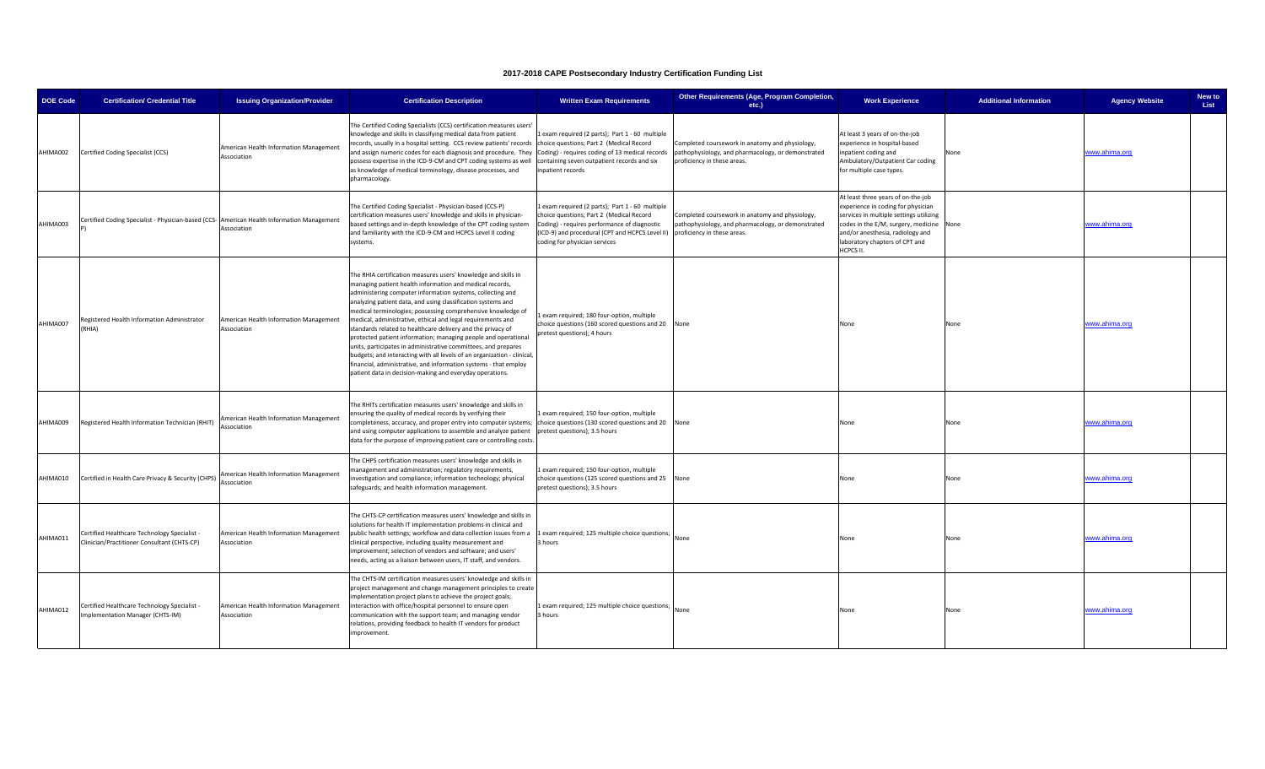| <b>DOE Code</b> | <b>Certification/ Credential Title</b>                                                      | <b>Issuing Organization/Provider</b>                  | <b>Certification Description</b>                                                                                                                                                                                                                                                                                                                                                                                                                                                                                                                                                                                                                                                                                                                                                                     | <b>Written Exam Requirements</b>                                                                                                                                                                                                                           | Other Requirements (Age, Program Completion,<br>etc.)                                                                                | <b>Work Experience</b>                                                                                                                                                                                                                        | <b>Additional Information</b> | <b>Agency Website</b> | New to<br>List |
|-----------------|---------------------------------------------------------------------------------------------|-------------------------------------------------------|------------------------------------------------------------------------------------------------------------------------------------------------------------------------------------------------------------------------------------------------------------------------------------------------------------------------------------------------------------------------------------------------------------------------------------------------------------------------------------------------------------------------------------------------------------------------------------------------------------------------------------------------------------------------------------------------------------------------------------------------------------------------------------------------------|------------------------------------------------------------------------------------------------------------------------------------------------------------------------------------------------------------------------------------------------------------|--------------------------------------------------------------------------------------------------------------------------------------|-----------------------------------------------------------------------------------------------------------------------------------------------------------------------------------------------------------------------------------------------|-------------------------------|-----------------------|----------------|
| AHIMA002        | Certified Coding Specialist (CCS)                                                           | American Health Information Management<br>Association | The Certified Coding Specialists (CCS) certification measures users'<br>knowledge and skills in classifying medical data from patient<br>ecords, usually in a hospital setting. CCS review patients' records choice questions; Part 2 (Medical Record<br>and assign numeric codes for each diagnosis and procedure. They Coding) - requires coding of 13 medical records<br>possess expertise in the ICD-9-CM and CPT coding systems as well containing seven outpatient records and six<br>as knowledge of medical terminology, disease processes, and<br>pharmacology.                                                                                                                                                                                                                             | 1 exam required (2 parts); Part 1 - 60 multiple<br>npatient records                                                                                                                                                                                        | Completed coursework in anatomy and physiology,<br>pathophysiology, and pharmacology, or demonstrated<br>proficiency in these areas. | At least 3 years of on-the-job<br>experience in hospital-based<br>inpatient coding and<br>Ambulatory/Outpatient Car coding<br>for multiple case types.                                                                                        | None                          | www.ahima.org         |                |
| AHIMA003        | Certified Coding Specialist - Physician-based (CCS- American Health Information Management  | Association                                           | The Certified Coding Specialist - Physician-based (CCS-P)<br>certification measures users' knowledge and skills in physician-<br>based settings and in-depth knowledge of the CPT coding system<br>and familiarity with the ICD-9-CM and HCPCS Level II coding<br>systems.                                                                                                                                                                                                                                                                                                                                                                                                                                                                                                                           | Lexam required (2 parts); Part 1 - 60 multiple<br>choice questions; Part 2 (Medical Record<br>Coding) - requires performance of diagnostic<br>(ICD-9) and procedural (CPT and HCPCS Level II) proficiency in these areas.<br>coding for physician services | Completed coursework in anatomy and physiology,<br>pathophysiology, and pharmacology, or demonstrated                                | At least three years of on-the-job<br>experience in coding for physician<br>services in multiple settings utilizing<br>codes in the E/M, surgery, medicine<br>and/or anesthesia, radiology and<br>laboratory chapters of CPT and<br>HCPCS II. | None                          | www.ahima.org         |                |
| AHIMA007        | Registered Health Information Administrator<br>(RHIA)                                       | American Health Information Management<br>Association | The RHIA certification measures users' knowledge and skills in<br>managing patient health information and medical records,<br>administering computer information systems, collecting and<br>analyzing patient data, and using classification systems and<br>medical terminologies; possessing comprehensive knowledge of<br>medical, administrative, ethical and legal requirements and<br>standards related to healthcare delivery and the privacy of<br>protected patient information; managing people and operational<br>units, participates in administrative committees, and prepares<br>budgets; and interacting with all levels of an organization - clinical,<br>inancial, administrative, and information systems - that employ<br>patient data in decision-making and everyday operations. | exam required; 180 four-option, multiple<br>choice questions (160 scored questions and 20 None<br>pretest questions); 4 hours                                                                                                                              |                                                                                                                                      | None                                                                                                                                                                                                                                          | None                          | www.ahima.org         |                |
| AHIMA009        | Registered Health Information Technician (RHIT)                                             | American Health Information Management<br>Association | The RHITs certification measures users' knowledge and skills in<br>ensuring the quality of medical records by verifying their<br>completeness, accuracy, and proper entry into computer systems; choice questions (130 scored questions and 20 None<br>and using computer applications to assemble and analyze patient<br>data for the purpose of improving patient care or controlling costs.                                                                                                                                                                                                                                                                                                                                                                                                       | 1 exam required; 150 four-option, multiple<br>pretest questions); 3.5 hours                                                                                                                                                                                |                                                                                                                                      | None                                                                                                                                                                                                                                          | None                          | www.ahima.org         |                |
| AHIMA010        | Certified in Health Care Privacy & Security (CHPS)                                          | American Health Information Management<br>Association | The CHPS certification measures users' knowledge and skills in<br>management and administration; regulatory requirements,<br>nvestigation and compliance; information technology; physical<br>safeguards; and health information management.                                                                                                                                                                                                                                                                                                                                                                                                                                                                                                                                                         | Lexam required; 150 four-option, multiple<br>choice questions (125 scored questions and 25 None<br>pretest questions); 3.5 hours                                                                                                                           |                                                                                                                                      | None                                                                                                                                                                                                                                          | None                          | www.ahima.org         |                |
| AHIMA011        | Certified Healthcare Technology Specialist -<br>Clinician/Practitioner Consultant (CHTS-CP) | American Health Information Management<br>Association | The CHTS-CP certification measures users' knowledge and skills in<br>solutions for health IT implementation problems in clinical and<br>public health settings; workflow and data collection issues from a<br>clinical perspective, including quality measurement and<br>improvement; selection of vendors and software; and users'<br>needs, acting as a liaison between users, IT staff, and vendors.                                                                                                                                                                                                                                                                                                                                                                                              | 1 exam required; 125 multiple choice questions;<br>3 hours                                                                                                                                                                                                 | None                                                                                                                                 | None                                                                                                                                                                                                                                          | None                          | www.ahima.org         |                |
| AHIMA012        | Certified Healthcare Technology Specialist -<br>Implementation Manager (CHTS-IM)            | American Health Information Management<br>Association | The CHTS-IM certification measures users' knowledge and skills in<br>project management and change management principles to create<br>implementation project plans to achieve the project goals;<br>interaction with office/hospital personnel to ensure open<br>communication with the support team; and managing vendor<br>elations, providing feedback to health IT vendors for product<br>mprovement.                                                                                                                                                                                                                                                                                                                                                                                            | 1 exam required; 125 multiple choice questions;<br>3 hours                                                                                                                                                                                                 | None                                                                                                                                 | None                                                                                                                                                                                                                                          | None                          | www.ahima.org         |                |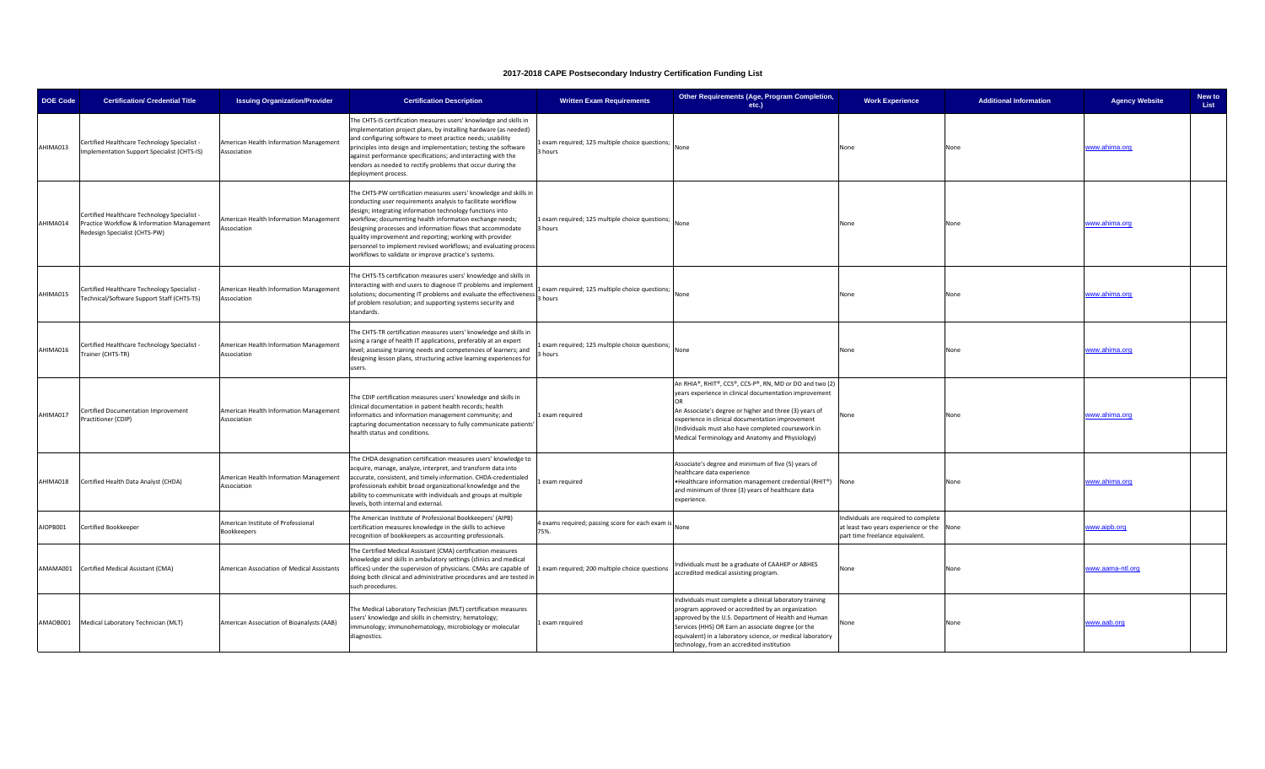| <b>DOE Code</b> | <b>Certification/ Credential Title</b>                                                                                      | <b>Issuing Organization/Provider</b>                  | <b>Certification Description</b>                                                                                                                                                                                                                                                                                                                                                                                                                                                                                 | <b>Written Exam Requirements</b>                            | Other Requirements (Age, Program Completion,<br>etc.)                                                                                                                                                                                                                                                                                     | <b>Work Experience</b>                                                                                               | <b>Additional Information</b> | <b>Agency Website</b> | New to<br>List |
|-----------------|-----------------------------------------------------------------------------------------------------------------------------|-------------------------------------------------------|------------------------------------------------------------------------------------------------------------------------------------------------------------------------------------------------------------------------------------------------------------------------------------------------------------------------------------------------------------------------------------------------------------------------------------------------------------------------------------------------------------------|-------------------------------------------------------------|-------------------------------------------------------------------------------------------------------------------------------------------------------------------------------------------------------------------------------------------------------------------------------------------------------------------------------------------|----------------------------------------------------------------------------------------------------------------------|-------------------------------|-----------------------|----------------|
| AHIMA013        | Certified Healthcare Technology Specialist -<br>Implementation Support Specialist (CHTS-IS)                                 | American Health Information Management<br>Association | The CHTS-IS certification measures users' knowledge and skills in<br>implementation project plans, by installing hardware (as needed)<br>and configuring software to meet practice needs; usability<br>principles into design and implementation; testing the software<br>against performance specifications; and interacting with the<br>vendors as needed to rectify problems that occur during the<br>deployment process.                                                                                     | exam required; 125 multiple choice questions;<br>hours      | None                                                                                                                                                                                                                                                                                                                                      | None                                                                                                                 | None                          | www.ahima.org         |                |
| AHIMA014        | Certified Healthcare Technology Specialist -<br>Practice Workflow & Information Management<br>Redesign Specialist (CHTS-PW) | American Health Information Management<br>Association | The CHTS-PW certification measures users' knowledge and skills in<br>conducting user requirements analysis to facilitate workflow<br>design; integrating information technology functions into<br>workflow; documenting health information exchange needs;<br>designing processes and information flows that accommodate<br>quality improvement and reporting; working with provider<br>personnel to implement revised workflows; and evaluating process<br>workflows to validate or improve practice's systems. | Lexam required; 125 multiple choice questions;<br>3 hours   | None                                                                                                                                                                                                                                                                                                                                      | None                                                                                                                 | None                          | www.ahima.org         |                |
| AHIMA015        | Certified Healthcare Technology Specialist<br>echnical/Software Support Staff (CHTS-TS)                                     | American Health Information Management<br>Association | The CHTS-TS certification measures users' knowledge and skills in<br>interacting with end users to diagnose IT problems and implement<br>solutions; documenting IT problems and evaluate the effectiveness<br>of problem resolution; and supporting systems security and<br>standards.                                                                                                                                                                                                                           | exam required; 125 multiple choice questions; None<br>hours |                                                                                                                                                                                                                                                                                                                                           | None                                                                                                                 | None                          | www.ahima.org         |                |
| AHIMA016        | Certified Healthcare Technology Specialist -<br>rainer (CHTS-TR)                                                            | American Health Information Management<br>Association | The CHTS-TR certification measures users' knowledge and skills in<br>using a range of health IT applications, preferably at an expert<br>level; assessing training needs and competencies of learners; and<br>designing lesson plans, structuring active learning experiences for<br>users.                                                                                                                                                                                                                      | exam required; 125 multiple choice questions; None<br>hours |                                                                                                                                                                                                                                                                                                                                           | None                                                                                                                 | None                          | www.ahima.org         |                |
| AHIMA017        | Certified Documentation Improvement<br>Practitioner (CDIP)                                                                  | American Health Information Management<br>Association | The CDIP certification measures users' knowledge and skills in<br>clinical documentation in patient health records; health<br>informatics and information management community; and<br>capturing documentation necessary to fully communicate patients'<br>health status and conditions.                                                                                                                                                                                                                         | exam required                                               | An RHIA®, RHIT®, CCS®, CCS-P®, RN, MD or DO and two (2)<br>years experience in clinical documentation improvement<br>An Associate's degree or higher and three (3) years of<br>experience in clinical documentation improvement<br>(Individuals must also have completed coursework in<br>Medical Terminology and Anatomy and Physiology) | None                                                                                                                 | None                          | <u>www.ahima.org</u>  |                |
| AHIMA018        | Certified Health Data Analyst (CHDA)                                                                                        | American Health Information Management<br>Association | The CHDA designation certification measures users' knowledge to<br>acquire, manage, analyze, interpret, and transform data into<br>accurate, consistent, and timely information. CHDA-credentialed<br>professionals exhibit broad organizational knowledge and the<br>ability to communicate with individuals and groups at multiple<br>levels, both internal and external.                                                                                                                                      | exam required                                               | Associate's degree and minimum of five (5) years of<br>healthcare data experience<br>.Healthcare information management credential (RHIT®) None<br>and minimum of three (3) years of healthcare data<br>experience.                                                                                                                       |                                                                                                                      | None                          | www.ahima.org         |                |
| AIOPB001        | Certified Bookkeeper                                                                                                        | American Institute of Professional<br>Bookkeepers     | The American Institute of Professional Bookkeepers' (AIPB)<br>certification measures knowledge in the skills to achieve<br>recognition of bookkeepers as accounting professionals.                                                                                                                                                                                                                                                                                                                               | I exams required; passing score for each exam is<br>75%.    |                                                                                                                                                                                                                                                                                                                                           | Individuals are required to complete<br>at least two years experience or the None<br>part time freelance equivalent. |                               | www.aipb.org          |                |
|                 | AMAMA001 Certified Medical Assistant (CMA)                                                                                  | American Association of Medical Assistants            | The Certified Medical Assistant (CMA) certification measures<br>knowledge and skills in ambulatory settings (clinics and medical<br>offices) under the supervision of physicians. CMAs are capable of<br>doing both clinical and administrative procedures and are tested in<br>such procedures.                                                                                                                                                                                                                 | exam required; 200 multiple choice questions                | Individuals must be a graduate of CAAHEP or ABHES<br>accredited medical assisting program.                                                                                                                                                                                                                                                | None                                                                                                                 | None                          | www.aama-ntl.org      |                |
| AMAOB001        | Medical Laboratory Technician (MLT)                                                                                         | American Association of Bioanalysts (AAB)             | The Medical Laboratory Technician (MLT) certification measures<br>users' knowledge and skills in chemistry; hematology;<br>immunology; immunohematology, microbiology or molecular<br>diagnostics.                                                                                                                                                                                                                                                                                                               | exam required                                               | Individuals must complete a clinical laboratory training<br>program approved or accredited by an organization<br>approved by the U.S. Department of Health and Human<br>Services (HHS) OR Earn an associate degree (or the<br>equivalent) in a laboratory science, or medical laboratory<br>technology, from an accredited institution    | None                                                                                                                 | None                          | www.aab.org           |                |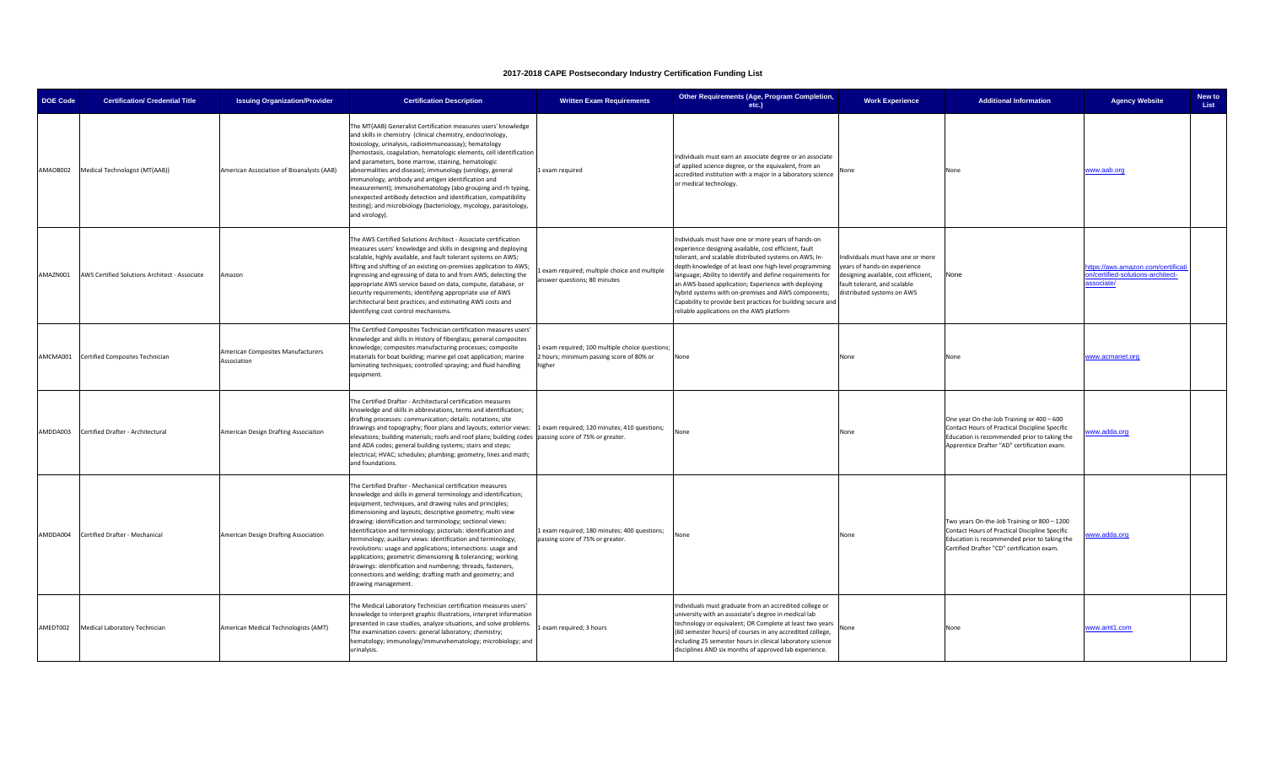| <b>DOE Code</b> | <b>Certification/ Credential Title</b>        | <b>Issuing Organization/Provider</b>             | <b>Certification Description</b>                                                                                                                                                                                                                                                                                                                                                                                                                                                                                                                                                                                                                                                                                                        | <b>Written Exam Requirements</b>                                                                     | Other Requirements (Age, Program Completion,<br>etc.)                                                                                                                                                                                                                                                                                                                                                                                                                                                                   | <b>Work Experience</b>                                                                                                                                                  | <b>Additional Information</b>                                                                                                                                                               | <b>Agency Website</b>                                                               | New to<br>List |
|-----------------|-----------------------------------------------|--------------------------------------------------|-----------------------------------------------------------------------------------------------------------------------------------------------------------------------------------------------------------------------------------------------------------------------------------------------------------------------------------------------------------------------------------------------------------------------------------------------------------------------------------------------------------------------------------------------------------------------------------------------------------------------------------------------------------------------------------------------------------------------------------------|------------------------------------------------------------------------------------------------------|-------------------------------------------------------------------------------------------------------------------------------------------------------------------------------------------------------------------------------------------------------------------------------------------------------------------------------------------------------------------------------------------------------------------------------------------------------------------------------------------------------------------------|-------------------------------------------------------------------------------------------------------------------------------------------------------------------------|---------------------------------------------------------------------------------------------------------------------------------------------------------------------------------------------|-------------------------------------------------------------------------------------|----------------|
| AMAOB002        | Medical Technologist (MT(AAB))                | American Association of Bioanalysts (AAB)        | The MT(AAB) Generalist Certification measures users' knowledge<br>and skills in chemistry (clinical chemistry, endocrinology,<br>toxicology, urinalysis, radioimmunoassay); hematology<br>hemostasis, coagulation, hematologic elements, cell identification<br>and parameters, bone marrow, staining, hematologic<br>abnormalities and disease); immunology (serology, general<br>mmunology, antibody and antigen identification and<br>measurement); immunohematology (abo grouping and rh typing,<br>unexpected antibody detection and identification, compatibility<br>esting); and microbiology (bacteriology, mycology, parasitology,<br>and virology).                                                                           | 1 exam required                                                                                      | Individuals must earn an associate degree or an associate<br>of applied science degree, or the equivalent, from an<br>accredited institution with a major in a laboratory science<br>or medical technology.                                                                                                                                                                                                                                                                                                             | None                                                                                                                                                                    | None                                                                                                                                                                                        | www.aab.org                                                                         |                |
| AMAZN001        | AWS Certified Solutions Architect - Associate | Amazon                                           | The AWS Certified Solutions Architect - Associate certification<br>measures users' knowledge and skills in designing and deploying<br>scalable, highly available, and fault tolerant systems on AWS;<br>lifting and shifting of an existing on-premises application to AWS;<br>ngressing and egressing of data to and from AWS; delecting the<br>appropriate AWS service based on data, compute, database, or<br>security requirements; identifying appropriate use of AWS<br>architectural best practices; and estimating AWS costs and<br>identifying cost control mechanisms.                                                                                                                                                        | exam required; multiple choice and multiple<br>answer questions; 80 minutes                          | Individuals must have one or more years of hands-on<br>experience designing available, cost efficient, fault<br>tolerant, and scalable distributed systems on AWS; In-<br>depth knowledge of at least one high-level programming<br>inguage; Ability to identify and define requirements for<br>an AWS-based application; Experience with deploying<br>hybrid systems with on-premises and AWS components;<br>Capability to provide best practices for building secure and<br>reliable applications on the AWS platform | Individuals must have one or more<br>years of hands-on experience<br>designing available, cost efficient,<br>fault tolerant, and scalable<br>distributed systems on AWS | None                                                                                                                                                                                        | ttps://aws.amazon.com/certificati<br>on/certified-solutions-architect-<br>ssociate/ |                |
| AMCMA001        | Certified Composites Technician               | American Composites Manufacturers<br>Association | The Certified Composites Technician certification measures users'<br>knowledge and skills in History of fiberglass; general composites<br>knowledge; composites manufacturing processes; composite<br>materials for boat building; marine gel coat application; marine<br>laminating techniques; controlled spraying; and fluid handling<br>equipment.                                                                                                                                                                                                                                                                                                                                                                                  | Lexam required; 100 multiple choice questions;<br>2 hours; minimum passing score of 80% or<br>higher | None                                                                                                                                                                                                                                                                                                                                                                                                                                                                                                                    | None                                                                                                                                                                    | None                                                                                                                                                                                        | www.acmanet.org                                                                     |                |
| AMDDA003        | Certified Drafter - Architectural             | American Design Drafting Association             | The Certified Drafter - Architectural certification measures<br>mowledge and skills in abbreviations, terms and identification;<br>drafting processes: communication; details: notations; site<br>drawings and topography; floor plans and layouts; exterior views: 1 exam required; 120 minutes; 410 questions;<br>elevations; building materials; roofs and roof plans; building codes passing score of 75% or greater.<br>and ADA codes; general building systems; stairs and steps;<br>electrical; HVAC; schedules; plumbing; geometry, lines and math;<br>and foundations.                                                                                                                                                         |                                                                                                      | None                                                                                                                                                                                                                                                                                                                                                                                                                                                                                                                    | None                                                                                                                                                                    | One year On-the-Job Training or 400 - 600<br>Contact Hours of Practical Discipline Specific<br>Education is recommended prior to taking the<br>Apprentice Drafter "AD" certification exam.  | ww.adda.org                                                                         |                |
| AMDDA004        | Certified Drafter - Mechanical                | American Design Drafting Association             | The Certified Drafter - Mechanical certification measures<br>cnowledge and skills in general terminology and identification;<br>equipment, techniques, and drawing rules and principles;<br>dimensioning and layouts; descriptive geometry; multi view<br>drawing: identification and terminology; sectional views:<br>identification and terminology; pictorials: identification and<br>erminology; auxiliary views: identification and terminology;<br>revolutions: usage and applications; intersections: usage and<br>applications; geometric dimensioning & tolerancing; working<br>drawings: identification and numbering; threads, fasteners,<br>connections and welding; drafting math and geometry; and<br>drawing management. | 1 exam required; 180 minutes; 400 questions;<br>passing score of 75% or greater.                     | None                                                                                                                                                                                                                                                                                                                                                                                                                                                                                                                    | None                                                                                                                                                                    | Two years On-the-Job Training or 800 - 1200<br>Contact Hours of Practical Discipline Specific<br>Education is recommended prior to taking the<br>Certified Drafter "CD" certification exam. | ww.adda.org                                                                         |                |
| AMEDT002        | Medical Laboratory Technician                 | American Medical Technologists (AMT)             | The Medical Laboratory Technician certification measures users'<br>knowledge to interpret graphic illustrations, interpret information<br>presented in case studies, analyze situations, and solve problems.<br>he examination covers: general laboratory; chemistry;<br>hematology; immunology/immunohematology; microbiology; and<br>urinalysis.                                                                                                                                                                                                                                                                                                                                                                                      | Lexam required; 3 hours                                                                              | Individuals must graduate from an accredited college or<br>university with an associate's degree in medical lab<br>technology or equivalent; OR Complete at least two years<br>(60 semester hours) of courses in any accredited college,<br>including 25 semester hours in clinical laboratory science<br>disciplines AND six months of approved lab experience.                                                                                                                                                        | None                                                                                                                                                                    | None                                                                                                                                                                                        | www.amt1.com                                                                        |                |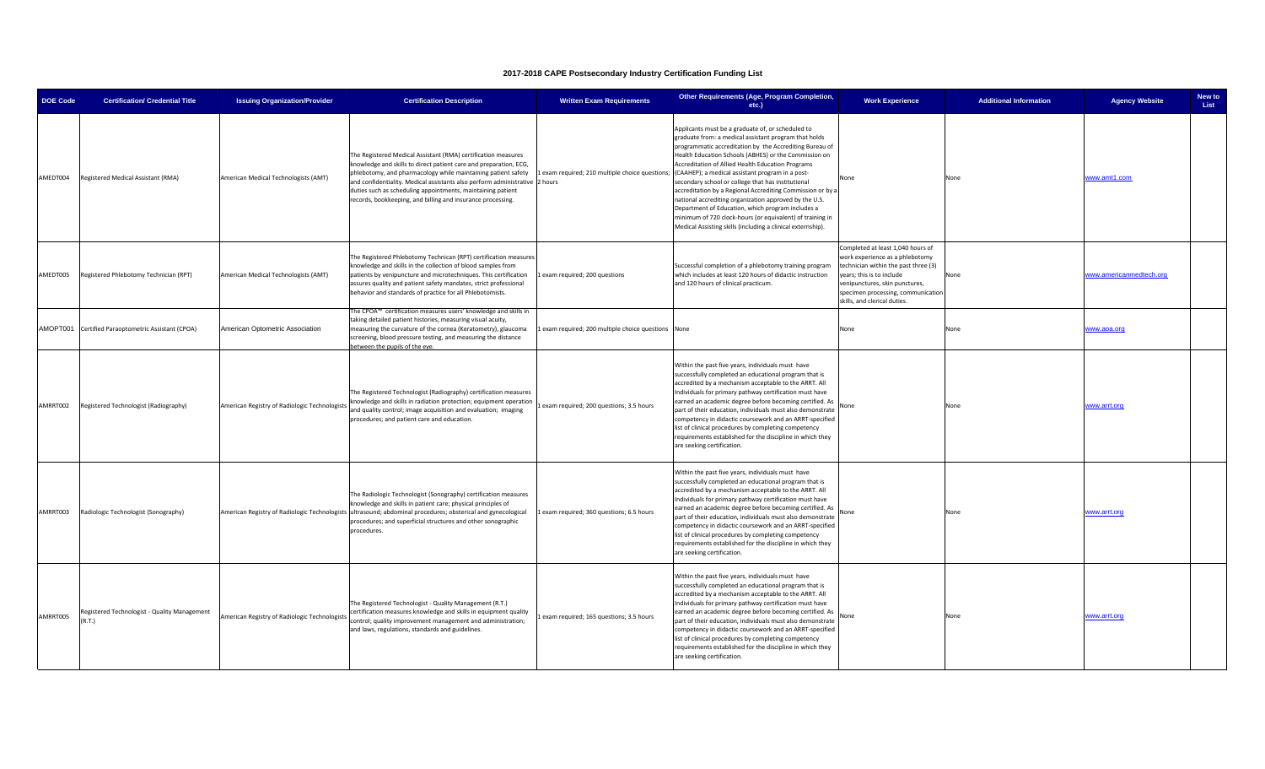| <b>DOE Code</b> | <b>Certification/ Credential Title</b>                 | <b>Issuing Organization/Provider</b>          | <b>Certification Description</b>                                                                                                                                                                                                                                                                                                                                                                                | <b>Written Exam Requirements</b>                  | Other Requirements (Age, Program Completion,<br>etc.)                                                                                                                                                                                                                                                                                                                                                                                                                                                                                                                                                                                                                                                                                                | <b>Work Experience</b>                                                                                                                                                                                                                            | <b>Additional Information</b> | <b>Agency Website</b>   | New to<br>List |
|-----------------|--------------------------------------------------------|-----------------------------------------------|-----------------------------------------------------------------------------------------------------------------------------------------------------------------------------------------------------------------------------------------------------------------------------------------------------------------------------------------------------------------------------------------------------------------|---------------------------------------------------|------------------------------------------------------------------------------------------------------------------------------------------------------------------------------------------------------------------------------------------------------------------------------------------------------------------------------------------------------------------------------------------------------------------------------------------------------------------------------------------------------------------------------------------------------------------------------------------------------------------------------------------------------------------------------------------------------------------------------------------------------|---------------------------------------------------------------------------------------------------------------------------------------------------------------------------------------------------------------------------------------------------|-------------------------------|-------------------------|----------------|
| AMEDT004        | Registered Medical Assistant (RMA)                     | American Medical Technologists (AMT)          | The Registered Medical Assistant (RMA) certification measures<br>mowledge and skills to direct patient care and preparation, ECG,<br>ohlebotomy, and pharmacology while maintaining patient safety<br>and confidentiality. Medical assistants also perform administrative 2 hours<br>duties such as scheduling appointments, maintaining patient<br>records, bookkeeping, and billing and insurance processing. |                                                   | Applicants must be a graduate of, or scheduled to<br>graduate from: a medical assistant program that holds<br>programmatic accreditation by the Accrediting Bureau of<br>Health Education Schools (ABHES) or the Commission on<br>Accreditation of Allied Health Education Programs<br>exam required; 210 multiple choice questions; (CAAHEP); a medical assistant program in a post-<br>secondary school or college that has institutional<br>accreditation by a Regional Accrediting Commission or by a<br>national accrediting organization approved by the U.S.<br>Department of Education, which program includes a<br>minimum of 720 clock-hours (or equivalent) of training in<br>Medical Assisting skills (including a clinical externship). | None                                                                                                                                                                                                                                              | None                          | www.amt1.com            |                |
| AMEDT005        | Registered Phlebotomy Technician (RPT)                 | American Medical Technologists (AMT)          | The Registered Phlebotomy Technican (RPT) certification measures<br>mowledge and skills in the collection of blood samples from<br>patients by venipuncture and microtechniques. This certification<br>assures quality and patient safety mandates, strict professional<br>behavior and standards of practice for all Phlebotomists.<br>The CPOA™ certification measures users' knowledge and skills in         | 1 exam required; 200 questions                    | Successful completion of a phlebotomy training program<br>which includes at least 120 hours of didactic instruction<br>and 120 hours of clinical practicum.                                                                                                                                                                                                                                                                                                                                                                                                                                                                                                                                                                                          | Completed at least 1,040 hours of<br>work experience as a phlebotomy<br>technician within the past three (3)<br>years; this is to include<br>venipunctures, skin punctures,<br>specimen processing, communication<br>skills, and clerical duties. | None                          | www.americanmedtech.org |                |
|                 | AMOPT001 Certified Paraoptometric Assistant (CPOA)     | American Optometric Association               | aking detailed patient histories, measuring visual acuity,<br>measuring the curvature of the cornea (Keratometry), glaucoma<br>screening, blood pressure testing, and measuring the distance<br>etween the pupils of the eve                                                                                                                                                                                    | exam required; 200 multiple choice questions None |                                                                                                                                                                                                                                                                                                                                                                                                                                                                                                                                                                                                                                                                                                                                                      | None                                                                                                                                                                                                                                              | None                          | www.aoa.org             |                |
| AMRRT002        | Registered Technologist (Radiography)                  | American Registry of Radiologic Technologists | The Registered Technologist (Radiography) certification measures<br>knowledge and skills in radiation protection; equipment operation<br>and quality control; image acquisition and evaluation; imaging<br>procedures; and patient care and education.                                                                                                                                                          | exam required; 200 questions; 3.5 hours           | Within the past five years, individuals must have<br>successfully completed an educational program that is<br>accredited by a mechanism acceptable to the ARRT. All<br>Individuals for primary pathway certification must have<br>earned an academic degree before becoming certified. As<br>part of their education, individuals must also demonstrate<br>competency in didactic coursework and an ARRT-specified<br>list of clinical procedures by completing competency<br>requirements established for the discipline in which they<br>are seeking certification.                                                                                                                                                                                | None                                                                                                                                                                                                                                              | None                          | www.arrt.org            |                |
| AMRRT003        | Radiologic Technologist (Sonography)                   |                                               | The Radiologic Technologist (Sonography) certification measures<br>knowledge and skills in patient care; physical principles of<br>American Registry of Radiologic Technologists ultrasound; abdominal procedures; obsterical and gynecological<br>procedures; and superficial structures and other sonographic<br>procedures.                                                                                  | Lexam required; 360 questions; 6.5 hours          | Within the past five years, individuals must have<br>successfully completed an educational program that is<br>accredited by a mechanism acceptable to the ARRT. All<br>Individuals for primary pathway certification must have<br>earned an academic degree before becoming certified. As<br>part of their education, individuals must also demonstrate<br>competency in didactic coursework and an ARRT-specified<br>list of clinical procedures by completing competency<br>requirements established for the discipline in which they<br>are seeking certification.                                                                                                                                                                                | None                                                                                                                                                                                                                                              | None                          | www.arrt.org            |                |
| AMRRT005        | Registered Technologist - Quality Management<br>(R.T.) | American Registry of Radiologic Technologists | The Registered Technologist - Quality Management (R.T.)<br>certification measures knowledge and skills in equipment quality<br>ontrol; quality improvement management and administration;<br>and laws, regulations, standards and guidelines.                                                                                                                                                                   | exam required; 165 questions; 3.5 hours           | Within the past five years, individuals must have<br>successfully completed an educational program that is<br>accredited by a mechanism acceptable to the ARRT. All<br>Individuals for primary pathway certification must have<br>earned an academic degree before becoming certified. As<br>part of their education, individuals must also demonstrate<br>competency in didactic coursework and an ARRT-specified<br>list of clinical procedures by completing competency<br>requirements established for the discipline in which they<br>are seeking certification.                                                                                                                                                                                | None                                                                                                                                                                                                                                              | None                          | www.arrt.org            |                |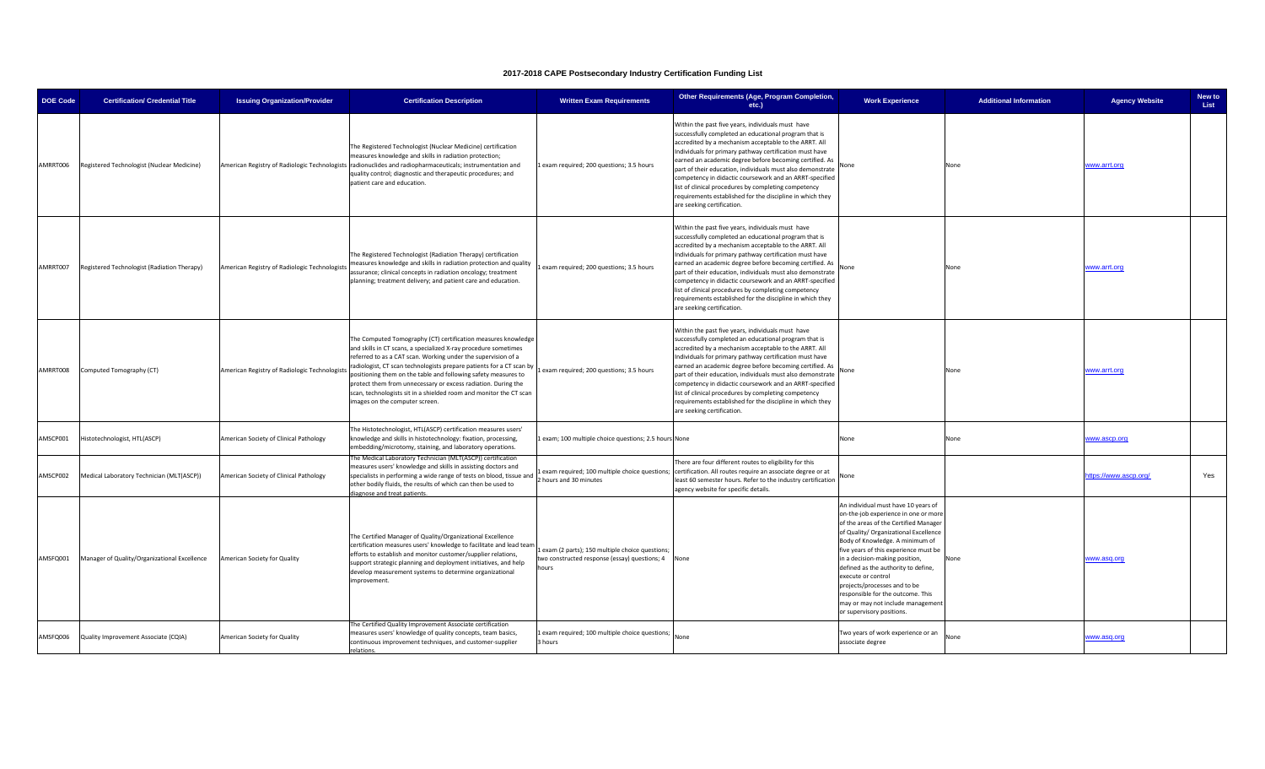| <b>DOE Code</b> | <b>Certification/ Credential Title</b>       | <b>Issuing Organization/Provider</b>          | <b>Certification Description</b>                                                                                                                                                                                                                                                                                                                                                                                                                                                                                    | <b>Written Exam Requirements</b>                                                                              | Other Requirements (Age, Program Completion,<br>etc.)                                                                                                                                                                                                                                                                                                                                                                                                                                                                                                                 | <b>Work Experience</b>                                                                                                                                                                                                                                                                                                                                                                                                                                                          | <b>Additional Information</b> | <b>Agency Website</b> | New to<br>List |
|-----------------|----------------------------------------------|-----------------------------------------------|---------------------------------------------------------------------------------------------------------------------------------------------------------------------------------------------------------------------------------------------------------------------------------------------------------------------------------------------------------------------------------------------------------------------------------------------------------------------------------------------------------------------|---------------------------------------------------------------------------------------------------------------|-----------------------------------------------------------------------------------------------------------------------------------------------------------------------------------------------------------------------------------------------------------------------------------------------------------------------------------------------------------------------------------------------------------------------------------------------------------------------------------------------------------------------------------------------------------------------|---------------------------------------------------------------------------------------------------------------------------------------------------------------------------------------------------------------------------------------------------------------------------------------------------------------------------------------------------------------------------------------------------------------------------------------------------------------------------------|-------------------------------|-----------------------|----------------|
| AMRRT006        | Registered Technologist (Nuclear Medicine)   |                                               | The Registered Technologist (Nuclear Medicine) certification<br>measures knowledge and skills in radiation protection;<br>American Registry of Radiologic Technologists radionuclides and radiopharmaceuticals; instrumentation and<br>quality control; diagnostic and therapeutic procedures; and<br>patient care and education.                                                                                                                                                                                   | Lexam required; 200 questions; 3.5 hours                                                                      | Within the past five years, individuals must have<br>successfully completed an educational program that is<br>accredited by a mechanism acceptable to the ARRT. All<br>Individuals for primary pathway certification must have<br>earned an academic degree before becoming certified. As<br>part of their education, individuals must also demonstrate<br>competency in didactic coursework and an ARRT-specified<br>list of clinical procedures by completing competency<br>requirements established for the discipline in which they<br>are seeking certification. | None                                                                                                                                                                                                                                                                                                                                                                                                                                                                            | None                          | www.arrt.org          |                |
| AMRRT007        | Registered Technologist (Radiation Therapy)  | American Registry of Radiologic Technologists | The Registered Technologist (Radiation Therapy) certification<br>measures knowledge and skills in radiation protection and quality<br>assurance; clinical concepts in radiation oncology; treatment<br>planning; treatment delivery; and patient care and education.                                                                                                                                                                                                                                                | exam required; 200 questions; 3.5 hours                                                                       | Within the past five years, individuals must have<br>successfully completed an educational program that is<br>accredited by a mechanism acceptable to the ARRT. All<br>Individuals for primary pathway certification must have<br>earned an academic degree before becoming certified. As<br>part of their education, individuals must also demonstrate<br>competency in didactic coursework and an ARRT-specified<br>list of clinical procedures by completing competency<br>requirements established for the discipline in which they<br>are seeking certification. | None                                                                                                                                                                                                                                                                                                                                                                                                                                                                            | None                          | www.arrt.org          |                |
| AMRRT008        | Computed Tomography (CT)                     | American Registry of Radiologic Technologists | The Computed Tomography (CT) certification measures knowledge<br>and skills in CT scans, a specialized X-ray procedure sometimes<br>referred to as a CAT scan. Working under the supervision of a<br>radiologist, CT scan technologists prepare patients for a CT scan by<br>positioning them on the table and following safety measures to<br>protect them from unnecessary or excess radiation. During the<br>scan, technologists sit in a shielded room and monitor the CT scan<br>mages on the computer screen. | exam required; 200 questions; 3.5 hours                                                                       | Within the past five years, individuals must have<br>successfully completed an educational program that is<br>accredited by a mechanism acceptable to the ARRT. All<br>Individuals for primary pathway certification must have<br>earned an academic degree before becoming certified. As<br>part of their education, individuals must also demonstrate<br>competency in didactic coursework and an ARRT-specified<br>list of clinical procedures by completing competency<br>requirements established for the discipline in which they<br>are seeking certification. | None                                                                                                                                                                                                                                                                                                                                                                                                                                                                            | None                          | www.arrt.org          |                |
| AMSCP001        | Histotechnologist, HTL(ASCP)                 | American Society of Clinical Pathology        | The Histotechnologist, HTL(ASCP) certification measures users'<br>knowledge and skills in histotechnology: fixation, processing,<br>embedding/microtomy, staining, and laboratory operations.                                                                                                                                                                                                                                                                                                                       | exam; 100 multiple choice questions; 2.5 hours None                                                           |                                                                                                                                                                                                                                                                                                                                                                                                                                                                                                                                                                       | None                                                                                                                                                                                                                                                                                                                                                                                                                                                                            | None                          | www.ascp.org          |                |
| AMSCP002        | Medical Laboratory Technician (MLT(ASCP))    | American Society of Clinical Pathology        | he Medical Laboratory Technician (MLT(ASCP)) certification<br>measures users' knowledge and skills in assisting doctors and<br>specialists in performing a wide range of tests on blood, tissue and<br>other bodily fluids, the results of which can then be used to<br>agnose and treat patients                                                                                                                                                                                                                   | 2 hours and 30 minutes                                                                                        | here are four different routes to eligibility for this<br>exam required; 100 multiple choice questions; certification. All routes require an associate degree or at<br>least 60 semester hours. Refer to the industry certification<br>agency website for specific details.                                                                                                                                                                                                                                                                                           | None                                                                                                                                                                                                                                                                                                                                                                                                                                                                            |                               | ttps://www.ascp.org/  | Yes            |
| AMSFQ001        | Manager of Quality/Organizational Excellence | American Society for Quality                  | The Certified Manager of Quality/Organizational Excellence<br>certification measures users' knowledge to facilitate and lead team<br>efforts to establish and monitor customer/supplier relations,<br>support strategic planning and deployment initiatives, and help<br>develop measurement systems to determine organizational<br>mprovement.                                                                                                                                                                     | exam (2 parts); 150 multiple choice questions;<br>two constructed response (essay) questions; 4 None<br>hours |                                                                                                                                                                                                                                                                                                                                                                                                                                                                                                                                                                       | An individual must have 10 years of<br>on-the-job experience in one or more<br>of the areas of the Certified Manager<br>of Quality/ Organizational Excellence<br>Body of Knowledge. A minimum of<br>five years of this experience must be<br>in a decision-making position,<br>defined as the authority to define,<br>execute or control<br>projects/processes and to be<br>responsible for the outcome. This<br>may or may not include management<br>or supervisory positions. | None                          | www.asq.org           |                |
| AMSFQ006        | Quality Improvement Associate (CQIA)         | American Society for Quality                  | he Certified Quality Improvement Associate certification<br>measures users' knowledge of quality concepts, team basics,<br>continuous improvement techniques, and customer-supplier<br><b>elations</b>                                                                                                                                                                                                                                                                                                              | Lexam required; 100 multiple choice questions;<br>3 hours                                                     |                                                                                                                                                                                                                                                                                                                                                                                                                                                                                                                                                                       | Two years of work experience or an<br>associate degree                                                                                                                                                                                                                                                                                                                                                                                                                          | None                          | www.asq.org           |                |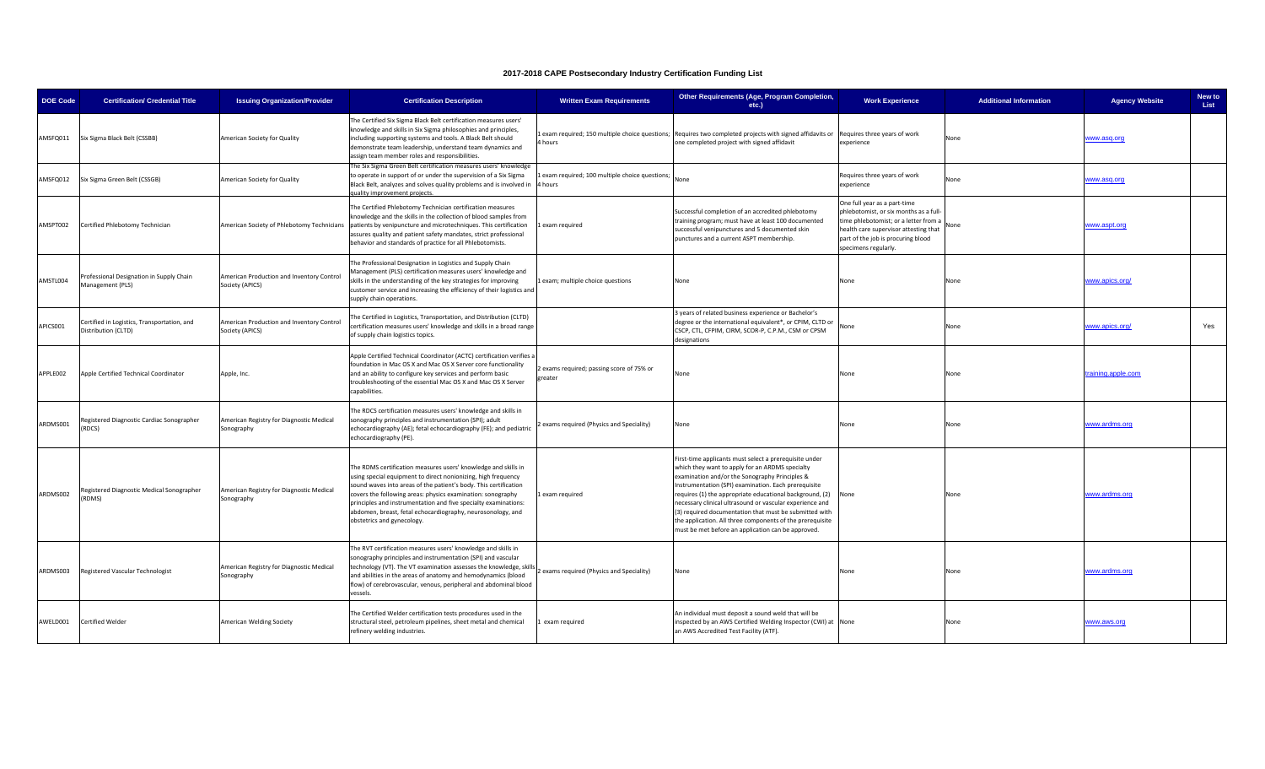| <b>DOE Code</b> | <b>Certification/ Credential Title</b>                             | <b>Issuing Organization/Provider</b>                         | <b>Certification Description</b>                                                                                                                                                                                                                                                                                                                                                                                                   | <b>Written Exam Requirements</b>                         | Other Requirements (Age, Program Completion,<br>etc.)                                                                                                                                                                                                                                                                                                                                                                                                                                                                    | <b>Work Experience</b>                                                                                                                                                                                                 | <b>Additional Information</b> | <b>Agency Website</b> | New to<br>List |
|-----------------|--------------------------------------------------------------------|--------------------------------------------------------------|------------------------------------------------------------------------------------------------------------------------------------------------------------------------------------------------------------------------------------------------------------------------------------------------------------------------------------------------------------------------------------------------------------------------------------|----------------------------------------------------------|--------------------------------------------------------------------------------------------------------------------------------------------------------------------------------------------------------------------------------------------------------------------------------------------------------------------------------------------------------------------------------------------------------------------------------------------------------------------------------------------------------------------------|------------------------------------------------------------------------------------------------------------------------------------------------------------------------------------------------------------------------|-------------------------------|-----------------------|----------------|
| AMSFQ011        | Six Sigma Black Belt (CSSBB)                                       | American Society for Quality                                 | The Certified Six Sigma Black Belt certification measures users'<br>knowledge and skills in Six Sigma philosophies and principles,<br>including supporting systems and tools. A Black Belt should<br>demonstrate team leadership, understand team dynamics and<br>assign team member roles and responsibilities.                                                                                                                   | 4 hours                                                  | Lexam required; 150 multiple choice questions; Requires two completed projects with signed affidavits or<br>one completed project with signed affidavit                                                                                                                                                                                                                                                                                                                                                                  | Requires three years of work<br>experience                                                                                                                                                                             | None                          | www.asq.org           |                |
| AMSFQ012        | Six Sigma Green Belt (CSSGB)                                       | American Society for Quality                                 | The Six Sigma Green Belt certification measures users' knowledge<br>to operate in support of or under the supervision of a Six Sigma<br>Black Belt, analyzes and solves quality problems and is involved in<br>uality improvement projects.                                                                                                                                                                                        | exam required; 100 multiple choice questions;<br>l hours |                                                                                                                                                                                                                                                                                                                                                                                                                                                                                                                          | Requires three years of work<br>experience                                                                                                                                                                             | None                          | www.asq.org           |                |
| AMSPT002        | Certified Phlebotomy Technician                                    | American Society of Phlebotomy Technicians                   | The Certified Phlebotomy Technician certification measures<br>knowledge and the skills in the collection of blood samples from<br>patients by venipuncture and microtechniques. This certification<br>assures quality and patient safety mandates, strict professional<br>behavior and standards of practice for all Phlebotomists.                                                                                                | exam required                                            | Successful completion of an accredited phlebotomy<br>training program; must have at least 100 documented<br>successful venipunctures and 5 documented skin<br>punctures and a current ASPT membership.                                                                                                                                                                                                                                                                                                                   | One full year as a part-time<br>phlebotomist, or six months as a full-<br>time phlebotomist; or a letter from a<br>health care supervisor attesting that<br>part of the job is procuring blood<br>specimens regularly. | None                          | www.aspt.org          |                |
| AMSTL004        | Professional Designation in Supply Chain<br>Management (PLS)       | American Production and Inventory Control<br>Society (APICS) | The Professional Designation in Logistics and Supply Chain<br>Management (PLS) certification measures users' knowledge and<br>skills in the understanding of the key strategies for improving<br>customer service and increasing the efficiency of their logistics and<br>supply chain operations.                                                                                                                                 | exam; multiple choice questions                          | None                                                                                                                                                                                                                                                                                                                                                                                                                                                                                                                     | None                                                                                                                                                                                                                   | None                          | www.apics.org/        |                |
| APICS001        | Certified in Logistics, Transportation, and<br>Distribution (CLTD) | American Production and Inventory Control<br>Society (APICS) | The Certified in Logistics, Transportation, and Distribution (CLTD)<br>certification measures users' knowledge and skills in a broad range<br>of supply chain logistics topics.                                                                                                                                                                                                                                                    |                                                          | 3 years of related business experience or Bachelor's<br>degree or the international equivalent*, or CPIM, CLTD or<br>CSCP, CTL, CFPIM, CIRM, SCOR-P, C.P.M., CSM or CPSM<br>designations                                                                                                                                                                                                                                                                                                                                 | None                                                                                                                                                                                                                   | None                          | www.apics.org/        | Yes            |
| APPLE002        | Apple Certified Technical Coordinator                              | Apple, Inc.                                                  | Apple Certified Technical Coordinator (ACTC) certification verifies a<br>foundation in Mac OS X and Mac OS X Server core functionality<br>and an ability to configure key services and perform basic<br>troubleshooting of the essential Mac OS X and Mac OS X Server<br>capabilities.                                                                                                                                             | exams required; passing score of 75% or<br>reater        | None                                                                                                                                                                                                                                                                                                                                                                                                                                                                                                                     | None                                                                                                                                                                                                                   | None                          | raining.apple.com     |                |
| ARDMS001        | Registered Diagnostic Cardiac Sonographer<br>RDCS)                 | American Registry for Diagnostic Medical<br>Sonography       | The RDCS certification measures users' knowledge and skills in<br>sonography principles and instrumentation (SPI); adult<br>echocardiography (AE); fetal echocardiography (FE); and pediatric<br>echocardiography (PE).                                                                                                                                                                                                            | exams required (Physics and Speciality)                  | None                                                                                                                                                                                                                                                                                                                                                                                                                                                                                                                     | None                                                                                                                                                                                                                   | None                          | www.ardms.org         |                |
| ARDMS002        | Registered Diagnostic Medical Sonographer<br>(RDMS)                | American Registry for Diagnostic Medical<br>Sonography       | The RDMS certification measures users' knowledge and skills in<br>using special equipment to direct nonionizing, high frequency<br>sound waves into areas of the patient's body. This certification<br>covers the following areas: physics examination: sonography<br>principles and instrumentation and five specialty examinations:<br>abdomen, breast, fetal echocardiography, neurosonology, and<br>obstetrics and gynecology. | Lexam required                                           | First-time applicants must select a prerequisite under<br>which they want to apply for an ARDMS specialty<br>examination and/or the Sonography Principles &<br>Instrumentation (SPI) examination. Each prerequisite<br>requires (1) the appropriate educational background, (2)<br>necessary clinical ultrasound or vascular experience and<br>(3) required documentation that must be submitted with<br>the application. All three components of the prerequisite<br>must be met before an application can be approved. | None                                                                                                                                                                                                                   | None                          | www.ardms.org         |                |
| ARDMS003        | Registered Vascular Technologist                                   | American Registry for Diagnostic Medical<br>Sonography       | The RVT certification measures users' knowledge and skills in<br>sonography principles and instrumentation (SPI) and vascular<br>technology (VT). The VT examination assesses the knowledge, skills<br>and abilities in the areas of anatomy and hemodynamics (blood<br>flow) of cerebrovascular, venous, peripheral and abdominal blood<br>vessels.                                                                               | exams required (Physics and Speciality)                  | None                                                                                                                                                                                                                                                                                                                                                                                                                                                                                                                     | None                                                                                                                                                                                                                   | None                          | www.ardms.org         |                |
| AWELD001        | <b>Certified Welder</b>                                            | American Welding Society                                     | The Certified Welder certification tests procedures used in the<br>structural steel, petroleum pipelines, sheet metal and chemical<br>refinery welding industries.                                                                                                                                                                                                                                                                 | exam required                                            | An individual must deposit a sound weld that will be<br>nspected by an AWS Certified Welding Inspector (CWI) at None<br>an AWS Accredited Test Facility (ATF).                                                                                                                                                                                                                                                                                                                                                           |                                                                                                                                                                                                                        | None                          | www.aws.org           |                |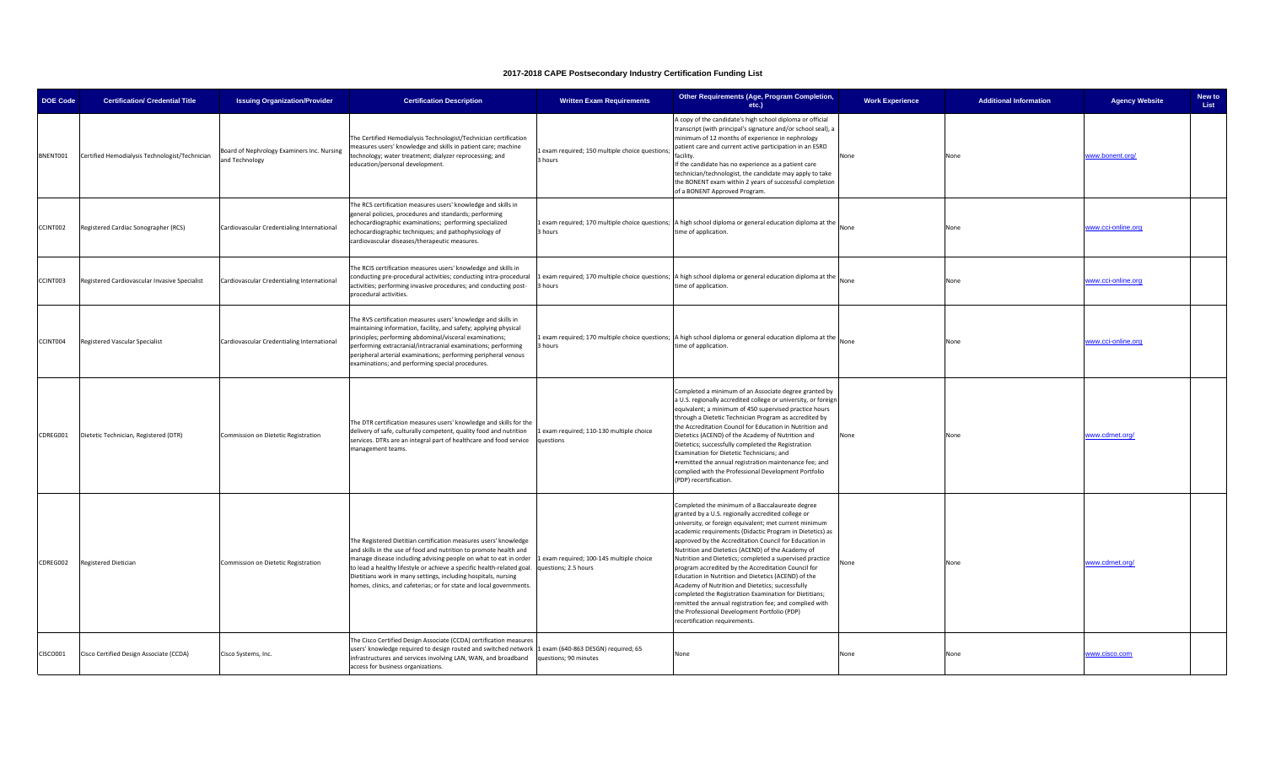| <b>DOE Code</b> | <b>Certification/ Credential Title</b>         | <b>Issuing Organization/Provider</b>                         | <b>Certification Description</b>                                                                                                                                                                                                                                                                                                                                                                                                                   | <b>Written Exam Requirements</b>                         | Other Requirements (Age, Program Completion,<br>etc.)                                                                                                                                                                                                                                                                                                                                                                                                                                                                                                                                                                                                                                                                                                                          | <b>Work Experience</b> | <b>Additional Information</b> | <b>Agency Website</b> | New to<br>List |
|-----------------|------------------------------------------------|--------------------------------------------------------------|----------------------------------------------------------------------------------------------------------------------------------------------------------------------------------------------------------------------------------------------------------------------------------------------------------------------------------------------------------------------------------------------------------------------------------------------------|----------------------------------------------------------|--------------------------------------------------------------------------------------------------------------------------------------------------------------------------------------------------------------------------------------------------------------------------------------------------------------------------------------------------------------------------------------------------------------------------------------------------------------------------------------------------------------------------------------------------------------------------------------------------------------------------------------------------------------------------------------------------------------------------------------------------------------------------------|------------------------|-------------------------------|-----------------------|----------------|
| BNENT001        | Certified Hemodialysis Technologist/Technician | Board of Nephrology Examiners Inc. Nursing<br>and Technology | The Certified Hemodialysis Technologist/Technician certification<br>neasures users' knowledge and skills in patient care; machine<br>technology; water treatment; dialyzer reprocessing; and<br>education/personal development.                                                                                                                                                                                                                    | exam required; 150 multiple choice questions;<br>3 hours | A copy of the candidate's high school diploma or official<br>transcript (with principal's signature and/or school seal), a<br>minimum of 12 months of experience in nephrology<br>patient care and current active participation in an ESRD<br>facility.<br>If the candidate has no experience as a patient care<br>technician/technologist, the candidate may apply to take<br>the BONENT exam within 2 years of successful completion<br>of a BONENT Approved Program.                                                                                                                                                                                                                                                                                                        | None                   | None                          | www.bonent.org/       |                |
| CCINT002        | Registered Cardiac Sonographer (RCS)           | Cardiovascular Credentialing International                   | The RCS certification measures users' knowledge and skills in<br>general policies, procedures and standards; performing<br>echocardiographic examinations; performing specialized<br>echocardiographic techniques; and pathophysiology of<br>cardiovascular diseases/therapeutic measures.                                                                                                                                                         | 3 hours                                                  | 1 exam required; 170 multiple choice questions; A high school diploma or general education diploma at the<br>time of application.                                                                                                                                                                                                                                                                                                                                                                                                                                                                                                                                                                                                                                              | None                   | None                          | www.cci-online.org    |                |
| CCINT003        | Registered Cardiovascular Invasive Specialist  | Cardiovascular Credentialing International                   | The RCIS certification measures users' knowledge and skills in<br>conducting pre-procedural activities; conducting intra-procedural<br>activities; performing invasive procedures; and conducting post-<br>procedural activities.                                                                                                                                                                                                                  | hours                                                    | 1 exam required; 170 multiple choice questions; A high school diploma or general education diploma at the None<br>time of application.                                                                                                                                                                                                                                                                                                                                                                                                                                                                                                                                                                                                                                         |                        | None                          | www.cci-online.org    |                |
| CCINT004        | Registered Vascular Specialist                 | Cardiovascular Credentialing International                   | The RVS certification measures users' knowledge and skills in<br>maintaining information, facility, and safety; applying physical<br>principles; performing abdominal/visceral examinations;<br>performing extracranial/intracranial examinations; performing<br>peripheral arterial examinations; performing peripheral venous<br>examinations; and performing special procedures.                                                                | hours                                                    | Lexam required; 170 multiple choice questions; A high school diploma or general education diploma at the None<br>time of application.                                                                                                                                                                                                                                                                                                                                                                                                                                                                                                                                                                                                                                          |                        | None                          | www.cci-online.org    |                |
| CDREG001        | Dietetic Technician, Registered (DTR)          | Commission on Dietetic Registration                          | The DTR certification measures users' knowledge and skills for the<br>elivery of safe, culturally competent, quality food and nutrition<br>services. DTRs are an integral part of healthcare and food service<br>management teams.                                                                                                                                                                                                                 | exam required; 110-130 multiple choice<br>questions      | Completed a minimum of an Associate degree granted by<br>a U.S. regionally accredited college or university, or foreign<br>equivalent; a minimum of 450 supervised practice hours<br>through a Dietetic Technician Program as accredited by<br>the Accreditation Council for Education in Nutrition and<br>Dietetics (ACEND) of the Academy of Nutrition and<br>Dietetics; successfully completed the Registration<br>Examination for Dietetic Technicians; and<br>•remitted the annual registration maintenance fee; and<br>complied with the Professional Development Portfolio<br>(PDP) recertification.                                                                                                                                                                    | None                   | None                          | www.cdrnet.org/       |                |
| CDREG002        | <b>Registered Dietician</b>                    | Commission on Dietetic Registration                          | The Registered Dietitian certification measures users' knowledge<br>and skills in the use of food and nutrition to promote health and<br>manage disease including advising people on what to eat in order<br>to lead a healthy lifestyle or achieve a specific health-related goal. [questions; 2.5 hours<br>Dietitians work in many settings, including hospitals, nursing<br>homes, clinics, and cafeterias; or for state and local governments. | 1 exam required; 100-145 multiple choice                 | Completed the minimum of a Baccalaureate degree<br>granted by a U.S. regionally accredited college or<br>university, or foreign equivalent; met current minimum<br>academic requirements (Didactic Program in Dietetics) as<br>approved by the Accreditation Council for Education in<br>Nutrition and Dietetics (ACEND) of the Academy of<br>Nutrition and Dietetics; completed a supervised practice<br>program accredited by the Accreditation Council for<br>Education in Nutrition and Dietetics (ACEND) of the<br>Academy of Nutrition and Dietetics; successfully<br>completed the Registration Examination for Dietitians;<br>remitted the annual registration fee; and complied with<br>the Professional Development Portfolio (PDP)<br>recertification requirements. | None                   | None                          | www.cdrnet.org/       |                |
| <b>CISCO001</b> | Cisco Certified Design Associate (CCDA)        | Cisco Systems, Inc.                                          | The Cisco Certified Design Associate (CCDA) certification measures<br>1 asers' knowledge required to design routed and switched network 1 exam (640-863 DESGN) required; 65<br>infrastructures and services involving LAN, WAN, and broadband<br>access for business organizations.                                                                                                                                                                | questions; 90 minutes                                    | None                                                                                                                                                                                                                                                                                                                                                                                                                                                                                                                                                                                                                                                                                                                                                                           | None                   | None                          | www.cisco.com         |                |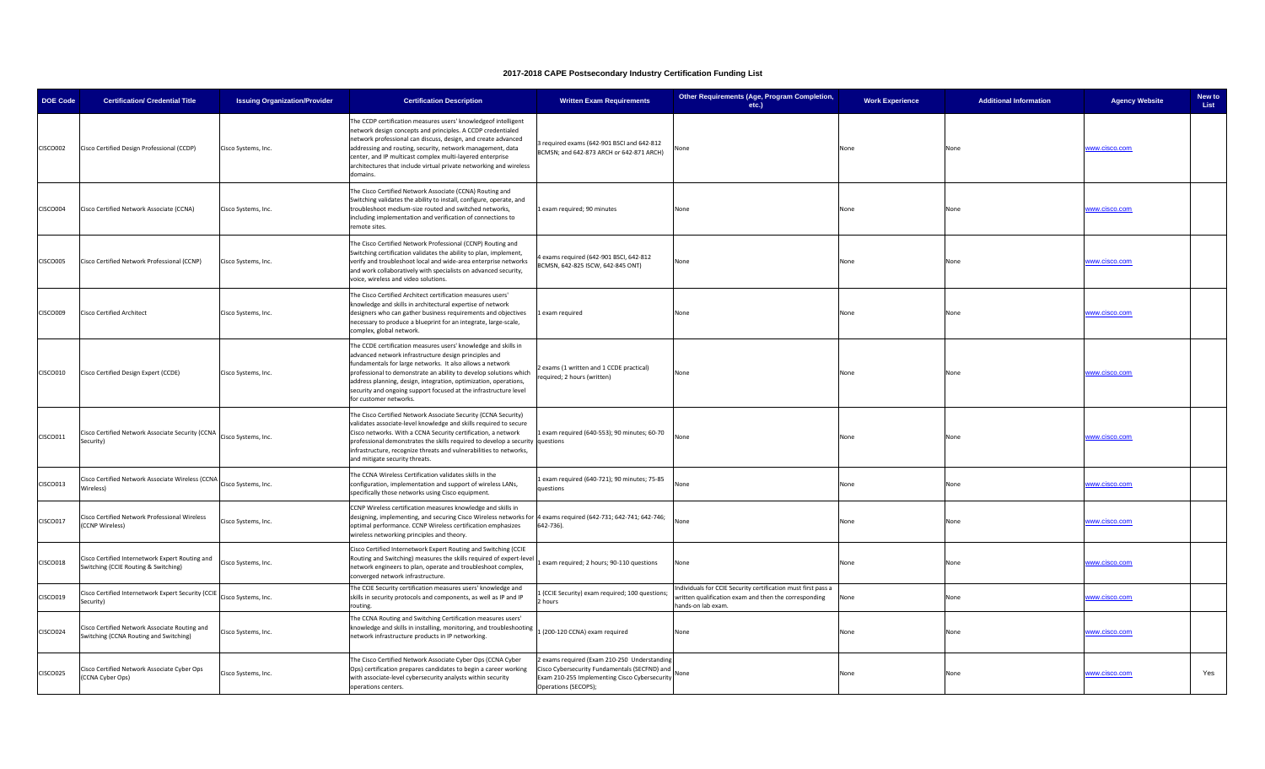| <b>DOE Code</b> | <b>Certification/ Credential Title</b>                                                  | <b>Issuing Organization/Provider</b> | <b>Certification Description</b>                                                                                                                                                                                                                                                                                                                                                                                           | <b>Written Exam Requirements</b>                                                                                                                                     | Other Requirements (Age, Program Completion,<br>etc.)                                                                                       | <b>Work Experience</b> | <b>Additional Information</b> | <b>Agency Website</b> | New to<br>List |
|-----------------|-----------------------------------------------------------------------------------------|--------------------------------------|----------------------------------------------------------------------------------------------------------------------------------------------------------------------------------------------------------------------------------------------------------------------------------------------------------------------------------------------------------------------------------------------------------------------------|----------------------------------------------------------------------------------------------------------------------------------------------------------------------|---------------------------------------------------------------------------------------------------------------------------------------------|------------------------|-------------------------------|-----------------------|----------------|
| CISCO002        | Cisco Certified Design Professional (CCDP)                                              | Cisco Systems, Inc.                  | The CCDP certification measures users' knowledgeof intelligent<br>network design concepts and principles. A CCDP credentialed<br>network professional can discuss, design, and create advanced<br>addressing and routing, security, network management, data<br>center, and IP multicast complex multi-layered enterprise<br>architectures that include virtual private networking and wireless<br>domains.                | required exams (642-901 BSCI and 642-812<br>BCMSN; and 642-873 ARCH or 642-871 ARCH)                                                                                 | one                                                                                                                                         | None                   | None                          | www.cisco.com         |                |
| CISCO004        | Cisco Certified Network Associate (CCNA)                                                | Cisco Systems, Inc.                  | The Cisco Certified Network Associate (CCNA) Routing and<br>Switching validates the ability to install, configure, operate, and<br>roubleshoot medium-size routed and switched networks,<br>including implementation and verification of connections to<br>emote sites.                                                                                                                                                    | exam required; 90 minutes                                                                                                                                            | None                                                                                                                                        | None                   | None                          | vww.cisco.com         |                |
| CISCO005        | Cisco Certified Network Professional (CCNP)                                             | Cisco Systems, Inc.                  | The Cisco Certified Network Professional (CCNP) Routing and<br>Switching certification validates the ability to plan, implement,<br>verify and troubleshoot local and wide-area enterprise networks<br>and work collaboratively with specialists on advanced security,<br>voice, wireless and video solutions.                                                                                                             | exams required (642-901 BSCI, 642-812<br>BCMSN, 642-825 ISCW, 642-845 ONT)                                                                                           | None                                                                                                                                        | None                   | None                          | vww.cisco.com         |                |
| <b>CISCO009</b> | <b>Cisco Certified Architect</b>                                                        | Cisco Systems, Inc.                  | The Cisco Certified Architect certification measures users'<br>knowledge and skills in architectural expertise of network<br>designers who can gather business requirements and objectives<br>ecessary to produce a blueprint for an integrate, large-scale,<br>complex, global network.                                                                                                                                   | 1 exam required                                                                                                                                                      | None                                                                                                                                        | None                   | None                          | www.cisco.com         |                |
| CISCO010        | Cisco Certified Design Expert (CCDE)                                                    | Cisco Systems, Inc.                  | The CCDE certification measures users' knowledge and skills in<br>dvanced network infrastructure design principles and<br>fundamentals for large networks. It also allows a network<br>professional to demonstrate an ability to develop solutions which<br>address planning, design, integration, optimization, operations,<br>security and ongoing support focused at the infrastructure level<br>for customer networks. | exams (1 written and 1 CCDE practical)<br>equired; 2 hours (written)                                                                                                 | None                                                                                                                                        | None                   | None                          | vww.cisco.com         |                |
| CISCO011        | Cisco Certified Network Associate Security (CCNA<br>Security)                           | Cisco Systems, Inc.                  | The Cisco Certified Network Associate Security (CCNA Security)<br>validates associate-level knowledge and skills required to secure<br>Cisco networks. With a CCNA Security certification, a network<br>professional demonstrates the skills required to develop a security questions<br>infrastructure, recognize threats and vulnerabilities to networks,<br>and mitigate security threats.                              | exam required (640-553); 90 minutes; 60-70                                                                                                                           | Jone                                                                                                                                        | None                   | None                          | ww.cisco.com          |                |
| CISCO013        | Cisco Certified Network Associate Wireless (CCNA<br>Vireless)                           | Cisco Systems, Inc.                  | The CCNA Wireless Certification validates skills in the<br>onfiguration, implementation and support of wireless LANs,<br>specifically those networks using Cisco equipment.                                                                                                                                                                                                                                                | exam required (640-721); 90 minutes; 75-85<br>uestions                                                                                                               | Vone                                                                                                                                        | None                   | None                          | www.cisco.com         |                |
| CISCO017        | Cisco Certified Network Professional Wireless<br>(CCNP Wireless)                        | Cisco Systems, Inc.                  | CCNP Wireless certification measures knowledge and skills in<br>designing, implementing, and securing Cisco Wireless networks for 4 exams required (642-731; 642-741; 642-746;<br>optimal performance. CCNP Wireless certification emphasizes<br>wireless networking principles and theory.                                                                                                                                | 642-736).                                                                                                                                                            | None                                                                                                                                        | None                   | None                          | www.cisco.com         |                |
| <b>CISCO018</b> | Cisco Certified Internetwork Expert Routing and<br>Switching (CCIE Routing & Switching) | Cisco Systems, Inc.                  | Cisco Certified Internetwork Expert Routing and Switching (CCIE<br>Routing and Switching) measures the skills required of expert-leve<br>network engineers to plan, operate and troubleshoot complex,<br>converged network infrastructure.                                                                                                                                                                                 | exam required; 2 hours; 90-110 questions                                                                                                                             | None                                                                                                                                        | None                   | None                          | www.cisco.com         |                |
| CISCO019        | Cisco Certified Internetwork Expert Security (CCIE<br>ecurity)                          | Cisco Systems, Inc.                  | The CCIE Security certification measures users' knowledge and<br>skills in security protocols and components, as well as IP and IP<br>routing.                                                                                                                                                                                                                                                                             | (CCIE Security) exam required; 100 questions;<br>hours                                                                                                               | Individuals for CCIE Security certification must first pass a<br>ritten qualification exam and then the corresponding<br>hands-on lab exam. | None                   | None                          | ww.cisco.com          |                |
| <b>CISCO024</b> | Cisco Certified Network Associate Routing and<br>Switching (CCNA Routing and Switching) | Cisco Systems, Inc.                  | The CCNA Routing and Switching Certification measures users'<br>knowledge and skills in installing, monitoring, and troubleshooting<br>network infrastructure products in IP networking.                                                                                                                                                                                                                                   | 1 (200-120 CCNA) exam required                                                                                                                                       | None                                                                                                                                        | None                   | None                          | www.cisco.com         |                |
| <b>CISCO025</b> | Cisco Certified Network Associate Cyber Ops<br>(CCNA Cyber Ops)                         | Cisco Systems, Inc.                  | The Cisco Certified Network Associate Cyber Ops (CCNA Cyber<br>Ops) certification prepares candidates to begin a career working<br>with associate-level cybersecurity analysts within security<br>operations centers.                                                                                                                                                                                                      | exams required (Exam 210-250 Understanding<br>Cisco Cybersecurity Fundamentals (SECFND) and<br>Exam 210-255 Implementing Cisco Cybersecurity<br>Operations (SECOPS); | None                                                                                                                                        | None                   | None                          | www.cisco.com         | Yes            |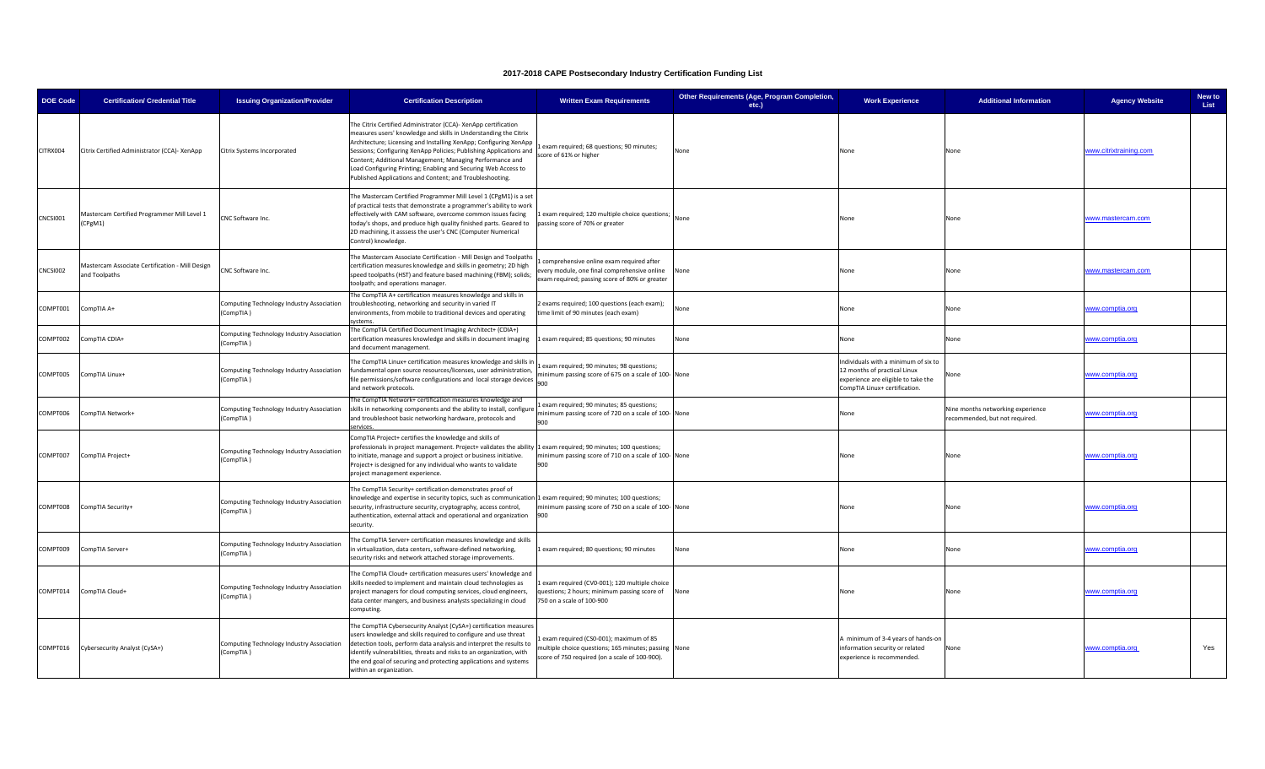| <b>DOE Code</b> | <b>Certification/ Credential Title</b>                           | <b>Issuing Organization/Provider</b>                   | <b>Certification Description</b>                                                                                                                                                                                                                                                                                                                                                                                                                                       | <b>Written Exam Requirements</b>                                                                                                                 | Other Requirements (Age, Program Completion,<br>etc.) | <b>Work Experience</b>                                                                                                                       | <b>Additional Information</b>                                       | <b>Agency Website</b>  | New to<br>List |
|-----------------|------------------------------------------------------------------|--------------------------------------------------------|------------------------------------------------------------------------------------------------------------------------------------------------------------------------------------------------------------------------------------------------------------------------------------------------------------------------------------------------------------------------------------------------------------------------------------------------------------------------|--------------------------------------------------------------------------------------------------------------------------------------------------|-------------------------------------------------------|----------------------------------------------------------------------------------------------------------------------------------------------|---------------------------------------------------------------------|------------------------|----------------|
| CITRX004        | Citrix Certified Administrator (CCA)- XenApp                     | Citrix Systems Incorporated                            | The Citrix Certified Administrator (CCA)- XenApp certification<br>measures users' knowledge and skills in Understanding the Citrix<br>Architecture; Licensing and Installing XenApp; Configuring XenApp<br>Sessions; Configuring XenApp Policies; Publishing Applications and<br>Content; Additional Management; Managing Performance and<br>oad Configuring Printing; Enabling and Securing Web Access to<br>Published Applications and Content; and Troubleshooting. | exam required; 68 questions; 90 minutes;<br>score of 61% or higher                                                                               | None                                                  | None                                                                                                                                         | None                                                                | www.citrixtraining.com |                |
| CNCSI001        | Mastercam Certified Programmer Mill Level 1<br>(CPgM1)           | CNC Software Inc.                                      | The Mastercam Certified Programmer Mill Level 1 (CPgM1) is a set<br>of practical tests that demonstrate a programmer's ability to work<br>ffectively with CAM software, overcome common issues facing<br>oday's shops, and produce high quality finished parts. Geared to<br>2D machining, it asssess the user's CNC (Computer Numerical<br>Control) knowledge.                                                                                                        | exam required; 120 multiple choice questions;<br>passing score of 70% or greater                                                                 | None                                                  | None                                                                                                                                         | None                                                                | www.mastercam.com      |                |
| CNCSI002        | Mastercam Associate Certification - Mill Design<br>and Toolpaths | CNC Software Inc.                                      | The Mastercam Associate Certification - Mill Design and Toolpaths<br>certification measures knowledge and skills in geometry; 2D high<br>speed toolpaths (HST) and feature based machining (FBM); solids;<br>oolpath; and operations manager.                                                                                                                                                                                                                          | comprehensive online exam required after<br>very module, one final comprehensive online<br>exam required; passing score of 80% or greater        | None                                                  | None                                                                                                                                         | None                                                                | ww.mastercam.com       |                |
| COMPT001        | CompTIA A+                                                       | Computing Technology Industry Association<br>(CompTIA) | The CompTIA A+ certification measures knowledge and skills in<br>troubleshooting, networking and security in varied IT<br>environments, from mobile to traditional devices and operating<br>stems                                                                                                                                                                                                                                                                      | exams required; 100 questions (each exam);<br>time limit of 90 minutes (each exam)                                                               | None                                                  | None                                                                                                                                         | None                                                                | www.comptia.org        |                |
| COMPT002        | CompTIA CDIA+                                                    | Computing Technology Industry Association<br>CompTIA)  | The CompTIA Certified Document Imaging Architect+ (CDIA+)<br>certification measures knowledge and skills in document imaging<br>and document management.                                                                                                                                                                                                                                                                                                               | 1 exam required; 85 questions; 90 minutes                                                                                                        | None                                                  | None                                                                                                                                         | None                                                                | www.comptia.org        |                |
| COMPT005        | CompTIA Linux+                                                   | Computing Technology Industry Association<br>(CompTIA) | The CompTIA Linux+ certification measures knowledge and skills in<br>fundamental open source resources/licenses, user administration,<br>ile permissions/software configurations and local storage devices<br>and network protocols.                                                                                                                                                                                                                                   | exam required; 90 minutes; 98 questions;<br>ninimum passing score of 675 on a scale of 100-None<br>900                                           |                                                       | Individuals with a minimum of six to<br>12 months of practical Linux<br>experience are eligible to take the<br>CompTIA Linux+ certification. | None                                                                | www.comptia.org        |                |
| COMPT006        | CompTIA Network+                                                 | Computing Technology Industry Association<br>(CompTIA) | The CompTIA Network+ certification measures knowledge and<br>skills in networking components and the ability to install, configure<br>and troubleshoot basic networking hardware, protocols and                                                                                                                                                                                                                                                                        | exam required; 90 minutes; 85 questions;<br>ninimum passing score of 720 on a scale of 100-None<br>900                                           |                                                       | None                                                                                                                                         | Nine months networking experience<br>recommended, but not required. | vww.comptia.org        |                |
| COMPT007        | CompTIA Project+                                                 | Computing Technology Industry Association<br>(CompTIA) | CompTIA Project+ certifies the knowledge and skills of<br>professionals in project management. Project+ validates the ability<br>to initiate, manage and support a project or business initiative.<br>Project+ is designed for any individual who wants to validate<br>project management experience.                                                                                                                                                                  | 1 exam required; 90 minutes; 100 questions;<br>minimum passing score of 710 on a scale of 100-None<br>900                                        |                                                       | None                                                                                                                                         | None                                                                | www.comptia.org        |                |
| COMPT008        | CompTIA Security+                                                | Computing Technology Industry Association<br>(CompTIA) | The CompTIA Security+ certification demonstrates proof of<br>mowledge and expertise in security topics, such as communication 1 exam required; 90 minutes; 100 questions;<br>security, infrastructure security, cryptography, access control,<br>authentication, external attack and operational and organization<br>security.                                                                                                                                         | minimum passing score of 750 on a scale of 100-None<br>900                                                                                       |                                                       | None                                                                                                                                         | None                                                                | <u>www.comptia.org</u> |                |
| COMPT009        | CompTIA Server+                                                  | Computing Technology Industry Association<br>(CompTIA) | The CompTIA Server+ certification measures knowledge and skills<br>virtualization, data centers, software-defined networking,<br>security risks and network attached storage improvements.                                                                                                                                                                                                                                                                             | Lexam required; 80 questions; 90 minutes                                                                                                         | None                                                  | None                                                                                                                                         | None                                                                | www.comptia.org        |                |
| COMPT014        | CompTIA Cloud+                                                   | Computing Technology Industry Association<br>(CompTIA) | The CompTIA Cloud+ certification measures users' knowledge and<br>skills needed to implement and maintain cloud technologies as<br>project managers for cloud computing services, cloud engineers,<br>data center mangers, and business analysts specializing in cloud<br>computing.                                                                                                                                                                                   | exam required (CV0-001); 120 multiple choice<br>questions; 2 hours; minimum passing score of None<br>750 on a scale of 100-900                   |                                                       | None                                                                                                                                         | None                                                                | www.comptia.org        |                |
| COMPT016        | Cybersecurity Analyst (CySA+)                                    | Computing Technology Industry Association<br>(CompTIA) | The CompTIA Cybersecurity Analyst (CySA+) certification measures<br>users knowledge and skills required to configure and use threat<br>detection tools, perform data analysis and interpret the results to<br>identify vulnerabilities, threats and risks to an organization, with<br>the end goal of securing and protecting applications and systems<br>within an organization.                                                                                      | exam required (CS0-001); maximum of 85<br>nultiple choice questions; 165 minutes; passing None<br>score of 750 required (on a scale of 100-900). |                                                       | A minimum of 3-4 years of hands-on<br>information security or related<br>experience is recommended.                                          | None                                                                | www.comptia.org        | Yes            |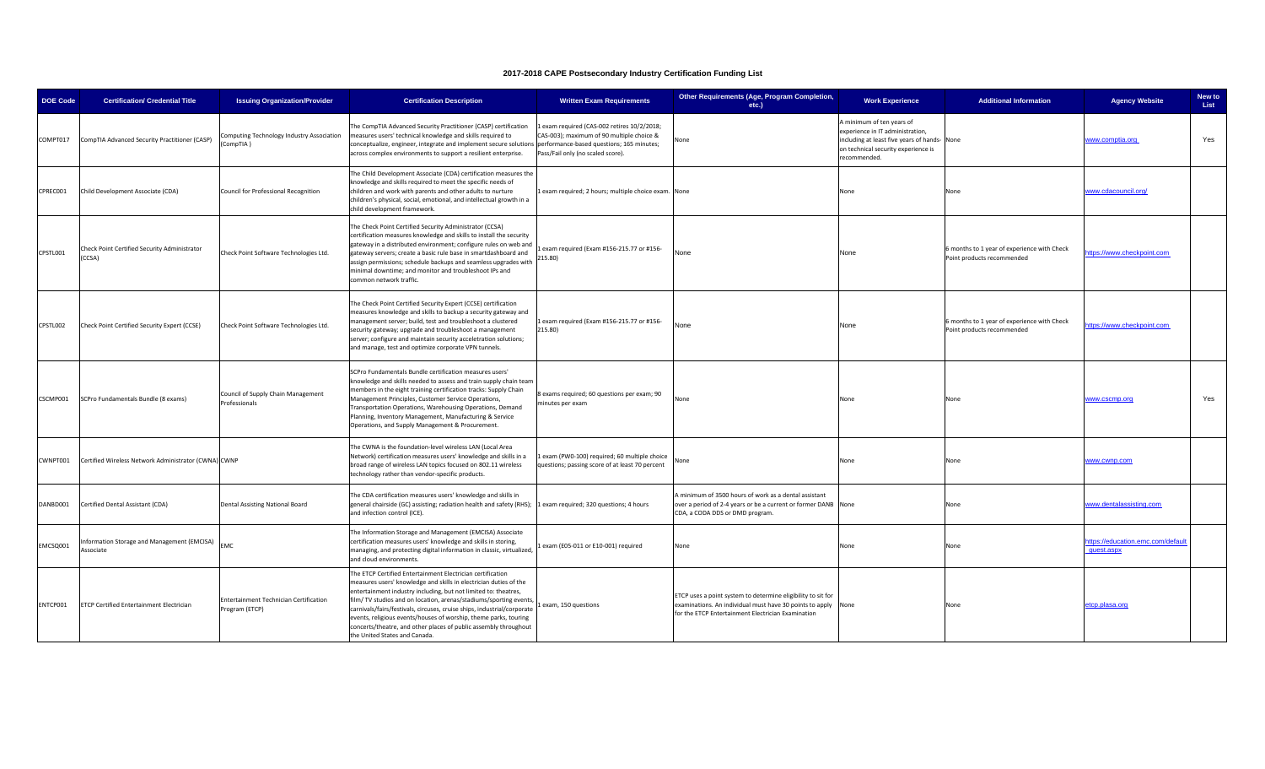| <b>DOE Code</b> | <b>Certification/ Credential Title</b>                   | <b>Issuing Organization/Provider</b>                     | <b>Certification Description</b>                                                                                                                                                                                                                                                                                                                                                                                                                                                                                          | <b>Written Exam Requirements</b>                                                                                            | Other Requirements (Age, Program Completion,<br>etc.)                                                                                                                               | <b>Work Experience</b>                                                                                                                                              | <b>Additional Information</b>                                             | <b>Agency Website</b>                          | New to<br>List |
|-----------------|----------------------------------------------------------|----------------------------------------------------------|---------------------------------------------------------------------------------------------------------------------------------------------------------------------------------------------------------------------------------------------------------------------------------------------------------------------------------------------------------------------------------------------------------------------------------------------------------------------------------------------------------------------------|-----------------------------------------------------------------------------------------------------------------------------|-------------------------------------------------------------------------------------------------------------------------------------------------------------------------------------|---------------------------------------------------------------------------------------------------------------------------------------------------------------------|---------------------------------------------------------------------------|------------------------------------------------|----------------|
| COMPT017        | CompTIA Advanced Security Practitioner (CASP)            | Computing Technology Industry Association<br>(CompTIA)   | The CompTIA Advanced Security Practitioner (CASP) certification<br>measures users' technical knowledge and skills required to<br>conceptualize, engineer, integrate and implement secure solutions performance-based questions; 165 minutes;<br>across complex environments to support a resilient enterprise.                                                                                                                                                                                                            | exam required (CAS-002 retires 10/2/2018;<br>CAS-003); maximum of 90 multiple choice &<br>Pass/Fail only (no scaled score). | lone                                                                                                                                                                                | A minimum of ten years of<br>experience in IT administration,<br>including at least five years of hands-None<br>on technical security experience is<br>recommended. |                                                                           | www.comptia.org                                | Yes            |
| CPREC001        | Child Development Associate (CDA)                        | Council for Professional Recognition                     | The Child Development Associate (CDA) certification measures the<br>mowledge and skills required to meet the specific needs of<br>children and work with parents and other adults to nurture<br>children's physical, social, emotional, and intellectual growth in a<br>hild development framework.                                                                                                                                                                                                                       | exam required; 2 hours; multiple choice exam. None                                                                          |                                                                                                                                                                                     | None                                                                                                                                                                | None                                                                      | www.cdacouncil.org/                            |                |
| CPSTL001        | Check Point Certified Security Administrator<br>(CCSA)   | Check Point Software Technologies Ltd.                   | The Check Point Certified Security Administrator (CCSA)<br>certification measures knowledge and skills to install the security<br>gateway in a distributed environment; configure rules on web and<br>gateway servers; create a basic rule base in smartdashboard and<br>assign permissions; schedule backups and seamless upgrades with<br>minimal downtime; and monitor and troubleshoot IPs and<br>common network traffic.                                                                                             | exam required (Exam #156-215.77 or #156-<br>215.80)                                                                         | None                                                                                                                                                                                | None                                                                                                                                                                | 6 months to 1 year of experience with Check<br>Point products recommended | ttps://www.checkpoint.com                      |                |
| CPSTL002        | Check Point Certified Security Expert (CCSE)             | Check Point Software Technologies Ltd.                   | The Check Point Certified Security Expert (CCSE) certification<br>measures knowledge and skills to backup a security gateway and<br>management server; build, test and troubleshoot a clustered<br>security gateway; upgrade and troubleshoot a management<br>server; configure and maintain security acceletration solutions;<br>and manage, test and optimize corporate VPN tunnels.                                                                                                                                    | 1 exam required (Exam #156-215.77 or #156-<br>215.80)                                                                       | None                                                                                                                                                                                | None                                                                                                                                                                | 6 months to 1 year of experience with Check<br>Point products recommended | ttps://www.checkpoint.com                      |                |
| CSCMP001        | SCPro Fundamentals Bundle (8 exams)                      | Council of Supply Chain Management<br>Professionals      | SCPro Fundamentals Bundle certification measures users'<br>knowledge and skills needed to assess and train supply chain team<br>members in the eight training certification tracks: Supply Chain<br>Management Principles, Customer Service Operations,<br>Transportation Operations, Warehousing Operations, Demand<br>Planning, Inventory Management, Manufacturing & Service<br>Operations, and Supply Management & Procurement.                                                                                       | 8 exams required; 60 questions per exam; 90<br>minutes per exam                                                             | None                                                                                                                                                                                | None                                                                                                                                                                | None                                                                      | www.cscmp.org                                  | Yes            |
| CWNPT001        | Certified Wireless Network Administrator (CWNA) CWNP     |                                                          | The CWNA is the foundation-level wireless LAN (Local Area<br>Network) certification measures users' knowledge and skills in a<br>broad range of wireless LAN topics focused on 802.11 wireless<br>technology rather than vendor-specific products.                                                                                                                                                                                                                                                                        | Lexam (PW0-100) required; 60 multiple choice<br>questions; passing score of at least 70 percent                             | None                                                                                                                                                                                | None                                                                                                                                                                | None                                                                      | www.cwnp.com                                   |                |
| DANBD001        | Certified Dental Assistant (CDA)                         | Dental Assisting National Board                          | The CDA certification measures users' knowledge and skills in<br>general chairside (GC) assisting; radiation health and safety (RHS);<br>and infection control (ICE).                                                                                                                                                                                                                                                                                                                                                     | exam required; 320 questions; 4 hours                                                                                       | A minimum of 3500 hours of work as a dental assistant<br>over a period of 2-4 years or be a current or former DANB None<br>CDA, a CODA DDS or DMD program.                          |                                                                                                                                                                     | None                                                                      | www.dentalassisting.com                        |                |
| EMCSQ001        | Information Storage and Management (EMCISA)<br>Associate | <b>EMC</b>                                               | The Information Storage and Management (EMCISA) Associate<br>certification measures users' knowledge and skills in storing,<br>managing, and protecting digital information in classic, virtualized,<br>and cloud environments.                                                                                                                                                                                                                                                                                           | exam (E05-011 or E10-001) required                                                                                          | None                                                                                                                                                                                | None                                                                                                                                                                | None                                                                      | ttps://education.emc.com/default<br>quest.aspx |                |
| ENTCP001        | <b>ETCP Certified Entertainment Electrician</b>          | Entertainment Technician Certification<br>Program (ETCP) | The ETCP Certified Entertainment Electrician certification<br>measures users' knowledge and skills in electrician duties of the<br>entertainment industry including, but not limited to: theatres,<br>film/TV studios and on location, arenas/stadiums/sporting events<br>carnivals/fairs/festivals, circuses, cruise ships, industrial/corporate<br>events, religious events/houses of worship, theme parks, touring<br>concerts/theatre, and other places of public assembly throughout<br>he United States and Canada. | exam, 150 questions                                                                                                         | ETCP uses a point system to determine eligibility to sit for<br>examinations. An individual must have 30 points to apply None<br>for the ETCP Entertainment Electrician Examination |                                                                                                                                                                     | None                                                                      | etcp.plasa.org                                 |                |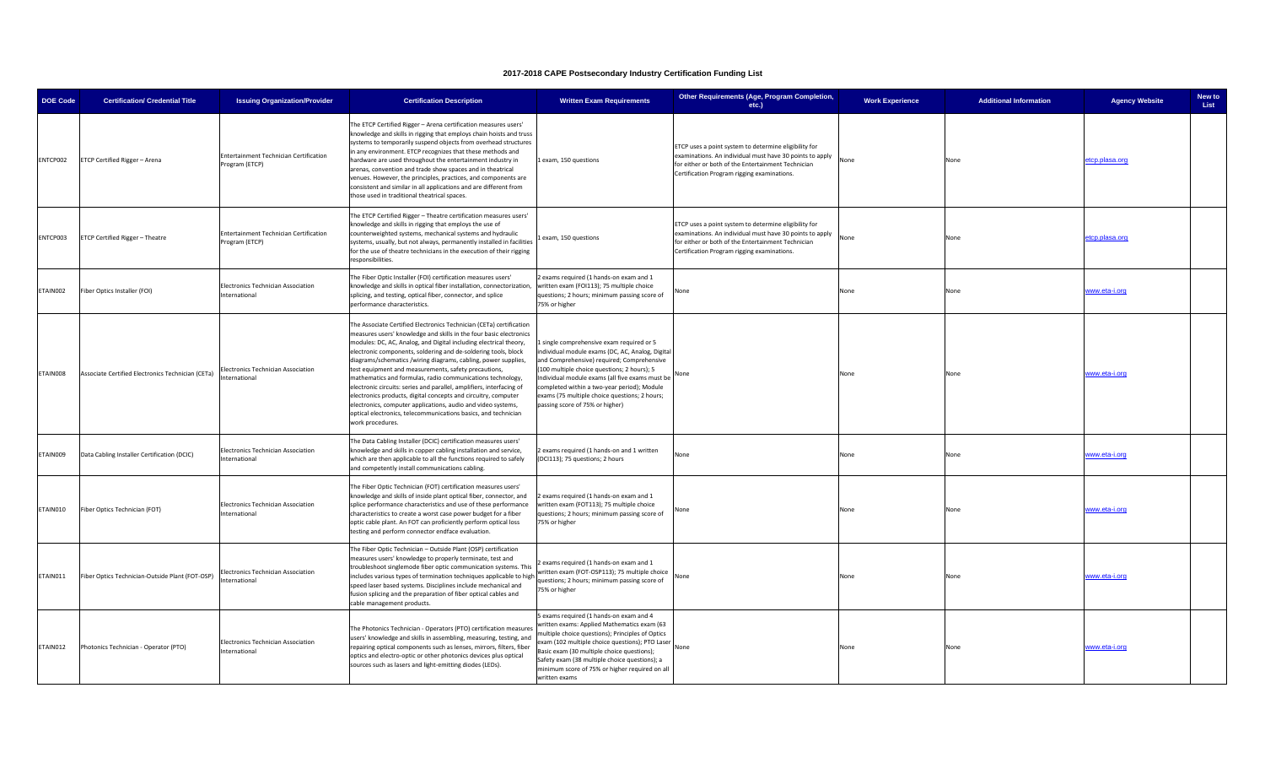| <b>DOE Code</b> | <b>Certification/ Credential Title</b>            | <b>Issuing Organization/Provider</b>                     | <b>Certification Description</b>                                                                                                                                                                                                                                                                                                                                                                                                                                                                                                                                                                                                                                                                                                                                         | <b>Written Exam Requirements</b>                                                                                                                                                                                                                                                                                                                                                 | Other Requirements (Age, Program Completion,<br>etc.)                                                                                                                                                                  | <b>Work Experience</b> | <b>Additional Information</b> | <b>Agency Website</b> | New to<br>List |
|-----------------|---------------------------------------------------|----------------------------------------------------------|--------------------------------------------------------------------------------------------------------------------------------------------------------------------------------------------------------------------------------------------------------------------------------------------------------------------------------------------------------------------------------------------------------------------------------------------------------------------------------------------------------------------------------------------------------------------------------------------------------------------------------------------------------------------------------------------------------------------------------------------------------------------------|----------------------------------------------------------------------------------------------------------------------------------------------------------------------------------------------------------------------------------------------------------------------------------------------------------------------------------------------------------------------------------|------------------------------------------------------------------------------------------------------------------------------------------------------------------------------------------------------------------------|------------------------|-------------------------------|-----------------------|----------------|
| ENTCP002        | ETCP Certified Rigger - Arena                     | Entertainment Technician Certification<br>Program (ETCP) | he ETCP Certified Rigger - Arena certification measures users'<br>mowledge and skills in rigging that employs chain hoists and truss<br>systems to temporarily suspend objects from overhead structures<br>n any environment. ETCP recognizes that these methods and<br>hardware are used throughout the entertainment industry in<br>arenas, convention and trade show spaces and in theatrical<br>venues. However, the principles, practices, and components are<br>consistent and similar in all applications and are different from<br>hose used in traditional theatrical spaces.                                                                                                                                                                                   | 1 exam, 150 questions                                                                                                                                                                                                                                                                                                                                                            | ETCP uses a point system to determine eligibility for<br>examinations. An individual must have 30 points to apply<br>for either or both of the Entertainment Technician<br>Certification Program rigging examinations. | None                   | None                          | etcp.plasa.org        |                |
| ENTCP003        | ETCP Certified Rigger - Theatre                   | Entertainment Technician Certification<br>Program (ETCP) | The ETCP Certified Rigger - Theatre certification measures users'<br>knowledge and skills in rigging that employs the use of<br>counterweighted systems, mechanical systems and hydraulic<br>systems, usually, but not always, permanently installed in facilities<br>for the use of theatre technicians in the execution of their rigging<br>responsibilities.                                                                                                                                                                                                                                                                                                                                                                                                          | exam, 150 questions                                                                                                                                                                                                                                                                                                                                                              | ETCP uses a point system to determine eligibility for<br>examinations. An individual must have 30 points to apply<br>for either or both of the Entertainment Technician<br>Certification Program rigging examinations. | None                   | None                          | etcp.plasa.org        |                |
| TAIN002         | Fiber Optics Installer (FOI)                      | Electronics Technician Association<br>International      | The Fiber Optic Installer (FOI) certification measures users'<br>mowledge and skills in optical fiber installation, connectorization,<br>splicing, and testing, optical fiber, connector, and splice<br>performance characteristics.                                                                                                                                                                                                                                                                                                                                                                                                                                                                                                                                     | 2 exams required (1 hands-on exam and 1<br>written exam (FOI113); 75 multiple choice<br>questions; 2 hours; minimum passing score of<br>75% or higher                                                                                                                                                                                                                            |                                                                                                                                                                                                                        | None                   | None                          | vww.eta-i.org         |                |
| TAIN008         | Associate Certified Electronics Technician (CETa) | Electronics Technician Association<br>nternational       | The Associate Certified Electronics Technician (CETa) certification<br>measures users' knowledge and skills in the four basic electronics<br>modules: DC, AC, Analog, and Digital including electrical theory,<br>electronic components, soldering and de-soldering tools, block<br>diagrams/schematics /wiring diagrams, cabling, power supplies,<br>test equipment and measurements, safety precautions,<br>mathematics and formulas, radio communications technology,<br>electronic circuits: series and parallel, amplifiers, interfacing of<br>electronics products, digital concepts and circuitry, computer<br>electronics, computer applications, audio and video systems,<br>optical electronics, telecommunications basics, and technician<br>vork procedures. | 1 single comprehensive exam required or 5<br>individual module exams (DC, AC, Analog, Digital<br>and Comprehensive) required; Comprehensive<br>(100 multiple choice questions; 2 hours); 5<br>Individual module exams (all five exams must be<br>completed within a two-year period); Module<br>exams (75 multiple choice questions; 2 hours;<br>passing score of 75% or higher) | None                                                                                                                                                                                                                   | None                   | None                          | www.eta-i.org         |                |
| TAIN009         | Data Cabling Installer Certification (DCIC)       | Electronics Technician Association<br>International      | The Data Cabling Installer (DCIC) certification measures users'<br>knowledge and skills in copper cabling installation and service,<br>which are then applicable to all the functions required to safely<br>and competently install communications cabling.                                                                                                                                                                                                                                                                                                                                                                                                                                                                                                              | 2 exams required (1 hands-on and 1 written<br>(DCI113); 75 questions; 2 hours                                                                                                                                                                                                                                                                                                    | None                                                                                                                                                                                                                   | None                   | None                          | www.eta-i.org         |                |
| TAIN010         | Fiber Optics Technician (FOT)                     | Electronics Technician Association<br>International      | The Fiber Optic Technician (FOT) certification measures users'<br>knowledge and skills of inside plant optical fiber, connector, and<br>splice performance characteristics and use of these performance<br>characteristics to create a worst case power budget for a fiber<br>optic cable plant. An FOT can proficiently perform optical loss<br>testing and perform connector endface evaluation.                                                                                                                                                                                                                                                                                                                                                                       | 2 exams required (1 hands-on exam and 1<br>written exam (FOT113); 75 multiple choice<br>questions; 2 hours; minimum passing score of<br>75% or higher                                                                                                                                                                                                                            | None                                                                                                                                                                                                                   | None                   | None                          | www.eta-i.org         |                |
| TAIN011         | Fiber Optics Technician-Outside Plant (FOT-OSP)   | Electronics Technician Association<br>ternational        | The Fiber Optic Technician - Outside Plant (OSP) certification<br>measures users' knowledge to properly terminate, test and<br>troubleshoot singlemode fiber optic communication systems. This<br>includes various types of termination techniques applicable to high<br>speed laser based systems. Disciplines include mechanical and<br>fusion splicing and the preparation of fiber optical cables and<br>cable management products.                                                                                                                                                                                                                                                                                                                                  | 2 exams required (1 hands-on exam and 1<br>written exam (FOT-OSP113); 75 multiple choice<br>questions; 2 hours; minimum passing score of<br>75% or higher                                                                                                                                                                                                                        | None                                                                                                                                                                                                                   | None                   | None                          | www.eta-i.org         |                |
| TAIN012         | Photonics Technician - Operator (PTO)             | Electronics Technician Association<br>International      | The Photonics Technician - Operators (PTO) certification measures<br>users' knowledge and skills in assembling, measuring, testing, and<br>repairing optical components such as lenses, mirrors, filters, fiber<br>optics and electro-optic or other photonics devices plus optical<br>sources such as lasers and light-emitting diodes (LEDs).                                                                                                                                                                                                                                                                                                                                                                                                                          | 5 exams required (1 hands-on exam and 4<br>written exams: Applied Mathematics exam (63<br>multiple choice questions); Principles of Optics<br>exam (102 multiple choice questions); PTO Laser<br>Basic exam (30 multiple choice questions);<br>Safety exam (38 multiple choice questions); a<br>minimum score of 75% or higher required on all<br>written exams                  | None                                                                                                                                                                                                                   | None                   | None                          | www.eta-i.org         |                |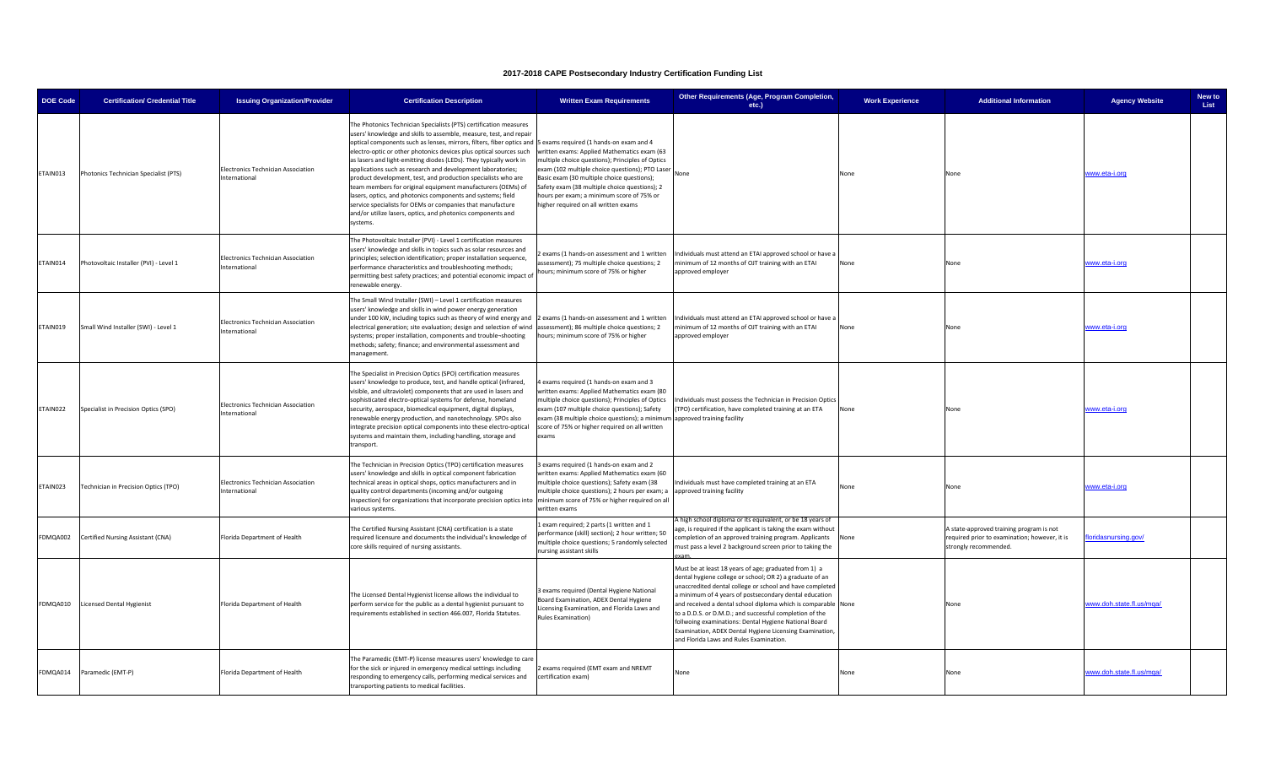| <b>DOE Code</b> | <b>Certification/ Credential Title</b> | <b>Issuing Organization/Provider</b>                       | <b>Certification Description</b>                                                                                                                                                                                                                                                                                                                                                                                                                                                                                                                                                                                                                                                                                                                                                                         | <b>Written Exam Requirements</b>                                                                                                                                                                                                                                                                                                       | Other Requirements (Age, Program Completion,<br>etc.)                                                                                                                                                                                                                                                                                                                                                                                                                                                                            | <b>Work Experience</b> | <b>Additional Information</b>                                                                                      | <b>Agency Website</b>    | New to<br>List |
|-----------------|----------------------------------------|------------------------------------------------------------|----------------------------------------------------------------------------------------------------------------------------------------------------------------------------------------------------------------------------------------------------------------------------------------------------------------------------------------------------------------------------------------------------------------------------------------------------------------------------------------------------------------------------------------------------------------------------------------------------------------------------------------------------------------------------------------------------------------------------------------------------------------------------------------------------------|----------------------------------------------------------------------------------------------------------------------------------------------------------------------------------------------------------------------------------------------------------------------------------------------------------------------------------------|----------------------------------------------------------------------------------------------------------------------------------------------------------------------------------------------------------------------------------------------------------------------------------------------------------------------------------------------------------------------------------------------------------------------------------------------------------------------------------------------------------------------------------|------------------------|--------------------------------------------------------------------------------------------------------------------|--------------------------|----------------|
| TAIN013         | Photonics Technician Specialist (PTS)  | Electronics Technician Association<br>nternational         | he Photonics Technician Specialists (PTS) certification measures<br>isers' knowledge and skills to assemble, measure, test, and repair<br>optical components such as lenses, mirrors, filters, fiber optics and 5 exams required (1 hands-on exam and 4<br>electro-optic or other photonics devices plus optical sources such<br>as lasers and light-emitting diodes (LEDs). They typically work in<br>applications such as research and development laboratories;<br>product development, test, and production specialists who are<br>eam members for original equipment manufacturers (OEMs) of<br>lasers, optics, and photonics components and systems; field<br>service specialists for OEMs or companies that manufacture<br>and/or utilize lasers, optics, and photonics components and<br>vstems. | written exams: Applied Mathematics exam (63<br>multiple choice questions); Principles of Optics<br>exam (102 multiple choice questions); PTO Laser<br>Basic exam (30 multiple choice questions);<br>Safety exam (38 multiple choice questions); 2<br>hours per exam; a minimum score of 75% or<br>higher required on all written exams | None                                                                                                                                                                                                                                                                                                                                                                                                                                                                                                                             | None                   | None                                                                                                               | www.eta-i.org            |                |
| <b>TAIN014</b>  | Photovoltaic Installer (PVI) - Level 1 | Electronics Technician Association<br>nternational         | The Photovoltaic Installer (PVI) - Level 1 certification measures<br>users' knowledge and skills in topics such as solar resources and<br>principles; selection identification; proper installation sequence,<br>erformance characteristics and troubleshooting methods;<br>permitting best safety practices; and potential economic impact of<br>enewable energy.                                                                                                                                                                                                                                                                                                                                                                                                                                       | exams (1 hands-on assessment and 1 written<br>ssessment); 75 multiple choice questions; 2<br>hours; minimum score of 75% or higher                                                                                                                                                                                                     | Individuals must attend an ETAI approved school or have a<br>inimum of 12 months of OJT training with an ETAI<br>approved employer                                                                                                                                                                                                                                                                                                                                                                                               | None                   | None                                                                                                               | ww.eta-i.org             |                |
| ETAIN019        | Small Wind Installer (SWI) - Level 1   | Electronics Technician Association<br>nternational         | The Small Wind Installer (SWI) - Level 1 certification measures<br>users' knowledge and skills in wind power energy generation<br>under 100 kW, including topics such as theory of wind energy and 2 exams (1 hands-on assessment and 1 written<br>electrical generation; site evaluation; design and selection of wind assessment); 86 multiple choice questions; 2<br>systems; proper installation, components and trouble-shooting<br>methods; safety; finance; and environmental assessment and<br>management.                                                                                                                                                                                                                                                                                       | hours; minimum score of 75% or higher                                                                                                                                                                                                                                                                                                  | Individuals must attend an ETAI approved school or have a<br>ninimum of 12 months of OJT training with an ETAI<br>approved employer                                                                                                                                                                                                                                                                                                                                                                                              | None                   | None                                                                                                               | www.eta-i.org            |                |
| <b>TAIN022</b>  | Specialist in Precision Optics (SPO)   | Electronics Technician Association<br>International        | The Specialist in Precision Optics (SPO) certification measures<br>users' knowledge to produce, test, and handle optical (infrared,<br>visible, and ultraviolet) components that are used in lasers and<br>sophisticated electro-optical systems for defense, homeland<br>security, aerospace, biomedical equipment, digital displays,<br>enewable energy production, and nanotechnology. SPOs also<br>ntegrate precision optical components into these electro-optical<br>systems and maintain them, including handling, storage and<br>ransport.                                                                                                                                                                                                                                                       | exams required (1 hands-on exam and 3<br>written exams: Applied Mathematics exam (80<br>multiple choice questions); Principles of Optics<br>exam (107 multiple choice questions); Safety<br>exam (38 multiple choice questions); a minimum approved training facility<br>score of 75% or higher required on all written<br>exams       | Individuals must possess the Technician in Precision Optics<br>TPO) certification, have completed training at an ETA                                                                                                                                                                                                                                                                                                                                                                                                             | None                   | None                                                                                                               | www.eta-i.org            |                |
| <b>TAIN023</b>  | Technician in Precision Optics (TPO)   | Electronics Technician Association<br><b>International</b> | The Technician in Precision Optics (TPO) certification measures<br>users' knowledge and skills in optical component fabrication<br>echnical areas in optical shops, optics manufacturers and in<br>quality control departments (incoming and/or outgoing<br>nspection) for organizations that incorporate precision optics into minimum score of 75% or higher required on all<br>various systems.                                                                                                                                                                                                                                                                                                                                                                                                       | 3 exams required (1 hands-on exam and 2<br>written exams: Applied Mathematics exam (60<br>multiple choice questions); Safety exam (38<br>multiple choice questions); 2 hours per exam; a<br>written exams                                                                                                                              | ndividuals must have completed training at an ETA<br>approved training facility                                                                                                                                                                                                                                                                                                                                                                                                                                                  | None                   | None                                                                                                               | www.eta-i.org            |                |
| FDMQA002        | Certified Nursing Assistant (CNA)      | Florida Department of Health                               | The Certified Nursing Assistant (CNA) certification is a state<br>required licensure and documents the individual's knowledge of<br>core skills required of nursing assistants.                                                                                                                                                                                                                                                                                                                                                                                                                                                                                                                                                                                                                          | 1 exam required; 2 parts (1 written and 1<br>performance (skill) section); 2 hour written; 50<br>multiple choice questions; 5 randomly selected<br>ursing assistant skills                                                                                                                                                             | A high school diploma or its equivalent, or be 18 years of<br>age, is required if the applicant is taking the exam without<br>ompletion of an approved training program. Applicants<br>nust pass a level 2 background screen prior to taking the                                                                                                                                                                                                                                                                                 | None                   | A state-approved training program is not<br>required prior to examination; however, it is<br>strongly recommended. | oridasnursing.gov/       |                |
|                 | FDMQA010 Licensed Dental Hygienist     | Florida Department of Health                               | The Licensed Dental Hygienist license allows the individual to<br>erform service for the public as a dental hygienist pursuant to<br>equirements established in section 466.007, Florida Statutes.                                                                                                                                                                                                                                                                                                                                                                                                                                                                                                                                                                                                       | Bexams required (Dental Hygiene National<br>Board Examination, ADEX Dental Hygiene<br>icensing Examination, and Florida Laws and<br>Rules Examination)                                                                                                                                                                                 | Must be at least 18 years of age; graduated from 1) a<br>dental hygiene college or school; OR 2) a graduate of an<br>unaccredited dental college or school and have completed<br>minimum of 4 years of postsecondary dental education<br>and received a dental school diploma which is comparable None<br>to a D.D.S. or D.M.D.; and successful completion of the<br>follwoing examinations: Dental Hygiene National Board<br>Examination, ADEX Dental Hygiene Licensing Examination,<br>and Florida Laws and Rules Examination. |                        | None                                                                                                               | www.doh.state.fl.us/mga/ |                |
| FDMQA014        | Paramedic (EMT-P)                      | Florida Department of Health                               | The Paramedic (EMT-P) license measures users' knowledge to care<br>for the sick or injured in emergency medical settings including<br>esponding to emergency calls, performing medical services and<br>transporting patients to medical facilities.                                                                                                                                                                                                                                                                                                                                                                                                                                                                                                                                                      | exams required (EMT exam and NREMT<br>certification exam)                                                                                                                                                                                                                                                                              | None                                                                                                                                                                                                                                                                                                                                                                                                                                                                                                                             | None                   | None                                                                                                               | ww.doh.state.fl.us/mqa/  |                |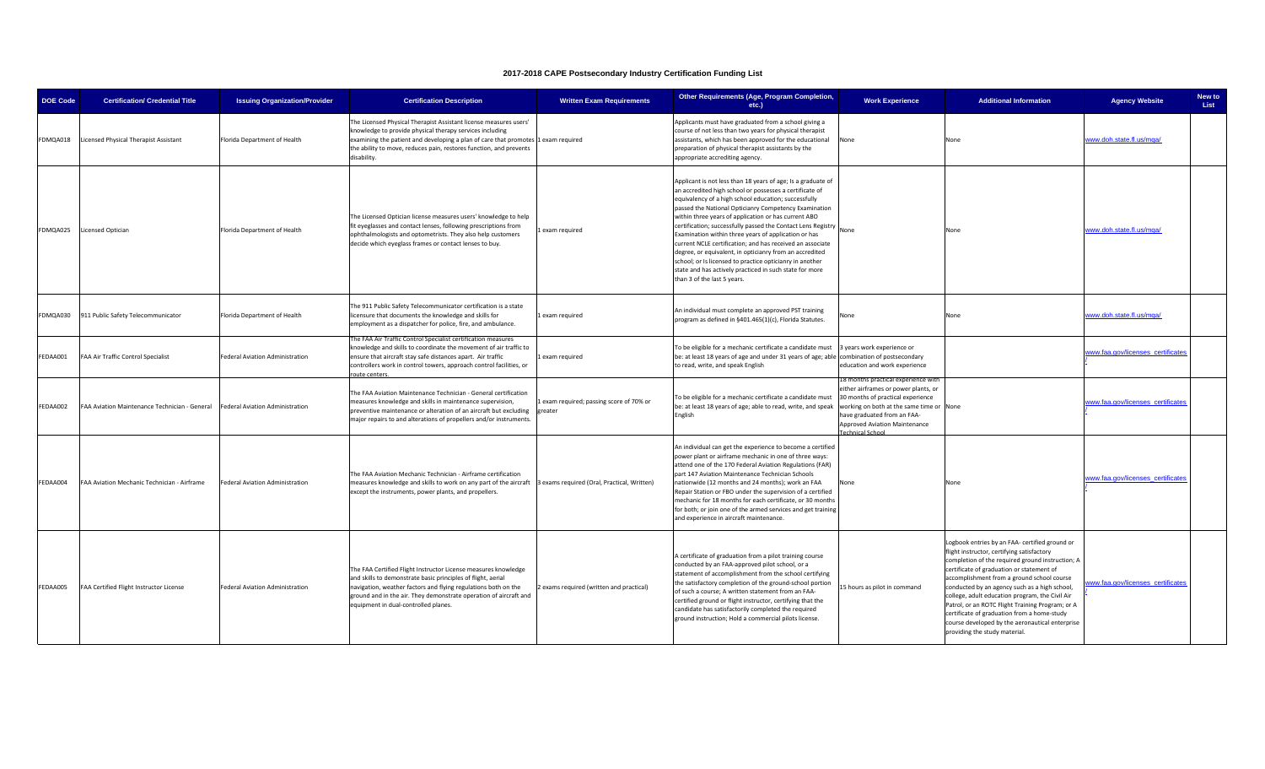| <b>DOE Code</b> | <b>Certification/ Credential Title</b>        | <b>Issuing Organization/Provider</b>   | <b>Certification Description</b>                                                                                                                                                                                                                                                                              | <b>Written Exam Requirements</b>                   | Other Requirements (Age, Program Completion,<br>etc.)                                                                                                                                                                                                                                                                                                                                                                                                                                                                                                                                                                                                                                                  | <b>Work Experience</b>                                                                                                                                                                                                                           | <b>Additional Information</b>                                                                                                                                                                                                                                                                                                                                                                                                                                                                                                          | <b>Agency Website</b>             | New to<br>List |
|-----------------|-----------------------------------------------|----------------------------------------|---------------------------------------------------------------------------------------------------------------------------------------------------------------------------------------------------------------------------------------------------------------------------------------------------------------|----------------------------------------------------|--------------------------------------------------------------------------------------------------------------------------------------------------------------------------------------------------------------------------------------------------------------------------------------------------------------------------------------------------------------------------------------------------------------------------------------------------------------------------------------------------------------------------------------------------------------------------------------------------------------------------------------------------------------------------------------------------------|--------------------------------------------------------------------------------------------------------------------------------------------------------------------------------------------------------------------------------------------------|----------------------------------------------------------------------------------------------------------------------------------------------------------------------------------------------------------------------------------------------------------------------------------------------------------------------------------------------------------------------------------------------------------------------------------------------------------------------------------------------------------------------------------------|-----------------------------------|----------------|
| FDMQA018        | Licensed Physical Therapist Assistant         | Florida Department of Health           | The Licensed Physical Therapist Assistant license measures users'<br>knowledge to provide physical therapy services including<br>examining the patient and developing a plan of care that promotes 1 exam required<br>the ability to move, reduces pain, restores function, and prevents<br>disability.       |                                                    | Applicants must have graduated from a school giving a<br>course of not less than two years for physical therapist<br>assistants, which has been approved for the educational<br>preparation of physical therapist assistants by the<br>appropriate accrediting agency.                                                                                                                                                                                                                                                                                                                                                                                                                                 | None                                                                                                                                                                                                                                             | None                                                                                                                                                                                                                                                                                                                                                                                                                                                                                                                                   | www.doh.state.fl.us/mqa/          |                |
| FDMQA025        | Licensed Optician                             | Florida Department of Health           | The Licensed Optician license measures users' knowledge to help<br>fit eyeglasses and contact lenses, following prescriptions from<br>ophthalmologists and optometrists. They also help customers<br>decide which eyeglass frames or contact lenses to buy.                                                   | exam required                                      | Applicant is not less than 18 years of age; Is a graduate of<br>an accredited high school or possesses a certificate of<br>equivalency of a high school education; successfully<br>passed the National Opticianry Competency Examination<br>within three years of application or has current ABO<br>certification; successfully passed the Contact Lens Registry<br>Examination within three years of application or has<br>current NCLE certification; and has received an associate<br>degree, or equivalent, in opticianry from an accredited<br>school; or Is licensed to practice opticianry in another<br>state and has actively practiced in such state for more<br>than 3 of the last 5 years. | None                                                                                                                                                                                                                                             | None                                                                                                                                                                                                                                                                                                                                                                                                                                                                                                                                   | www.doh.state.fl.us/mqa/          |                |
| FDMQA030        | 911 Public Safety Telecommunicator            | Florida Department of Health           | The 911 Public Safety Telecommunicator certification is a state<br>licensure that documents the knowledge and skills for<br>employment as a dispatcher for police, fire, and ambulance.                                                                                                                       | exam required                                      | An individual must complete an approved PST training<br>program as defined in §401.465(1)(c), Florida Statutes.                                                                                                                                                                                                                                                                                                                                                                                                                                                                                                                                                                                        | lone                                                                                                                                                                                                                                             | None                                                                                                                                                                                                                                                                                                                                                                                                                                                                                                                                   | www.doh.state.fl.us/mqa/          |                |
| FEDAA001        | FAA Air Traffic Control Specialist            | Federal Aviation Administration        | The FAA Air Traffic Control Specialist certification measures<br>knowledge and skills to coordinate the movement of air traffic to<br>ensure that aircraft stay safe distances apart. Air traffic<br>controllers work in control towers, approach control facilities, or<br>ute centers                       | exam required                                      | To be eligible for a mechanic certificate a candidate must<br>be: at least 18 years of age and under 31 years of age; able combination of postsecondary<br>to read, write, and speak English                                                                                                                                                                                                                                                                                                                                                                                                                                                                                                           | 3 years work experience or<br>education and work experience                                                                                                                                                                                      |                                                                                                                                                                                                                                                                                                                                                                                                                                                                                                                                        | www.faa.gov/licenses_certificates |                |
| FEDAA002        | FAA Aviation Maintenance Technician - General | <b>Federal Aviation Administration</b> | The FAA Aviation Maintenance Technician - General certification<br>measures knowledge and skills in maintenance supervision,<br>preventive maintenance or alteration of an aircraft but excluding<br>major repairs to and alterations of propellers and/or instruments.                                       | Lexam required; passing score of 70% or<br>greater | To be eligible for a mechanic certificate a candidate must<br>be: at least 18 years of age; able to read, write, and speak<br>English                                                                                                                                                                                                                                                                                                                                                                                                                                                                                                                                                                  | 18 months practical experience with<br>either airframes or power plants, or<br>30 months of practical experience<br>working on both at the same time or None<br>have graduated from an FAA-<br>Approved Aviation Maintenance<br>Technical School |                                                                                                                                                                                                                                                                                                                                                                                                                                                                                                                                        | www.faa.gov/licenses certificates |                |
| FEDAA004        | FAA Aviation Mechanic Technician - Airframe   | Federal Aviation Administration        | The FAA Aviation Mechanic Technician - Airframe certification<br>measures knowledge and skills to work on any part of the aircraft<br>except the instruments, power plants, and propellers.                                                                                                                   | 3 exams required (Oral, Practical, Written)        | An individual can get the experience to become a certified<br>power plant or airframe mechanic in one of three ways:<br>attend one of the 170 Federal Aviation Regulations (FAR)<br>part 147 Aviation Maintenance Technician Schools<br>nationwide (12 months and 24 months); work an FAA<br>Repair Station or FBO under the supervision of a certified<br>mechanic for 18 months for each certificate, or 30 months<br>for both; or join one of the armed services and get training<br>and experience in aircraft maintenance.                                                                                                                                                                        | Vone                                                                                                                                                                                                                                             | None                                                                                                                                                                                                                                                                                                                                                                                                                                                                                                                                   | vww.faa.gov/licenses certificates |                |
| FEDAA005        | FAA Certified Flight Instructor License       | Federal Aviation Administration        | The FAA Certified Flight Instructor License measures knowledge<br>and skills to demonstrate basic principles of flight, aerial<br>navigation, weather factors and flying regulations both on the<br>ground and in the air. They demonstrate operation of aircraft and<br>equipment in dual-controlled planes. | exams required (written and practical)             | A certificate of graduation from a pilot training course<br>conducted by an FAA-approved pilot school, or a<br>statement of accomplishment from the school certifying<br>the satisfactory completion of the ground-school portion<br>of such a course; A written statement from an FAA-<br>certified ground or flight instructor, certifying that the<br>candidate has satisfactorily completed the required<br>ground instruction; Hold a commercial pilots license.                                                                                                                                                                                                                                  | 15 hours as pilot in command                                                                                                                                                                                                                     | Logbook entries by an FAA- certified ground or<br>flight instructor, certifying satisfactory<br>completion of the required ground instruction; A<br>certificate of graduation or statement of<br>accomplishment from a ground school course<br>conducted by an agency such as a high school,<br>college, adult education program, the Civil Air<br>Patrol, or an ROTC Flight Training Program; or A<br>certificate of graduation from a home-study<br>course developed by the aeronautical enterprise<br>providing the study material. | ww.faa.gov/licenses certificates  |                |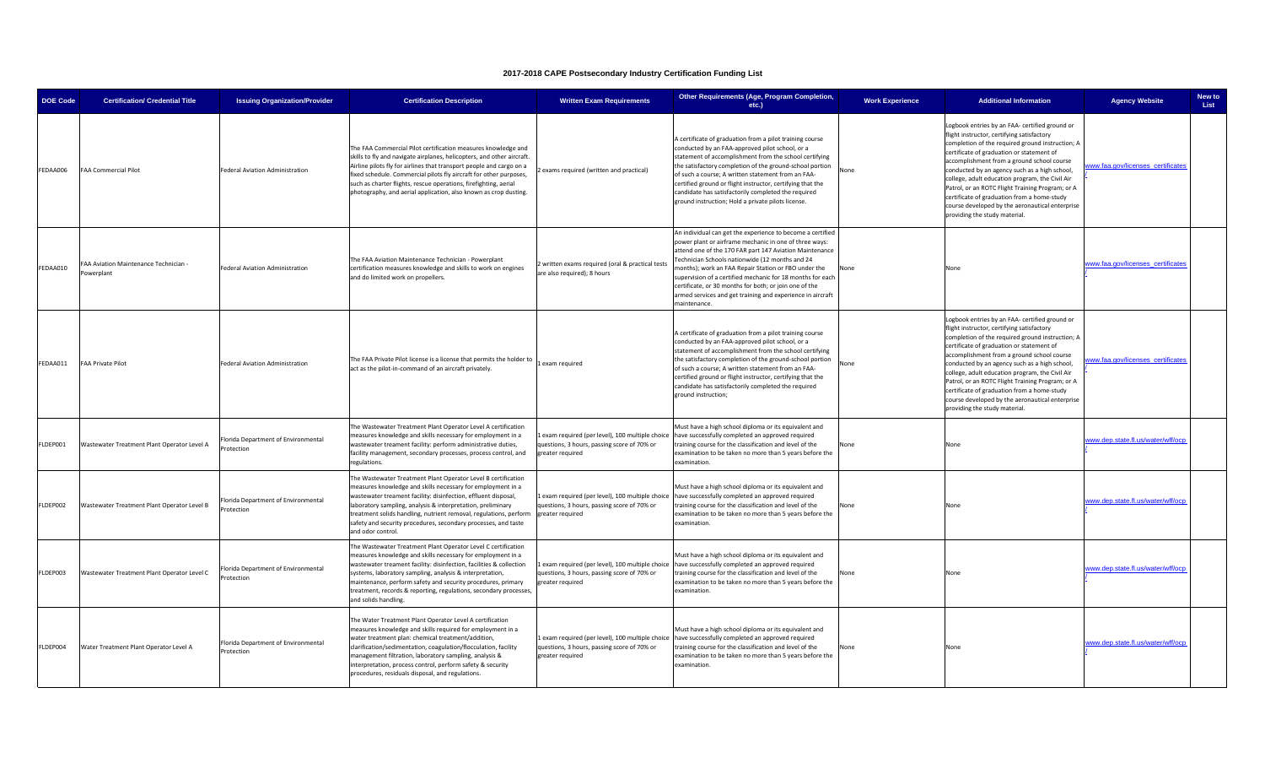| <b>DOE Code</b> | <b>Certification/ Credential Title</b>              | <b>Issuing Organization/Provider</b>              | <b>Certification Description</b>                                                                                                                                                                                                                                                                                                                                                                                              | <b>Written Exam Requirements</b>                                                                                 | Other Requirements (Age, Program Completion,<br>etc.)                                                                                                                                                                                                                                                                                                                                                                                                                                            | <b>Work Experience</b> | <b>Additional Information</b>                                                                                                                                                                                                                                                                                                                                                                                                                                                                                                          | <b>Agency Website</b>             | New to<br>List |
|-----------------|-----------------------------------------------------|---------------------------------------------------|-------------------------------------------------------------------------------------------------------------------------------------------------------------------------------------------------------------------------------------------------------------------------------------------------------------------------------------------------------------------------------------------------------------------------------|------------------------------------------------------------------------------------------------------------------|--------------------------------------------------------------------------------------------------------------------------------------------------------------------------------------------------------------------------------------------------------------------------------------------------------------------------------------------------------------------------------------------------------------------------------------------------------------------------------------------------|------------------------|----------------------------------------------------------------------------------------------------------------------------------------------------------------------------------------------------------------------------------------------------------------------------------------------------------------------------------------------------------------------------------------------------------------------------------------------------------------------------------------------------------------------------------------|-----------------------------------|----------------|
| FEDAA006        | <b>FAA Commercial Pilot</b>                         | Federal Aviation Administration                   | The FAA Commercial Pilot certification measures knowledge and<br>skills to fly and navigate airplanes, helicopters, and other aircraft.<br>Airline pilots fly for airlines that transport people and cargo on a<br>fixed schedule. Commercial pilots fly aircraft for other purposes,<br>such as charter flights, rescue operations, firefighting, aerial<br>ohotography, and aerial application, also known as crop dusting. | exams required (written and practical)                                                                           | A certificate of graduation from a pilot training course<br>conducted by an FAA-approved pilot school, or a<br>statement of accomplishment from the school certifying<br>the satisfactory completion of the ground-school portion<br>of such a course; A written statement from an FAA-<br>certified ground or flight instructor, certifying that the<br>candidate has satisfactorily completed the required<br>ground instruction; Hold a private pilots license.                               | None                   | Logbook entries by an FAA- certified ground or<br>flight instructor, certifying satisfactory<br>completion of the required ground instruction; A<br>certificate of graduation or statement of<br>accomplishment from a ground school course<br>conducted by an agency such as a high school,<br>college, adult education program, the Civil Air<br>Patrol, or an ROTC Flight Training Program; or A<br>certificate of graduation from a home-study<br>course developed by the aeronautical enterprise<br>providing the study material. | ww.faa.gov/licenses certificates  |                |
| FEDAA010        | FAA Aviation Maintenance Technician -<br>Powerplant | Federal Aviation Administration                   | The FAA Aviation Maintenance Technician - Powerplant<br>certification measures knowledge and skills to work on engines<br>and do limited work on propellers.                                                                                                                                                                                                                                                                  | written exams required (oral & practical tests<br>are also required); 8 hours                                    | An individual can get the experience to become a certified<br>power plant or airframe mechanic in one of three ways:<br>attend one of the 170 FAR part 147 Aviation Maintenance<br>Fechnician Schools nationwide (12 months and 24<br>months); work an FAA Repair Station or FBO under the<br>supervision of a certified mechanic for 18 months for each<br>certificate, or 30 months for both; or join one of the<br>armed services and get training and experience in aircraft<br>naintenance. | None                   | None                                                                                                                                                                                                                                                                                                                                                                                                                                                                                                                                   | www.faa.gov/licenses_certificate  |                |
| FEDAA011        | <b>FAA Private Pilot</b>                            | Federal Aviation Administration                   | The FAA Private Pilot license is a license that permits the holder to<br>act as the pilot-in-command of an aircraft privately.                                                                                                                                                                                                                                                                                                | exam required                                                                                                    | A certificate of graduation from a pilot training course<br>conducted by an FAA-approved pilot school, or a<br>statement of accomplishment from the school certifying<br>he satisfactory completion of the ground-school portion<br>of such a course; A written statement from an FAA-<br>certified ground or flight instructor, certifying that the<br>candidate has satisfactorily completed the required<br>ground instruction;                                                               | None                   | ogbook entries by an FAA- certified ground or<br>flight instructor, certifying satisfactory<br>completion of the required ground instruction; A<br>certificate of graduation or statement of<br>accomplishment from a ground school course<br>conducted by an agency such as a high school,<br>college, adult education program, the Civil Air<br>Patrol, or an ROTC Flight Training Program; or A<br>certificate of graduation from a home-study<br>course developed by the aeronautical enterprise<br>providing the study material.  | ww.faa.gov/licenses_certificate   |                |
| FLDEP001        | Wastewater Treatment Plant Operator Level A         | Florida Department of Environmental<br>Protection | The Wastewater Treatment Plant Operator Level A certification<br>neasures knowledge and skills necessary for employment in a<br>wastewater treament facility: perform administrative duties,<br>facility management, secondary processes, process control, and<br>regulations.                                                                                                                                                | exam required (per level), 100 multiple choice<br>questions, 3 hours, passing score of 70% or<br>reater required | Must have a high school diploma or its equivalent and<br>have successfully completed an approved required<br>raining course for the classification and level of the<br>examination to be taken no more than 5 years before the<br>examination.                                                                                                                                                                                                                                                   |                        | None                                                                                                                                                                                                                                                                                                                                                                                                                                                                                                                                   | vww.dep.state.fl.us/water/wff/ocj |                |
| FLDEP002        | Wastewater Treatment Plant Operator Level B         | Florida Department of Environmental<br>Protection | The Wastewater Treatment Plant Operator Level B certification<br>measures knowledge and skills necessary for employment in a<br>wastewater treament facility: disinfection, effluent disposal,<br>laboratory sampling, analysis & interpretation, preliminary<br>treatment solids handling, nutrient removal, regulations, perform<br>safety and security procedures, secondary processes, and taste<br>and odor control.     | questions, 3 hours, passing score of 70% or<br>greater required                                                  | Must have a high school diploma or its equivalent and<br>1 exam required (per level), 100 multiple choice have successfully completed an approved required<br>training course for the classification and level of the<br>examination to be taken no more than 5 years before the<br>examination.                                                                                                                                                                                                 |                        | None                                                                                                                                                                                                                                                                                                                                                                                                                                                                                                                                   | www.dep.state.fl.us/water/wff/ocp |                |
| FLDEP003        | Wastewater Treatment Plant Operator Level C         | Florida Department of Environmental<br>rotection  | The Wastewater Treatment Plant Operator Level C certification<br>measures knowledge and skills necessary for employment in a<br>wastewater treament facility: disinfection, facilities & collection<br>systems, laboratory sampling, analysis & interpretation,<br>maintenance, perform safety and security procedures, primary<br>reatment, records & reporting, regulations, secondary processes,<br>and solids handling.   | questions, 3 hours, passing score of 70% or<br>reater required                                                   | Must have a high school diploma or its equivalent and<br>Lexam required (per level), 100 multiple choice have successfully completed an approved required<br>training course for the classification and level of the<br>examination to be taken no more than 5 years before the<br>examination.                                                                                                                                                                                                  | lone                   | None                                                                                                                                                                                                                                                                                                                                                                                                                                                                                                                                   | www.dep.state.fl.us/water/wff/ocp |                |
| FLDEP004        | Water Treatment Plant Operator Level A              | Florida Department of Environmental<br>Protection | The Water Treatment Plant Operator Level A certification<br>measures knowledge and skills required for employment in a<br>water treatment plan: chemical treatment/addition,<br>clarification/sedimentation, coagulation/flocculation, facility<br>management filtration, laboratory sampling, analysis &<br>nterpretation, process control, perform safety & security<br>procedures, residuals disposal, and regulations.    | questions, 3 hours, passing score of 70% or<br>greater required                                                  | Must have a high school diploma or its equivalent and<br>Lexam required (per level), 100 multiple choice have successfully completed an approved required<br>raining course for the classification and level of the<br>examination to be taken no more than 5 years before the<br>examination.                                                                                                                                                                                                   | Jone                   | None                                                                                                                                                                                                                                                                                                                                                                                                                                                                                                                                   | www.dep.state.fl.us/water/wff/ocp |                |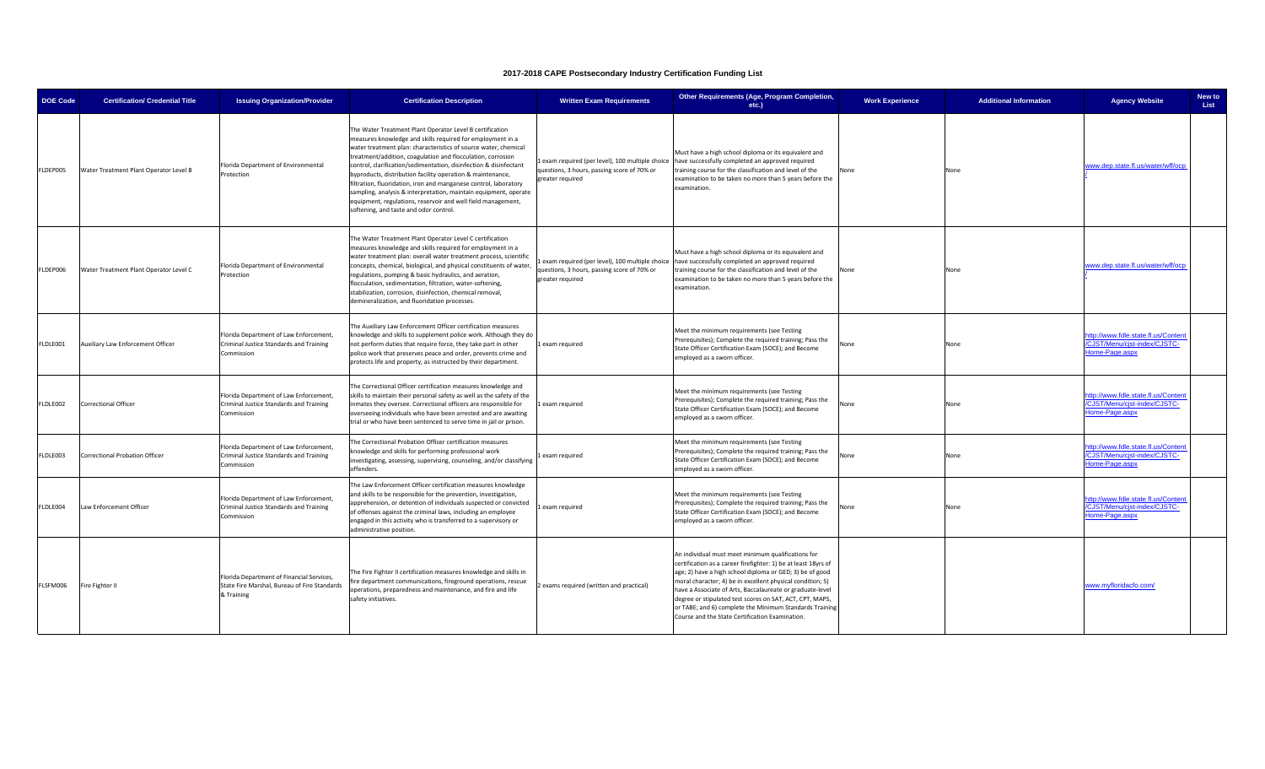| <b>DOE Code</b> | <b>Certification/ Credential Title</b> | <b>Issuing Organization/Provider</b>                                                                    | <b>Certification Description</b>                                                                                                                                                                                                                                                                                                                                                                                                                                                                                                                                                                                                              | <b>Written Exam Requirements</b>                                                                                   | Other Requirements (Age, Program Completion,<br>$etc.$ )                                                                                                                                                                                                                                                                                                                                                                                                                              | <b>Work Experience</b> | <b>Additional Information</b> | <b>Agency Website</b>                                                                 | New to<br>List |
|-----------------|----------------------------------------|---------------------------------------------------------------------------------------------------------|-----------------------------------------------------------------------------------------------------------------------------------------------------------------------------------------------------------------------------------------------------------------------------------------------------------------------------------------------------------------------------------------------------------------------------------------------------------------------------------------------------------------------------------------------------------------------------------------------------------------------------------------------|--------------------------------------------------------------------------------------------------------------------|---------------------------------------------------------------------------------------------------------------------------------------------------------------------------------------------------------------------------------------------------------------------------------------------------------------------------------------------------------------------------------------------------------------------------------------------------------------------------------------|------------------------|-------------------------------|---------------------------------------------------------------------------------------|----------------|
| LDEP005         | Water Treatment Plant Operator Level B | Florida Department of Environmental<br>Protection                                                       | The Water Treatment Plant Operator Level B certification<br>measures knowledge and skills required for employment in a<br>water treatment plan: characteristics of source water, chemical<br>treatment/addition, coagulation and flocculation, corrosion<br>control, clarification/sedimentation, disinfection & disinfectant<br>byproducts, distribution facility operation & maintenance,<br>filtration, fluoridation, iron and manganese control, laboratory<br>sampling, analysis & interpretation, maintain equipment, operate<br>equipment, regulations, reservoir and well field management,<br>softening, and taste and odor control. | Lexam required (per level), 100 multiple choice<br>questions, 3 hours, passing score of 70% or<br>greater required | Must have a high school diploma or its equivalent and<br>have successfully completed an approved required<br>training course for the classification and level of the<br>examination to be taken no more than 5 years before the<br>examination                                                                                                                                                                                                                                        | None                   | None                          | www.dep.state.fl.us/water/wff/ocp                                                     |                |
| LDEP006         | Water Treatment Plant Operator Level C | Florida Department of Environmental<br>Protection                                                       | The Water Treatment Plant Operator Level C certification<br>measures knowledge and skills required for employment in a<br>water treatment plan: overall water treatment process, scientific<br>concepts, chemical, biological, and physical constituents of water,<br>regulations, pumping & basic hydraulics, and aeration,<br>flocculation, sedimentation, filtration, water-softening,<br>stabilization, corrosion, disinfection, chemical removal,<br>demineralization, and fluoridation processes.                                                                                                                                       | questions, 3 hours, passing score of 70% or<br>greater required                                                    | Must have a high school diploma or its equivalent and<br>Lexam required (per level), 100 multiple choice have successfully completed an approved required<br>training course for the classification and level of the<br>examination to be taken no more than 5 years before the<br>examination.                                                                                                                                                                                       | None                   | None                          | www.dep.state.fl.us/water/wff/ocp                                                     |                |
| LDLE001         | Auxiliary Law Enforcement Officer      | Florida Department of Law Enforcement,<br>Criminal Justice Standards and Training<br>Commission         | The Auxiliary Law Enforcement Officer certification measures<br>knowledge and skills to supplement police work. Although they do<br>not perform duties that require force, they take part in other<br>police work that preserves peace and order, prevents crime and<br>protects life and property, as instructed by their department.                                                                                                                                                                                                                                                                                                        | 1 exam required                                                                                                    | Meet the minimum requirements (see Testing<br>Prerequisites); Complete the required training; Pass the<br>State Officer Certification Exam (SOCE); and Become<br>employed as a sworn officer.                                                                                                                                                                                                                                                                                         | None                   | None                          | ittp://www.fdle.state.fl.us/Content<br>CJST/Menu/cjst-index/CJSTC-<br>Home-Page.aspx  |                |
| LDLE002         | Correctional Officer                   | Florida Department of Law Enforcement,<br>Criminal Justice Standards and Training<br>Commission         | The Correctional Officer certification measures knowledge and<br>skills to maintain their personal safety as well as the safety of the<br>inmates they oversee. Correctional officers are responsible for<br>overseeing individuals who have been arrested and are awaiting<br>trial or who have been sentenced to serve time in jail or prison.                                                                                                                                                                                                                                                                                              | Lexam required                                                                                                     | Meet the minimum requirements (see Testing<br>Prerequisites); Complete the required training; Pass the<br>State Officer Certification Exam (SOCE); and Become<br>employed as a sworn officer.                                                                                                                                                                                                                                                                                         | None                   | None                          | ttp://www.fdle.state.fl.us/Content<br>CJST/Menu/cjst-index/CJSTC-<br>Home-Page.aspx   |                |
| LDLE003         | <b>Correctional Probation Officer</b>  | Florida Department of Law Enforcement,<br>Criminal Justice Standards and Training<br>Commission         | The Correctional Probation Officer certification measures<br>knowledge and skills for performing professional work<br>investigating, assessing, supervising, counseling, and/or classifying<br>offenders.                                                                                                                                                                                                                                                                                                                                                                                                                                     | Lexam required                                                                                                     | Meet the minimum requirements (see Testing<br>Prerequisites); Complete the required training; Pass the<br>State Officer Certification Exam (SOCE); and Become<br>employed as a sworn officer.                                                                                                                                                                                                                                                                                         | None                   | None                          | http://www.fdle.state.fl.us/Content<br>/CJST/Menu/cjst-index/CJSTC-<br>Home-Page.aspx |                |
| LDLE004         | Law Enforcement Officer                | Florida Department of Law Enforcement,<br>Criminal Justice Standards and Training<br>Commission         | The Law Enforcement Officer certification measures knowledge<br>and skills to be responsible for the prevention, investigation,<br>apprehension, or detention of individuals suspected or convicted<br>of offenses against the criminal laws, including an employee<br>engaged in this activity who is transferred to a supervisory or<br>administrative position.                                                                                                                                                                                                                                                                            | Lexam required                                                                                                     | Meet the minimum requirements (see Testing<br>Prerequisites); Complete the required training; Pass the<br>State Officer Certification Exam (SOCE); and Become<br>employed as a sworn officer.                                                                                                                                                                                                                                                                                         | None                   | None                          | http://www.fdle.state.fl.us/Content<br>CJST/Menu/cjst-index/CJSTC-<br>Home-Page.aspx  |                |
| LSFM006         | Fire Fighter II                        | Florida Department of Financial Services,<br>State Fire Marshal, Bureau of Fire Standards<br>& Training | The Fire Fighter II certification measures knowledge and skills in<br>fire department communications, fireground operations, rescue<br>operations, preparedness and maintenance, and fire and life<br>safety initiatives.                                                                                                                                                                                                                                                                                                                                                                                                                     | exams required (written and practical)                                                                             | An individual must meet minimum qualifications for<br>certification as a career firefighter: 1) be at least 18yrs of<br>age; 2) have a high school diploma or GED; 3) be of good<br>moral character; 4) be in excellent physical condition; 5)<br>have a Associate of Arts, Baccalaureate or graduate-level<br>degree or stipulated test scores on SAT, ACT, CPT, MAPS,<br>or TABE; and 6) complete the Minimum Standards Training<br>Course and the State Certification Examination. |                        |                               | www.myfloridacfo.com/                                                                 |                |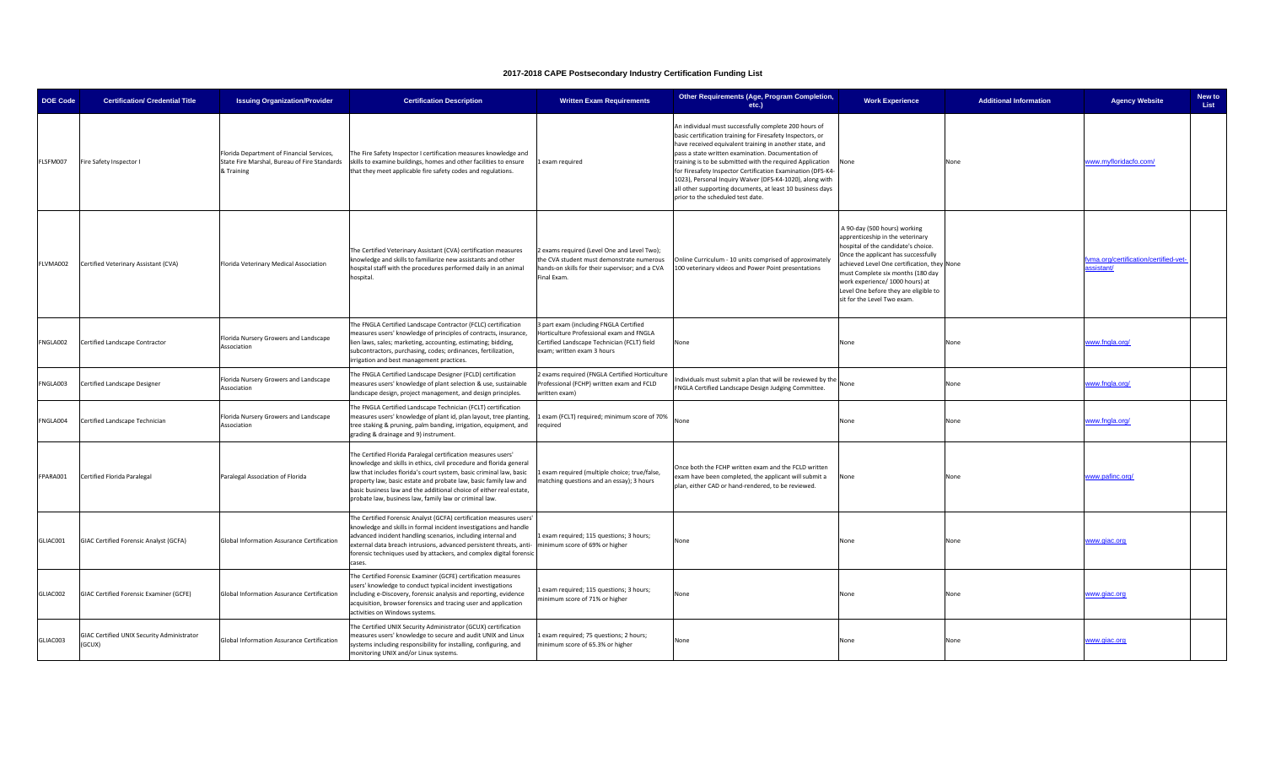| <b>DOE Code</b> | <b>Certification/ Credential Title</b>               | <b>Issuing Organization/Provider</b>                                                                    | <b>Certification Description</b>                                                                                                                                                                                                                                                                                                                                                                                 | <b>Written Exam Requirements</b>                                                                                                                                | Other Requirements (Age, Program Completion,<br>etc.)                                                                                                                                                                                                                                                                                                                                                                                                                                                                          | <b>Work Experience</b>                                                                                                                                                                                                                                                                                                                       | <b>Additional Information</b> | <b>Agency Website</b>                             | New to<br>List |
|-----------------|------------------------------------------------------|---------------------------------------------------------------------------------------------------------|------------------------------------------------------------------------------------------------------------------------------------------------------------------------------------------------------------------------------------------------------------------------------------------------------------------------------------------------------------------------------------------------------------------|-----------------------------------------------------------------------------------------------------------------------------------------------------------------|--------------------------------------------------------------------------------------------------------------------------------------------------------------------------------------------------------------------------------------------------------------------------------------------------------------------------------------------------------------------------------------------------------------------------------------------------------------------------------------------------------------------------------|----------------------------------------------------------------------------------------------------------------------------------------------------------------------------------------------------------------------------------------------------------------------------------------------------------------------------------------------|-------------------------------|---------------------------------------------------|----------------|
| FLSFM007        | Fire Safety Inspector I                              | Florida Department of Financial Services,<br>State Fire Marshal, Bureau of Fire Standards<br>& Training | The Fire Safety Inspector I certification measures knowledge and<br>skills to examine buildings, homes and other facilities to ensure<br>that they meet applicable fire safety codes and regulations.                                                                                                                                                                                                            | Lexam required                                                                                                                                                  | An individual must successfully complete 200 hours of<br>basic certification training for Firesafety Inspectors, or<br>have received equivalent training in another state, and<br>pass a state written examination. Documentation of<br>training is to be submitted with the required Application<br>for Firesafety Inspector Certification Examination (DFS-K4-<br>1023), Personal Inquiry Waiver (DFS-K4-1020), along with<br>all other supporting documents, at least 10 business days<br>prior to the scheduled test date. | None                                                                                                                                                                                                                                                                                                                                         | None                          | www.myfloridacfo.com/                             |                |
| FLVMA002        | Certified Veterinary Assistant (CVA)                 | Florida Veterinary Medical Association                                                                  | The Certified Veterinary Assistant (CVA) certification measures<br>nowledge and skills to familiarize new assistants and other<br>hospital staff with the procedures performed daily in an animal<br>hospital.                                                                                                                                                                                                   | 2 exams required (Level One and Level Two);<br>he CVA student must demonstrate numerous<br>ands-on skills for their supervisor; and a CVA<br>Final Exam.        | Online Curriculum - 10 units comprised of approximately<br>100 veterinary videos and Power Point presentations                                                                                                                                                                                                                                                                                                                                                                                                                 | A 90-day (500 hours) working<br>apprenticeship in the veterinary<br>hospital of the candidate's choice.<br>Once the applicant has successfully<br>chieved Level One certification, they None<br>must Complete six months (180 day<br>work experience/ 1000 hours) at<br>Level One before they are eligible to<br>sit for the Level Two exam. |                               | ivma.org/certification/certified-vet<br>ssistant/ |                |
| FNGLA002        | Certified Landscape Contractor                       | Florida Nursery Growers and Landscape<br>Association                                                    | The FNGLA Certified Landscape Contractor (FCLC) certification<br>measures users' knowledge of principles of contracts, insurance,<br>lien laws, sales; marketing, accounting, estimating; bidding,<br>subcontractors, purchasing, codes; ordinances, fertilization,<br>irrigation and best management practices.                                                                                                 | 3 part exam (including FNGLA Certified<br>Horticulture Professional exam and FNGLA<br>Certified Landscape Technician (FCLT) field<br>exam; written exam 3 hours | None                                                                                                                                                                                                                                                                                                                                                                                                                                                                                                                           | None                                                                                                                                                                                                                                                                                                                                         | None                          | www.fngla.org/                                    |                |
| FNGLA003        | Certified Landscape Designer                         | Florida Nursery Growers and Landscape<br>Association                                                    | The FNGLA Certified Landscape Designer (FCLD) certification<br>measures users' knowledge of plant selection & use, sustainable<br>landscape design, project management, and design principles.                                                                                                                                                                                                                   | exams required (FNGLA Certified Horticulture<br>Professional (FCHP) written exam and FCLD<br>written exam)                                                      | ndividuals must submit a plan that will be reviewed by the<br>FNGLA Certified Landscape Design Judging Committee.                                                                                                                                                                                                                                                                                                                                                                                                              | None                                                                                                                                                                                                                                                                                                                                         | None                          | www.fngla.org/                                    |                |
| FNGLA004        | Certified Landscape Technician                       | Florida Nursery Growers and Landscape<br>Association                                                    | The FNGLA Certified Landscape Technician (FCLT) certification<br>measures users' knowledge of plant id, plan layout, tree planting,<br>tree staking & pruning, palm banding, irrigation, equipment, and<br>grading & drainage and 9) instrument.                                                                                                                                                                 | exam (FCLT) required; minimum score of 70%<br>equired                                                                                                           | None                                                                                                                                                                                                                                                                                                                                                                                                                                                                                                                           | None                                                                                                                                                                                                                                                                                                                                         | None                          | www.fngla.org/                                    |                |
| FPARA001        | Certified Florida Paralegal                          | Paralegal Association of Florida                                                                        | The Certified Florida Paralegal certification measures users'<br>knowledge and skills in ethics, civil procedure and florida general<br>law that includes florida's court system, basic criminal law, basic<br>property law, basic estate and probate law, basic family law and<br>basic business law and the additional choice of either real estate,<br>probate law, business law, family law or criminal law. | exam required (multiple choice; true/false,<br>natching questions and an essay); 3 hours                                                                        | Once both the FCHP written exam and the FCLD written<br>xam have been completed, the applicant will submit a<br>plan, either CAD or hand-rendered, to be reviewed.                                                                                                                                                                                                                                                                                                                                                             | None                                                                                                                                                                                                                                                                                                                                         | None                          | www.pafinc.org/                                   |                |
| GLIAC001        | GIAC Certified Forensic Analyst (GCFA)               | Global Information Assurance Certification                                                              | The Certified Forensic Analyst (GCFA) certification measures users'<br>knowledge and skills in formal incident investigations and handle<br>advanced incident handling scenarios, including internal and<br>external data breach intrusions, advanced persistent threats, anti-<br>forensic techniques used by attackers, and complex digital forensic<br>cases.                                                 | Lexam required; 115 questions; 3 hours;<br>ninimum score of 69% or higher                                                                                       | None                                                                                                                                                                                                                                                                                                                                                                                                                                                                                                                           | None                                                                                                                                                                                                                                                                                                                                         | None                          | www.giac.org                                      |                |
| GLIAC002        | GIAC Certified Forensic Examiner (GCFE)              | Global Information Assurance Certification                                                              | The Certified Forensic Examiner (GCFE) certification measures<br>users' knowledge to conduct typical incident investigations<br>including e-Discovery, forensic analysis and reporting, evidence<br>acquisition, browser forensics and tracing user and application<br>activities on Windows systems.                                                                                                            | exam required; 115 questions; 3 hours;<br>inimum score of 71% or higher                                                                                         | None                                                                                                                                                                                                                                                                                                                                                                                                                                                                                                                           | None                                                                                                                                                                                                                                                                                                                                         | None                          | www.giac.org                                      |                |
| GLIAC003        | GIAC Certified UNIX Security Administrator<br>(GCUX) | Global Information Assurance Certification                                                              | The Certified UNIX Security Administrator (GCUX) certification<br>neasures users' knowledge to secure and audit UNIX and Linux<br>systems including responsibility for installing, configuring, and<br>monitoring UNIX and/or Linux systems.                                                                                                                                                                     | exam required; 75 questions; 2 hours;<br>minimum score of 65.3% or higher                                                                                       | None                                                                                                                                                                                                                                                                                                                                                                                                                                                                                                                           | None                                                                                                                                                                                                                                                                                                                                         | None                          | www.giac.org                                      |                |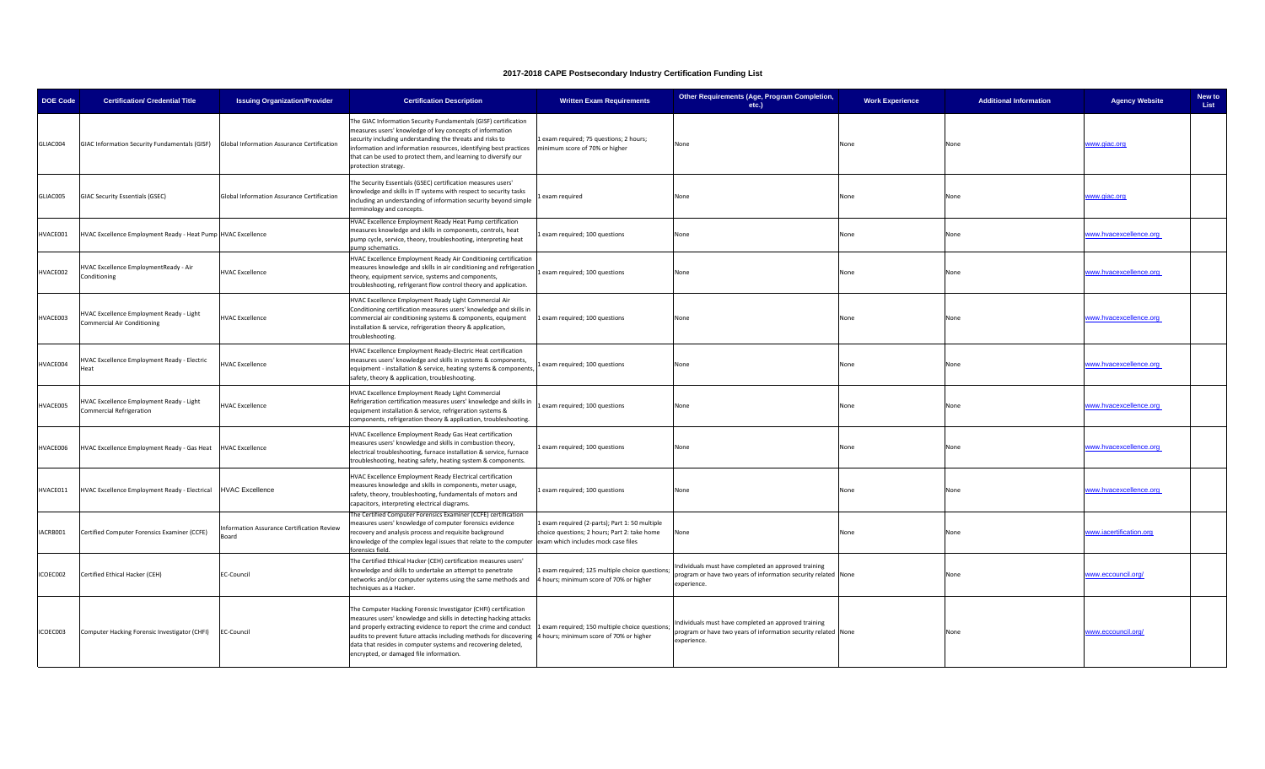| <b>DOE Code</b> | <b>Certification/ Credential Title</b>                                                   | <b>Issuing Organization/Provider</b>               | <b>Certification Description</b>                                                                                                                                                                                                                                                                                                                                                           | <b>Written Exam Requirements</b>                                                                                                    | Other Requirements (Age, Program Completion,<br>etc.)                                                                                 | <b>Work Experience</b> | <b>Additional Information</b> | <b>Agency Website</b>   | New to<br>List |
|-----------------|------------------------------------------------------------------------------------------|----------------------------------------------------|--------------------------------------------------------------------------------------------------------------------------------------------------------------------------------------------------------------------------------------------------------------------------------------------------------------------------------------------------------------------------------------------|-------------------------------------------------------------------------------------------------------------------------------------|---------------------------------------------------------------------------------------------------------------------------------------|------------------------|-------------------------------|-------------------------|----------------|
| GLIAC004        | GIAC Information Security Fundamentals (GISF) Global Information Assurance Certification |                                                    | The GIAC Information Security Fundamentals (GISF) certification<br>measures users' knowledge of key concepts of information<br>security including understanding the threats and risks to<br>nformation and information resources, identifying best practices<br>that can be used to protect them, and learning to diversify our<br>protection strategy.                                    | 1 exam required; 75 questions; 2 hours;<br>minimum score of 70% or higher                                                           | None                                                                                                                                  | None                   | None                          | www.giac.org            |                |
| GLIAC005        | <b>GIAC Security Essentials (GSEC)</b>                                                   | Global Information Assurance Certification         | The Security Essentials (GSEC) certification measures users'<br>nowledge and skills in IT systems with respect to security tasks<br>including an understanding of information security beyond simple<br>erminology and concepts.                                                                                                                                                           | exam required                                                                                                                       | None                                                                                                                                  | None                   | None                          | www.giac.org            |                |
| HVACE001        | HVAC Excellence Employment Ready - Heat Pump HVAC Excellence                             |                                                    | HVAC Excellence Employment Ready Heat Pump certification<br>measures knowledge and skills in components, controls, heat<br>ump cycle, service, theory, troubleshooting, interpreting heat<br>ump schematics.                                                                                                                                                                               | exam required; 100 questions                                                                                                        | None                                                                                                                                  | None                   | None                          | ww.hvacexcellence.org   |                |
| HVACE002        | HVAC Excellence EmploymentReady - Air<br>Conditioning                                    | <b>HVAC Excellence</b>                             | HVAC Excellence Employment Ready Air Conditioning certification<br>measures knowledge and skills in air conditioning and refrigeration<br>heory, equipment service, systems and components,<br>roubleshooting, refrigerant flow control theory and application.                                                                                                                            | exam required; 100 questions                                                                                                        | None                                                                                                                                  | None                   | None                          | vww.hvacexcellence.org  |                |
| HVACE003        | HVAC Excellence Employment Ready - Light<br><b>Commercial Air Conditioning</b>           | <b>HVAC Excellence</b>                             | HVAC Excellence Employment Ready Light Commercial Air<br>Conditioning certification measures users' knowledge and skills in<br>commercial air conditioning systems & components, equipment<br>nstallation & service, refrigeration theory & application,<br>roubleshooting.                                                                                                                | 1 exam required; 100 questions                                                                                                      | None                                                                                                                                  | None                   | None                          | www.hvacexcellence.org  |                |
| HVACE004        | HVAC Excellence Employment Ready - Electric<br>Heat                                      | <b>HVAC Excellence</b>                             | HVAC Excellence Employment Ready-Electric Heat certification<br>measures users' knowledge and skills in systems & components,<br>equipment - installation & service, heating systems & components<br>afety, theory & application, troubleshooting.                                                                                                                                         | exam required; 100 questions                                                                                                        | None                                                                                                                                  | None                   | None                          | vww.hvacexcellence.org  |                |
| HVACE005        | HVAC Excellence Employment Ready - Light<br><b>Commercial Refrigeration</b>              | <b>HVAC Excellence</b>                             | HVAC Excellence Employment Ready Light Commercial<br>Refrigeration certification measures users' knowledge and skills in<br>equipment installation & service, refrigeration systems &<br>omponents, refrigeration theory & application, troubleshooting.                                                                                                                                   | 1 exam required; 100 questions                                                                                                      | None                                                                                                                                  | None                   | None                          | ww.hvacexcellence.org   |                |
| HVACE006        | HVAC Excellence Employment Ready - Gas Heat HVAC Excellence                              |                                                    | HVAC Excellence Employment Ready Gas Heat certification<br>measures users' knowledge and skills in combustion theory,<br>electrical troubleshooting, furnace installation & service, furnace<br>roubleshooting, heating safety, heating system & components.                                                                                                                               | exam required; 100 questions                                                                                                        | None                                                                                                                                  | None                   | None                          | vww.hvacexcellence.org  |                |
| HVACE011        | HVAC Excellence Employment Ready - Electrical                                            | <b>HVAC Excellence</b>                             | HVAC Excellence Employment Ready Electrical certification<br>measures knowledge and skills in components, meter usage,<br>safety, theory, troubleshooting, fundamentals of motors and<br>capacitors, interpreting electrical diagrams.                                                                                                                                                     | exam required; 100 questions                                                                                                        | None                                                                                                                                  | None                   | None                          | www.hvacexcellence.org  |                |
| ACRB001         | Certified Computer Forensics Examiner (CCFE)                                             | nformation Assurance Certification Review<br>Board | The Certified Computer Forensics Examiner (CCFE) certification<br>measures users' knowledge of computer forensics evidence<br>ecovery and analysis process and requisite background<br>knowledge of the complex legal issues that relate to the computer<br>rensics field.                                                                                                                 | exam required (2-parts); Part 1: 50 multiple<br>choice questions; 2 hours; Part 2: take home<br>exam which includes mock case files | None                                                                                                                                  | None                   | None                          | www.iacertification.org |                |
| ICOEC002        | Certified Ethical Hacker (CEH)                                                           | EC-Council                                         | The Certified Ethical Hacker (CEH) certification measures users'<br>mowledge and skills to undertake an attempt to penetrate<br>networks and/or computer systems using the same methods and<br>techniques as a Hacker.                                                                                                                                                                     | exam required; 125 multiple choice questions;<br>4 hours; minimum score of 70% or higher                                            | Individuals must have completed an approved training<br>rogram or have two years of information security related None<br>experience.  |                        | None                          | www.eccouncil.org/      |                |
| ICOEC003        | Computer Hacking Forensic Investigator (CHFI)                                            | <b>EC-Council</b>                                  | The Computer Hacking Forensic Investigator (CHFI) certification<br>measures users' knowledge and skills in detecting hacking attacks<br>and properly extracting evidence to report the crime and conduct<br>audits to prevent future attacks including methods for discovering<br>data that resides in computer systems and recovering deleted,<br>encrypted, or damaged file information. | exam required; 150 multiple choice questions;<br>4 hours; minimum score of 70% or higher                                            | Individuals must have completed an approved training<br>program or have two years of information security related None<br>experience. |                        | None                          | www.eccouncil.org/      |                |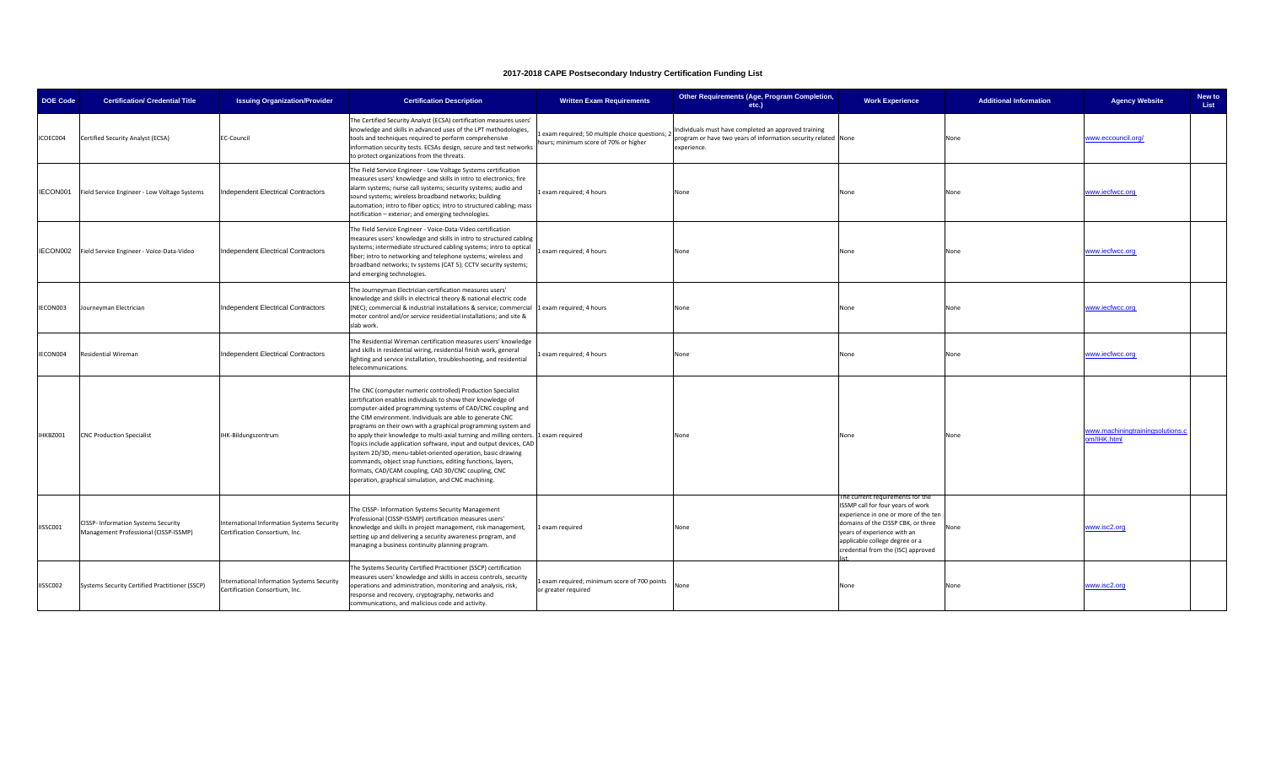| <b>DOE Code</b> | <b>Certification/ Credential Title</b>                                       | <b>Issuing Organization/Provider</b>                                         | <b>Certification Description</b>                                                                                                                                                                                                                                                                                                                                                                                                                                                                                                                                                                                                                                                                                 | <b>Written Exam Requirements</b>                                                      | Other Requirements (Age, Program Completion,<br>etc.)                                                                                 | <b>Work Experience</b>                                                                                                                                                                                                                                     | <b>Additional Information</b> | <b>Agency Website</b>                           | New to<br>List |
|-----------------|------------------------------------------------------------------------------|------------------------------------------------------------------------------|------------------------------------------------------------------------------------------------------------------------------------------------------------------------------------------------------------------------------------------------------------------------------------------------------------------------------------------------------------------------------------------------------------------------------------------------------------------------------------------------------------------------------------------------------------------------------------------------------------------------------------------------------------------------------------------------------------------|---------------------------------------------------------------------------------------|---------------------------------------------------------------------------------------------------------------------------------------|------------------------------------------------------------------------------------------------------------------------------------------------------------------------------------------------------------------------------------------------------------|-------------------------------|-------------------------------------------------|----------------|
| ICOEC004        | Certified Security Analyst (ECSA)                                            | <b>EC-Council</b>                                                            | The Certified Security Analyst (ECSA) certification measures users'<br>mowledge and skills in advanced uses of the LPT methodologies,<br>tools and techniques required to perform comprehensive<br>information security tests. ECSAs design, secure and test networks<br>to protect organizations from the threats.                                                                                                                                                                                                                                                                                                                                                                                              | exam required; 50 multiple choice questions;<br>hours; minimum score of 70% or higher | Individuals must have completed an approved training<br>program or have two years of information security related None<br>experience. |                                                                                                                                                                                                                                                            | None                          | www.eccouncil.org/                              |                |
| IECON001        | Field Service Engineer - Low Voltage Systems                                 | <b>Independent Electrical Contractors</b>                                    | The Field Service Engineer - Low Voltage Systems certification<br>measures users' knowledge and skills in intro to electronics; fire<br>alarm systems; nurse call systems; security systems; audio and<br>sound systems; wireless broadband networks; building<br>automation; intro to fiber optics; intro to structured cabling; mass<br>notification - exterior; and emerging technologies.                                                                                                                                                                                                                                                                                                                    | exam required; 4 hours                                                                | None                                                                                                                                  | None                                                                                                                                                                                                                                                       | None                          | www.iecfwcc.org                                 |                |
| IECON002        | Field Service Engineer - Voice-Data-Video                                    | <b>Independent Electrical Contractors</b>                                    | The Field Service Engineer - Voice-Data-Video certification<br>measures users' knowledge and skills in intro to structured cabling<br>systems; intermediate structured cabling systems; intro to optical<br>fiber; intro to networking and telephone systems; wireless and<br>broadband networks; tv systems (CAT 5); CCTV security systems;<br>and emerging technologies.                                                                                                                                                                                                                                                                                                                                       | exam required; 4 hours                                                                | None                                                                                                                                  | None                                                                                                                                                                                                                                                       | None                          | www.iecfwcc.org                                 |                |
| IECON003        | Journeyman Electrician                                                       | Independent Electrical Contractors                                           | The Journeyman Electrician certification measures users'<br>knowledge and skills in electrical theory & national electric code<br>(NEC); commercial & industrial installations & service; commercial<br>motor control and/or service residential installations; and site &<br>slab work.                                                                                                                                                                                                                                                                                                                                                                                                                         | 1 exam required; 4 hours                                                              | None                                                                                                                                  | None                                                                                                                                                                                                                                                       | None                          | www.iecfwcc.org                                 |                |
| ECON004         | <b>Residential Wireman</b>                                                   | <b>Independent Electrical Contractors</b>                                    | The Residential Wireman certification measures users' knowledge<br>and skills in residential wiring, residential finish work, general<br>lighting and service installation, troubleshooting, and residential<br>telecommunications.                                                                                                                                                                                                                                                                                                                                                                                                                                                                              | exam required; 4 hours                                                                | None                                                                                                                                  | None                                                                                                                                                                                                                                                       | None                          | www.iecfwcc.org                                 |                |
| IHKBZ001        | <b>CNC Production Specialist</b>                                             | IHK-Bildungszentrum                                                          | The CNC (computer numeric controlled) Production Specialist<br>certification enables individuals to show their knowledge of<br>computer-aided programming systems of CAD/CNC coupling and<br>he CIM environment. Individuals are able to generate CNC<br>programs on their own with a graphical programming system and<br>to apply their knowledge to multi-axial turning and milling centers.<br>Topics include application software, input and output devices, CAD<br>system 2D/3D, menu-tablet-oriented operation, basic drawing<br>commands, object snap functions, editing functions, layers,<br>formats, CAD/CAM coupling, CAD 3D/CNC coupling, CNC<br>operation, graphical simulation, and CNC machining. | 1 exam required                                                                       | None                                                                                                                                  | None                                                                                                                                                                                                                                                       | None                          | www.machiningtrainingsolutions.o<br>om/IHK.html |                |
| IISSC001        | CISSP- Information Systems Security<br>Management Professional (CISSP-ISSMP) | International Information Systems Security<br>Certification Consortium, Inc. | The CISSP- Information Systems Security Management<br>Professional (CISSP-ISSMP) certification measures users'<br>mowledge and skills in project management, risk management,<br>setting up and delivering a security awareness program, and<br>managing a business continuity planning program.                                                                                                                                                                                                                                                                                                                                                                                                                 | 1 exam required                                                                       | None                                                                                                                                  | The current requirements for the<br>ISSMP call for four years of work<br>experience in one or more of the ten<br>domains of the CISSP CBK, or three<br>years of experience with an<br>applicable college degree or a<br>credential from the (ISC) approved | Vone                          | www.isc2.org                                    |                |
| IISSC002        | Systems Security Certified Practitioner (SSCP)                               | International Information Systems Security<br>Certification Consortium, Inc. | The Systems Security Certified Practitioner (SSCP) certification<br>measures users' knowledge and skills in access controls, security<br>operations and administration, monitoring and analysis, risk,<br>response and recovery, cryptography, networks and<br>communications, and malicious code and activity.                                                                                                                                                                                                                                                                                                                                                                                                  | exam required; minimum score of 700 points<br>or greater required                     | None                                                                                                                                  | None                                                                                                                                                                                                                                                       | None                          | www.isc2.org                                    |                |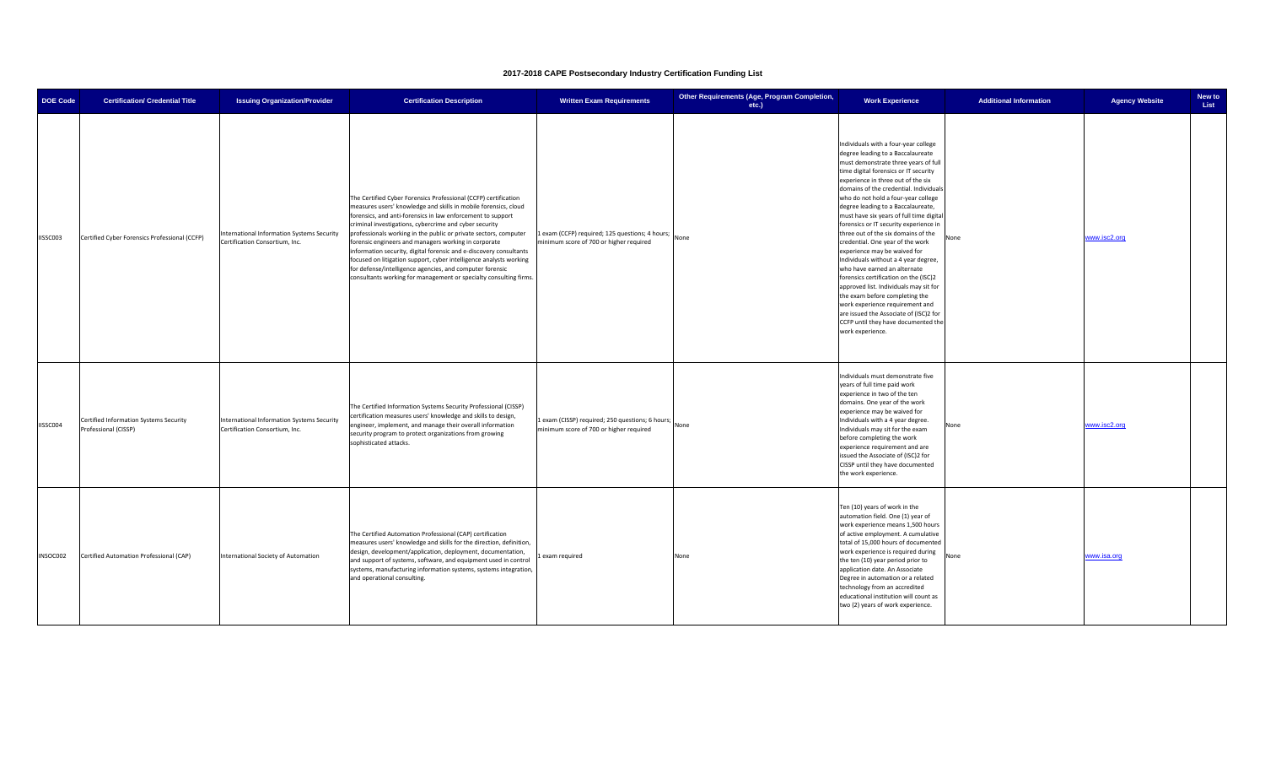| <b>DOE Code</b> | <b>Certification/ Credential Title</b>                         | <b>Issuing Organization/Provider</b>                                         | <b>Certification Description</b>                                                                                                                                                                                                                                                                                                                                                                                                                                                                                                                                                                                                                                     | <b>Written Exam Requirements</b>                                                           | Other Requirements (Age, Program Completion,<br>etc.) | <b>Work Experience</b>                                                                                                                                                                                                                                                                                                                                                                                                                                                                                                                                                                                                                                                                                                                                                                                                                                                | <b>Additional Information</b> | <b>Agency Website</b> | New to<br>List |
|-----------------|----------------------------------------------------------------|------------------------------------------------------------------------------|----------------------------------------------------------------------------------------------------------------------------------------------------------------------------------------------------------------------------------------------------------------------------------------------------------------------------------------------------------------------------------------------------------------------------------------------------------------------------------------------------------------------------------------------------------------------------------------------------------------------------------------------------------------------|--------------------------------------------------------------------------------------------|-------------------------------------------------------|-----------------------------------------------------------------------------------------------------------------------------------------------------------------------------------------------------------------------------------------------------------------------------------------------------------------------------------------------------------------------------------------------------------------------------------------------------------------------------------------------------------------------------------------------------------------------------------------------------------------------------------------------------------------------------------------------------------------------------------------------------------------------------------------------------------------------------------------------------------------------|-------------------------------|-----------------------|----------------|
| IISSC003        | Certified Cyber Forensics Professional (CCFP)                  | International Information Systems Security<br>Certification Consortium, Inc. | The Certified Cyber Forensics Professional (CCFP) certification<br>measures users' knowledge and skills in mobile forensics, cloud<br>forensics, and anti-forensics in law enforcement to support<br>criminal investigations, cybercrime and cyber security<br>professionals working in the public or private sectors, computer<br>forensic engineers and managers working in corporate<br>information security, digital forensic and e-discovery consultants<br>focused on litigation support, cyber intelligence analysts working<br>for defense/intelligence agencies, and computer forensic<br>consultants working for management or specialty consulting firms. | 1 exam (CCFP) required; 125 questions; 4 hours;<br>minimum score of 700 or higher required | None                                                  | Individuals with a four-year college<br>degree leading to a Baccalaureate<br>must demonstrate three years of full<br>time digital forensics or IT security<br>experience in three out of the six<br>domains of the credential. Individuals<br>who do not hold a four-year college<br>degree leading to a Baccalaureate,<br>must have six years of full time digital<br>forensics or IT security experience in<br>three out of the six domains of the<br>None<br>credential. One year of the work<br>experience may be waived for<br>Individuals without a 4 year degree,<br>who have earned an alternate<br>forensics certification on the (ISC)2<br>approved list. Individuals may sit for<br>the exam before completing the<br>work experience requirement and<br>are issued the Associate of (ISC)2 for<br>CCFP until they have documented the<br>work experience. |                               | www.isc2.org          |                |
| IISSC004        | Certified Information Systems Security<br>Professional (CISSP) | International Information Systems Security<br>Certification Consortium, Inc. | The Certified Information Systems Security Professional (CISSP)<br>certification measures users' knowledge and skills to design,<br>engineer, implement, and manage their overall information<br>security program to protect organizations from growing<br>sophisticated attacks.                                                                                                                                                                                                                                                                                                                                                                                    | Lexam (CISSP) required; 250 questions; 6 hours;<br>minimum score of 700 or higher required | None                                                  | Individuals must demonstrate five<br>years of full time paid work<br>experience in two of the ten<br>domains. One year of the work<br>experience may be waived for<br>Individuals with a 4 year degree.<br>Vone<br>Individuals may sit for the exam<br>before completing the work<br>experience requirement and are<br>issued the Associate of (ISC)2 for<br>CISSP until they have documented<br>the work experience.                                                                                                                                                                                                                                                                                                                                                                                                                                                 |                               | www.isc2.org          |                |
| INSOC002        | Certified Automation Professional (CAP)                        | International Society of Automation                                          | The Certified Automation Professional (CAP) certification<br>measures users' knowledge and skills for the direction, definition,<br>design, development/application, deployment, documentation,<br>and support of systems, software, and equipment used in control<br>systems, manufacturing information systems, systems integration,<br>and operational consulting.                                                                                                                                                                                                                                                                                                | Lexam required                                                                             | None                                                  | Ten (10) years of work in the<br>automation field. One (1) year of<br>work experience means 1,500 hours<br>of active employment. A cumulative<br>total of 15,000 hours of documented<br>work experience is required during<br>None<br>the ten (10) year period prior to<br>application date. An Associate<br>Degree in automation or a related<br>technology from an accredited<br>educational institution will count as<br>two (2) years of work experience.                                                                                                                                                                                                                                                                                                                                                                                                         |                               | www.isa.org           |                |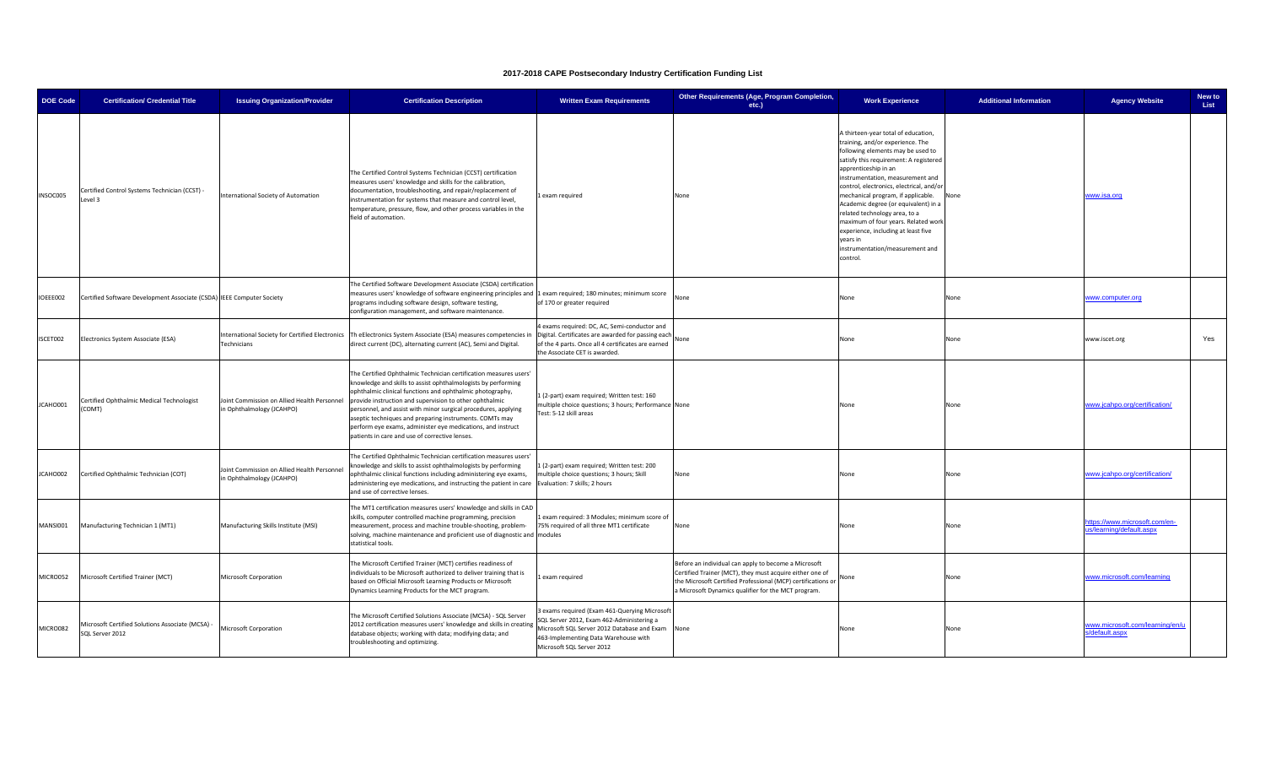| <b>DOE Code</b> | <b>Certification/ Credential Title</b>                                | <b>Issuing Organization/Provider</b>                                     | <b>Certification Description</b>                                                                                                                                                                                                                                                                                                                                                                                                                                                                         | <b>Written Exam Requirements</b>                                                                                                                                                                                  | Other Requirements (Age, Program Completion,<br>etc.)                                                                                                                                                                                        | <b>Work Experience</b>                                                                                                                                                                                                                                                                                                                                                                                                                                                                                                 | <b>Additional Information</b> | <b>Agency Website</b>                                    | New to<br>List |
|-----------------|-----------------------------------------------------------------------|--------------------------------------------------------------------------|----------------------------------------------------------------------------------------------------------------------------------------------------------------------------------------------------------------------------------------------------------------------------------------------------------------------------------------------------------------------------------------------------------------------------------------------------------------------------------------------------------|-------------------------------------------------------------------------------------------------------------------------------------------------------------------------------------------------------------------|----------------------------------------------------------------------------------------------------------------------------------------------------------------------------------------------------------------------------------------------|------------------------------------------------------------------------------------------------------------------------------------------------------------------------------------------------------------------------------------------------------------------------------------------------------------------------------------------------------------------------------------------------------------------------------------------------------------------------------------------------------------------------|-------------------------------|----------------------------------------------------------|----------------|
| INSOC005        | Certified Control Systems Technician (CCST) -<br>Level 3              | nternational Society of Automation                                       | The Certified Control Systems Technician (CCST) certification<br>measures users' knowledge and skills for the calibration,<br>documentation, troubleshooting, and repair/replacement of<br>nstrumentation for systems that measure and control level,<br>emperature, pressure, flow, and other process variables in the<br>field of automation.                                                                                                                                                          | Lexam required                                                                                                                                                                                                    | None                                                                                                                                                                                                                                         | A thirteen-year total of education,<br>training, and/or experience. The<br>following elements may be used to<br>satisfy this requirement: A registered<br>apprenticeship in an<br>instrumentation, measurement and<br>control, electronics, electrical, and/or<br>mechanical program, if applicable.<br>Academic degree (or equivalent) in a<br>related technology area, to a<br>maximum of four years. Related work<br>experience, including at least five<br>years in<br>instrumentation/measurement and<br>control. | None                          | www.isa.org                                              |                |
| IOEEE002        | Certified Software Development Associate (CSDA) IEEE Computer Society |                                                                          | The Certified Software Development Associate (CSDA) certification<br>measures users' knowledge of software engineering principles and 1 exam required; 180 minutes; minimum score<br>programs including software design, software testing,<br>configuration management, and software maintenance.                                                                                                                                                                                                        | of 170 or greater required                                                                                                                                                                                        | None                                                                                                                                                                                                                                         | None                                                                                                                                                                                                                                                                                                                                                                                                                                                                                                                   | None                          | www.computer.org                                         |                |
| ISCET002        | Electronics System Associate (ESA)                                    | International Society for Certified Electronics<br>Technicians           | Th eElectronics System Associate (ESA) measures competencies in<br>direct current (DC), alternating current (AC), Semi and Digital.                                                                                                                                                                                                                                                                                                                                                                      | exams required: DC, AC, Semi-conductor and<br>Digital. Certificates are awarded for passing each<br>of the 4 parts. Once all 4 certificates are earned<br>the Associate CET is awarded.                           | None                                                                                                                                                                                                                                         | None                                                                                                                                                                                                                                                                                                                                                                                                                                                                                                                   | None                          | www.iscet.org                                            | Yes            |
| JCAHO001        | Certified Ophthalmic Medical Technologist<br>(COMT)                   | Joint Commission on Allied Health Personnel<br>in Ophthalmology (JCAHPO) | The Certified Ophthalmic Technician certification measures users'<br>knowledge and skills to assist ophthalmologists by performing<br>ophthalmic clinical functions and ophthalmic photography,<br>provide instruction and supervision to other ophthalmic<br>personnel, and assist with minor surgical procedures, applying<br>aseptic techniques and preparing instruments. COMTs may<br>perform eye exams, administer eye medications, and instruct<br>patients in care and use of corrective lenses. | 1 (2-part) exam required; Written test: 160<br>multiple choice questions; 3 hours; Performance None<br>Test: 5-12 skill areas                                                                                     |                                                                                                                                                                                                                                              | None                                                                                                                                                                                                                                                                                                                                                                                                                                                                                                                   | None                          | www.jcahpo.org/certification/                            |                |
| JCAHO002        | Certified Ophthalmic Technician (COT)                                 | Joint Commission on Allied Health Personnel<br>in Ophthalmology (JCAHPO) | The Certified Ophthalmic Technician certification measures users'<br>knowledge and skills to assist ophthalmologists by performing<br>ophthalmic clinical functions including administering eye exams,<br>administering eye medications, and instructing the patient in care<br>and use of corrective lenses.                                                                                                                                                                                            | . (2-part) exam required; Written test: 200<br>multiple choice questions; 3 hours; Skill<br>Evaluation: 7 skills; 2 hours                                                                                         | None                                                                                                                                                                                                                                         | None                                                                                                                                                                                                                                                                                                                                                                                                                                                                                                                   | None                          | www.jcahpo.org/certification/                            |                |
| MANSI001        | Manufacturing Technician 1 (MT1)                                      | Manufacturing Skills Institute (MSI)                                     | The MT1 certification measures users' knowledge and skills in CAD<br>skills, computer controlled machine programming, precision<br>measurement, process and machine trouble-shooting, problem-<br>solving, machine maintenance and proficient use of diagnostic and modules<br>statistical tools.                                                                                                                                                                                                        | exam required: 3 Modules; minimum score of<br>75% required of all three MT1 certificate                                                                                                                           | None                                                                                                                                                                                                                                         | None                                                                                                                                                                                                                                                                                                                                                                                                                                                                                                                   | None                          | ttps://www.microsoft.com/en-<br>us/learning/default.aspx |                |
| MICRO052        | Microsoft Certified Trainer (MCT)                                     | Microsoft Corporation                                                    | The Microsoft Certified Trainer (MCT) certifies readiness of<br>individuals to be Microsoft authorized to deliver training that is<br>based on Official Microsoft Learning Products or Microsoft<br>Dynamics Learning Products for the MCT program.                                                                                                                                                                                                                                                      | 1 exam required                                                                                                                                                                                                   | Before an individual can apply to become a Microsoft<br>Certified Trainer (MCT), they must acquire either one of<br>the Microsoft Certified Professional (MCP) certifications or None<br>a Microsoft Dynamics qualifier for the MCT program. |                                                                                                                                                                                                                                                                                                                                                                                                                                                                                                                        | None                          | www.microsoft.com/learning                               |                |
| MICRO082        | Microsoft Certified Solutions Associate (MCSA) -<br>SQL Server 2012   | Microsoft Corporation                                                    | The Microsoft Certified Solutions Associate (MCSA) - SQL Server<br>2012 certification measures users' knowledge and skills in creating<br>database objects; working with data; modifying data; and<br>troubleshooting and optimizing.                                                                                                                                                                                                                                                                    | exams required (Exam 461-Querying Microsoft<br>SQL Server 2012, Exam 462-Administering a<br>Microsoft SQL Server 2012 Database and Exam None<br>463-Implementing Data Warehouse with<br>Microsoft SQL Server 2012 |                                                                                                                                                                                                                                              | None                                                                                                                                                                                                                                                                                                                                                                                                                                                                                                                   | None                          | www.microsoft.com/learning/en/u<br>s/default.aspx        |                |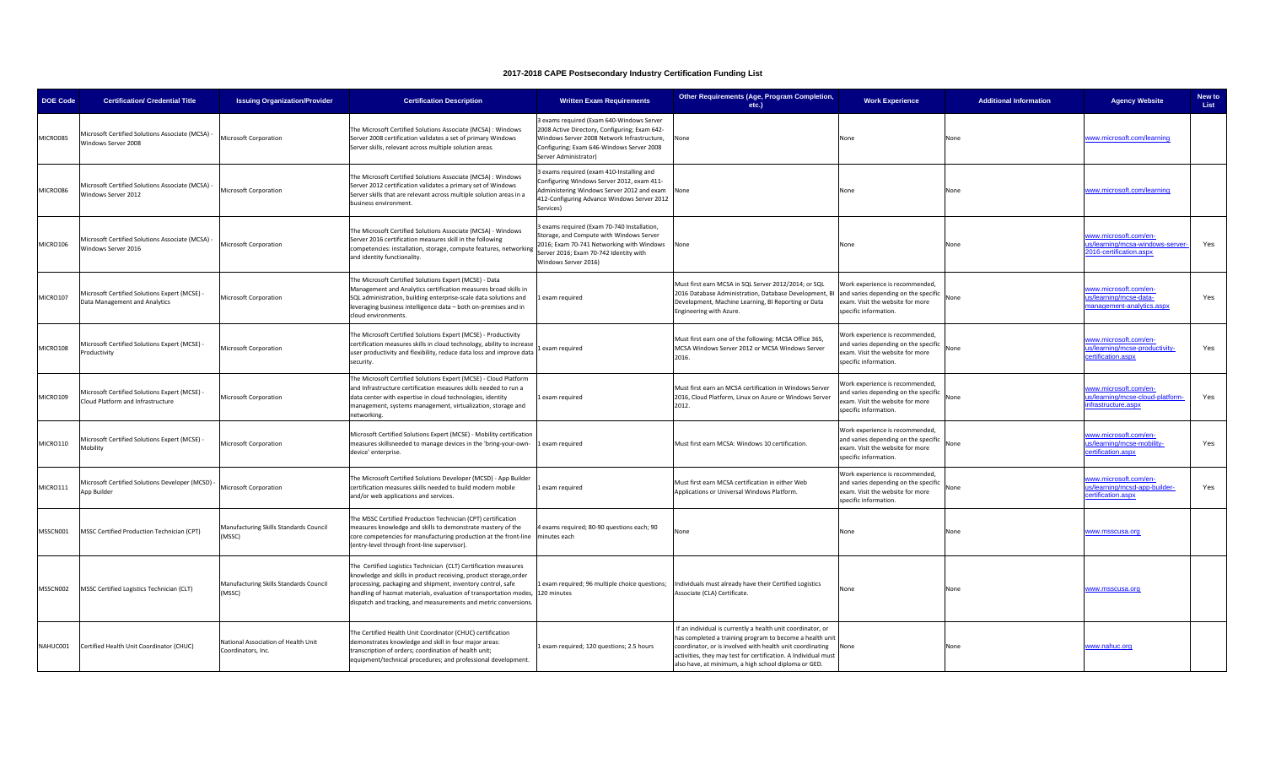| <b>DOE Code</b> | <b>Certification/ Credential Title</b>                                             | <b>Issuing Organization/Provider</b>                      | <b>Certification Description</b>                                                                                                                                                                                                                                                                                                           | <b>Written Exam Requirements</b>                                                                                                                                                                                | Other Requirements (Age, Program Completion,<br>$etc.$ )                                                                                                                                                                                                                                                       | <b>Work Experience</b>                                                                                                               | <b>Additional Information</b> | <b>Agency Website</b>                                                                    | New to<br>List |
|-----------------|------------------------------------------------------------------------------------|-----------------------------------------------------------|--------------------------------------------------------------------------------------------------------------------------------------------------------------------------------------------------------------------------------------------------------------------------------------------------------------------------------------------|-----------------------------------------------------------------------------------------------------------------------------------------------------------------------------------------------------------------|----------------------------------------------------------------------------------------------------------------------------------------------------------------------------------------------------------------------------------------------------------------------------------------------------------------|--------------------------------------------------------------------------------------------------------------------------------------|-------------------------------|------------------------------------------------------------------------------------------|----------------|
| MICRO085        | Aicrosoft Certified Solutions Associate (MCSA)<br>Vindows Server 2008              | Microsoft Corporation                                     | The Microsoft Certified Solutions Associate (MCSA) : Windows<br>Server 2008 certification validates a set of primary Windows<br>Server skills, relevant across multiple solution areas.                                                                                                                                                    | 3 exams required (Exam 640-Windows Server<br>2008 Active Directory, Configuring; Exam 642-<br>Windows Server 2008 Network Infrastructure,<br>Configuring; Exam 646-Windows Server 2008<br>Server Administrator) | None                                                                                                                                                                                                                                                                                                           | None                                                                                                                                 | None                          | www.microsoft.com/learning                                                               |                |
| MICRO086        | Microsoft Certified Solutions Associate (MCSA)<br><b>Nindows Server 2012</b>       | Microsoft Corporation                                     | The Microsoft Certified Solutions Associate (MCSA) : Windows<br>Server 2012 certification validates a primary set of Windows<br>Server skills that are relevant across multiple solution areas in a<br>business environment.                                                                                                               | exams required (exam 410-Installing and<br>Configuring Windows Server 2012, exam 411-<br>Administering Windows Server 2012 and exam<br>412-Configuring Advance Windows Server 2012<br>Services)                 | None                                                                                                                                                                                                                                                                                                           | None                                                                                                                                 | <b>None</b>                   | www.microsoft.com/learning                                                               |                |
| MICRO106        | Microsoft Certified Solutions Associate (MCSA)<br>Windows Server 2016              | Microsoft Corporation                                     | The Microsoft Certified Solutions Associate (MCSA) - Windows<br>Server 2016 certification measures skill in the following<br>competencies: installation, storage, compute features, networking<br>and identity functionality.                                                                                                              | exams required (Exam 70-740 Installation,<br>storage, and Compute with Windows Server<br>2016; Exam 70-741 Networking with Windows None<br>Server 2016; Exam 70-742 Identity with<br>Windows Server 2016)       |                                                                                                                                                                                                                                                                                                                | None                                                                                                                                 | None                          | www.microsoft.com/en-<br><u>s/learning/mcsa-windows-serve</u><br>2016-certification.aspx | Yes            |
| MICRO107        | Aicrosoft Certified Solutions Expert (MCSE) -<br>Data Management and Analytics     | Microsoft Corporation                                     | The Microsoft Certified Solutions Expert (MCSE) - Data<br>Management and Analytics certification measures broad skills in<br>SQL administration, building enterprise-scale data solutions and<br>leveraging business intelligence data - both on-premises and in<br>cloud environments.                                                    | exam required                                                                                                                                                                                                   | Must first earn MCSA in SQL Server 2012/2014: or SQL<br>2016 Database Administration, Database Development, BI<br>Development, Machine Learning, BI Reporting or Data<br>Engineering with Azure.                                                                                                               | Work experience is recommended.<br>and varies depending on the specific<br>exam. Visit the website for more<br>specific information. | one                           | www.microsoft.com/en-<br>s/learning/mcse-data-<br>anagement-analytics.aspx               | Yes            |
| MICRO108        | Aicrosoft Certified Solutions Expert (MCSE) -<br>roductivity                       | Microsoft Corporation                                     | The Microsoft Certified Solutions Expert (MCSE) - Productivity<br>certification measures skills in cloud technology, ability to increase<br>user productivity and flexibility, reduce data loss and improve data<br>security.                                                                                                              | exam required                                                                                                                                                                                                   | Must first earn one of the following: MCSA Office 365,<br>MCSA Windows Server 2012 or MCSA Windows Server<br>2016.                                                                                                                                                                                             | Work experience is recommended,<br>and varies depending on the specific<br>xam. Visit the website for more<br>specific information.  | Vone                          | vww.microsoft.com/en-<br>is/learning/mcse-productivity-<br>ertification.aspx             | Yes            |
| MICRO109        | Microsoft Certified Solutions Expert (MCSE) -<br>Cloud Platform and Infrastructure | Microsoft Corporation                                     | The Microsoft Certified Solutions Expert (MCSE) - Cloud Platform<br>and Infrastructure certification measures skills needed to run a<br>data center with expertise in cloud technologies, identity<br>management, systems management, virtualization, storage and<br>etworking.                                                            | Lexam required                                                                                                                                                                                                  | Must first earn an MCSA certification in Windows Server<br>2016, Cloud Platform, Linux on Azure or Windows Server<br>2012.                                                                                                                                                                                     | Vork experience is recommended,<br>nd varies depending on the specific<br>xam. Visit the website for more<br>specific information.   | √one                          | www.microsoft.com/en-<br>us/learning/mcse-cloud-platform-<br>nfrastructure.aspx          | Yes            |
| MICRO110        | Microsoft Certified Solutions Expert (MCSE) -<br><b>Aobility</b>                   | Microsoft Corporation                                     | Microsoft Certified Solutions Expert (MCSE) - Mobility certification<br>measures skillsneeded to manage devices in the 'bring-your-own-<br>device' enterprise.                                                                                                                                                                             | 1 exam required                                                                                                                                                                                                 | Must first earn MCSA: Windows 10 certification.                                                                                                                                                                                                                                                                | Nork experience is recommended,<br>and varies depending on the specific<br>exam. Visit the website for more<br>specific information. | <b>None</b>                   | www.microsoft.com/en-<br>us/learning/mcse-mobility-<br>ertification.aspx                 | Yes            |
| MICRO111        | Microsoft Certified Solutions Developer (MCSD) -<br>pp Builder                     | Microsoft Corporation                                     | he Microsoft Certified Solutions Developer (MCSD) - App Builder<br>certification measures skills needed to build modern mobile<br>and/or web applications and services.                                                                                                                                                                    | Lexam required                                                                                                                                                                                                  | Must first earn MCSA certification in either Web<br>Applications or Universal Windows Platform.                                                                                                                                                                                                                | Work experience is recommended,<br>and varies depending on the specific<br>exam. Visit the website for more<br>specific information. | lone                          | www.microsoft.com/en-<br>is/learning/mcsd-app-builder-<br>ertification.aspx              | Yes            |
| MSSCN001        | MSSC Certified Production Technician (CPT)                                         | Manufacturing Skills Standards Council<br>(MSSC)          | The MSSC Certified Production Technician (CPT) certification<br>neasures knowledge and skills to demonstrate mastery of the<br>core competencies for manufacturing production at the front-line minutes each<br>entry-level through front-line supervisor).                                                                                | exams required; 80-90 questions each; 90                                                                                                                                                                        | None                                                                                                                                                                                                                                                                                                           | None                                                                                                                                 | Vone                          | www.msscusa.org                                                                          |                |
| MSSCN002        | MSSC Certified Logistics Technician (CLT)                                          | Manufacturing Skills Standards Council<br>(MSSC)          | The Certified Logistics Technician (CLT) Certification measures<br>knowledge and skills in product receiving, product storage,order<br>processing, packaging and shipment, inventory control, safe<br>handling of hazmat materials, evaluation of transportation modes,<br>dispatch and tracking, and measurements and metric conversions. | 1 exam required; 96 multiple choice questions;<br>120 minutes                                                                                                                                                   | Individuals must already have their Certified Logistics<br>Associate (CLA) Certificate.                                                                                                                                                                                                                        | lone                                                                                                                                 | None                          | www.msscusa.org                                                                          |                |
| NAHUC001        | Certified Health Unit Coordinator (CHUC)                                           | National Association of Health Unit<br>Coordinators, Inc. | The Certified Health Unit Coordinator (CHUC) certification<br>demonstrates knowledge and skill in four major areas:<br>transcription of orders; coordination of health unit;<br>equipment/technical procedures; and professional development.                                                                                              | 1 exam required; 120 questions; 2.5 hours                                                                                                                                                                       | If an individual is currently a health unit coordinator, or<br>has completed a training program to become a health unit<br>coordinator, or is involved with health unit coordinating<br>activities, they may test for certification. A Individual must<br>also have, at minimum, a high school diploma or GED. | None                                                                                                                                 | None                          | www.nahuc.org                                                                            |                |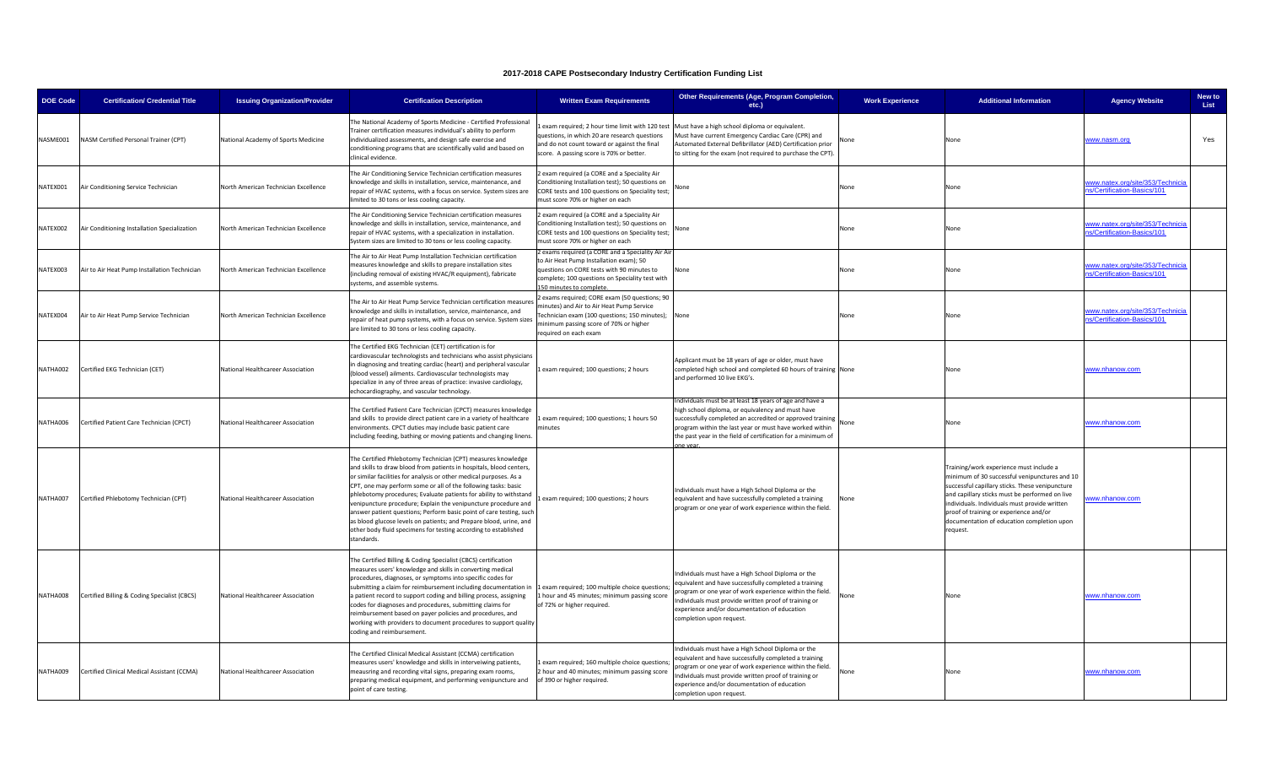| <b>DOE Code</b> | <b>Certification/ Credential Title</b>       | <b>Issuing Organization/Provider</b> | <b>Certification Description</b>                                                                                                                                                                                                                                                                                                                                                                                                                                                                                                                                                                                                               | <b>Written Exam Requirements</b>                                                                                                                                                                                     | Other Requirements (Age, Program Completion,<br>etc.)                                                                                                                                                                                                                                                          | <b>Work Experience</b> | <b>Additional Information</b>                                                                                                                                                                                                                                                                                                                      | <b>Agency Website</b>                                           | New to<br>List |
|-----------------|----------------------------------------------|--------------------------------------|------------------------------------------------------------------------------------------------------------------------------------------------------------------------------------------------------------------------------------------------------------------------------------------------------------------------------------------------------------------------------------------------------------------------------------------------------------------------------------------------------------------------------------------------------------------------------------------------------------------------------------------------|----------------------------------------------------------------------------------------------------------------------------------------------------------------------------------------------------------------------|----------------------------------------------------------------------------------------------------------------------------------------------------------------------------------------------------------------------------------------------------------------------------------------------------------------|------------------------|----------------------------------------------------------------------------------------------------------------------------------------------------------------------------------------------------------------------------------------------------------------------------------------------------------------------------------------------------|-----------------------------------------------------------------|----------------|
| NASME001        | NASM Certified Personal Trainer (CPT)        | National Academy of Sports Medicine  | The National Academy of Sports Medicine - Certified Professional<br>Trainer certification measures individual's ability to perform<br>individualized assessments, and design safe exercise and<br>conditioning programs that are scientifically valid and based on<br>linical evidence.                                                                                                                                                                                                                                                                                                                                                        | questions, in which 20 are research questions<br>and do not count toward or against the final<br>core. A passing score is 70% or better.                                                                             | exam required; 2 hour time limit with 120 test Must have a high school diploma or equivalent.<br>Must have current Emergency Cardiac Care (CPR) and<br>Automated External Defibrillator (AED) Certification prior<br>to sitting for the exam (not required to purchase the CPT).                               |                        | None                                                                                                                                                                                                                                                                                                                                               | www.nasm.org                                                    | Yes            |
| NATEX001        | Air Conditioning Service Technician          | North American Technician Excellence | The Air Conditioning Service Technician certification measures<br>nowledge and skills in installation, service, maintenance, and<br>epair of HVAC systems, with a focus on service. System sizes are<br>imited to 30 tons or less cooling capacity.                                                                                                                                                                                                                                                                                                                                                                                            | exam required (a CORE and a Speciality Air<br>Conditioning Installation test); 50 questions on<br>CORE tests and 100 questions on Speciality test;<br>must score 70% or higher on each                               | None                                                                                                                                                                                                                                                                                                           | None                   | None                                                                                                                                                                                                                                                                                                                                               | vww.natex.org/site/353/Technicia<br>s/Certification-Basics/101  |                |
| NATEX002        | Air Conditioning Installation Specialization | North American Technician Excellence | The Air Conditioning Service Technician certification measures<br>mowledge and skills in installation, service, maintenance, and<br>repair of HVAC systems, with a specialization in installation.<br>System sizes are limited to 30 tons or less cooling capacity.                                                                                                                                                                                                                                                                                                                                                                            | exam required (a CORE and a Speciality Air<br>Conditioning Installation test); 50 questions on<br>CORE tests and 100 questions on Speciality test;<br>must score 70% or higher on each                               | None                                                                                                                                                                                                                                                                                                           | None                   | None                                                                                                                                                                                                                                                                                                                                               | www.natex.org/site/353/Technicia<br>ns/Certification-Basics/101 |                |
| NATEX003        | Air to Air Heat Pump Installation Technician | North American Technician Excellence | The Air to Air Heat Pump Installation Technician certification<br>measures knowledge and skills to prepare installation sites<br>including removal of existing HVAC/R equipment), fabricate<br>systems, and assemble systems.                                                                                                                                                                                                                                                                                                                                                                                                                  | exams required (a CORE and a Speciality Air Air<br>o Air Heat Pump Installation exam); 50<br>questions on CORE tests with 90 minutes to<br>omplete; 100 questions on Speciality test with<br>50 minutes to complete. | None                                                                                                                                                                                                                                                                                                           | None                   | None                                                                                                                                                                                                                                                                                                                                               | www.natex.org/site/353/Technicia<br>ns/Certification-Basics/101 |                |
| NATEX004        | Air to Air Heat Pump Service Technician      | North American Technician Excellence | The Air to Air Heat Pump Service Technician certification measure:<br>knowledge and skills in installation, service, maintenance, and<br>epair of heat pump systems, with a focus on service. System sizes<br>are limited to 30 tons or less cooling capacity.                                                                                                                                                                                                                                                                                                                                                                                 | exams required; CORE exam (50 questions; 90<br>ninutes) and Air to Air Heat Pump Service<br>Technician exam (100 questions; 150 minutes); None<br>ninimum passing score of 70% or higher<br>required on each exam    |                                                                                                                                                                                                                                                                                                                | None                   | None                                                                                                                                                                                                                                                                                                                                               | ww.natex.org/site/353/Technicia<br>s/Certification-Basics/101   |                |
| NATHA002        | Certified EKG Technician (CET)               | National Healthcareer Association    | The Certified EKG Technician (CET) certification is for<br>cardiovascular technologists and technicians who assist physicians<br>n diagnosing and treating cardiac (heart) and peripheral vascular<br>blood vessel) ailments. Cardiovascular technologists may<br>specialize in any of three areas of practice: invasive cardiology,<br>echocardiography, and vascular technology.                                                                                                                                                                                                                                                             | exam required; 100 questions; 2 hours                                                                                                                                                                                | Applicant must be 18 years of age or older, must have<br>completed high school and completed 60 hours of training None<br>and performed 10 live EKG's.                                                                                                                                                         |                        | None                                                                                                                                                                                                                                                                                                                                               | www.nhanow.com                                                  |                |
| NATHA006        | Certified Patient Care Technician (CPCT)     | National Healthcareer Association    | The Certified Patient Care Technician (CPCT) measures knowledge<br>and skills to provide direct patient care in a variety of healthcare<br>environments. CPCT duties may include basic patient care<br>including feeding, bathing or moving patients and changing linens.                                                                                                                                                                                                                                                                                                                                                                      | exam required; 100 questions; 1 hours 50<br>minutes                                                                                                                                                                  | ndividuals must be at least 18 years of age and have a<br>iigh school diploma, or equivalency and must have<br>successfully completed an accredited or approved training<br>program within the last year or must have worked within<br>the past year in the field of certification for a minimum of<br>ne vear | None                   | None                                                                                                                                                                                                                                                                                                                                               | <u>www.nhanow.com</u>                                           |                |
| NATHA007        | Certified Phlebotomy Technician (CPT)        | National Healthcareer Association    | The Certified Phlebotomy Technician (CPT) measures knowledge<br>and skills to draw blood from patients in hospitals, blood centers,<br>or similar facilities for analysis or other medical purposes. As a<br>CPT, one may perform some or all of the following tasks: basic<br>hlebotomy procedures; Evaluate patients for ability to withstand<br>enipuncture procedure; Explain the venipuncture procedure and<br>answer patient questions; Perform basic point of care testing, such<br>as blood glucose levels on patients; and Prepare blood, urine, and<br>other body fluid specimens for testing according to established<br>standards. | exam required; 100 questions; 2 hours                                                                                                                                                                                | Individuals must have a High School Diploma or the<br>equivalent and have successfully completed a training<br>program or one year of work experience within the field.                                                                                                                                        | None                   | Training/work experience must include a<br>minimum of 30 successful venipunctures and 10<br>successful capillary sticks. These venipuncture<br>and capillary sticks must be performed on live<br>individuals. Individuals must provide written<br>proof of training or experience and/or<br>documentation of education completion upon<br>request. | vww.nhanow.com                                                  |                |
| NATHA008        | Certified Billing & Coding Specialist (CBCS) | National Healthcareer Association    | The Certified Billing & Coding Specialist (CBCS) certification<br>measures users' knowledge and skills in converting medical<br>procedures, diagnoses, or symptoms into specific codes for<br>submitting a claim for reimbursement including documentation in<br>a patient record to support coding and billing process, assigning<br>codes for diagnoses and procedures, submitting claims for<br>eimbursement based on payer policies and procedures, and<br>working with providers to document procedures to support quality<br>coding and reimbursement.                                                                                   | 1 exam required; 100 multiple choice questions;<br>hour and 45 minutes; minimum passing score<br>of 72% or higher required.                                                                                          | Individuals must have a High School Diploma or the<br>equivalent and have successfully completed a training<br>rogram or one year of work experience within the field.<br>ndividuals must provide written proof of training or<br>experience and/or documentation of education<br>completion upon request.     | None                   | None                                                                                                                                                                                                                                                                                                                                               | www.nhanow.com                                                  |                |
| NATHA009        | Certified Clinical Medical Assistant (CCMA)  | National Healthcareer Association    | The Certified Clinical Medical Assistant (CCMA) certification<br>measures users' knowledge and skills in interveiwing patients,<br>meausring and recording vital signs, preparing exam rooms,<br>preparing medical equipment, and performing venipuncture and<br>point of care testing.                                                                                                                                                                                                                                                                                                                                                        | exam required; 160 multiple choice questions;<br>hour and 40 minutes; minimum passing score<br>of 390 or higher required.                                                                                            | Individuals must have a High School Diploma or the<br>quivalent and have successfully completed a training<br>rogram or one year of work experience within the field.<br>ndividuals must provide written proof of training or<br>experience and/or documentation of education<br>completion upon request.      | None                   | None                                                                                                                                                                                                                                                                                                                                               | www.nhanow.com                                                  |                |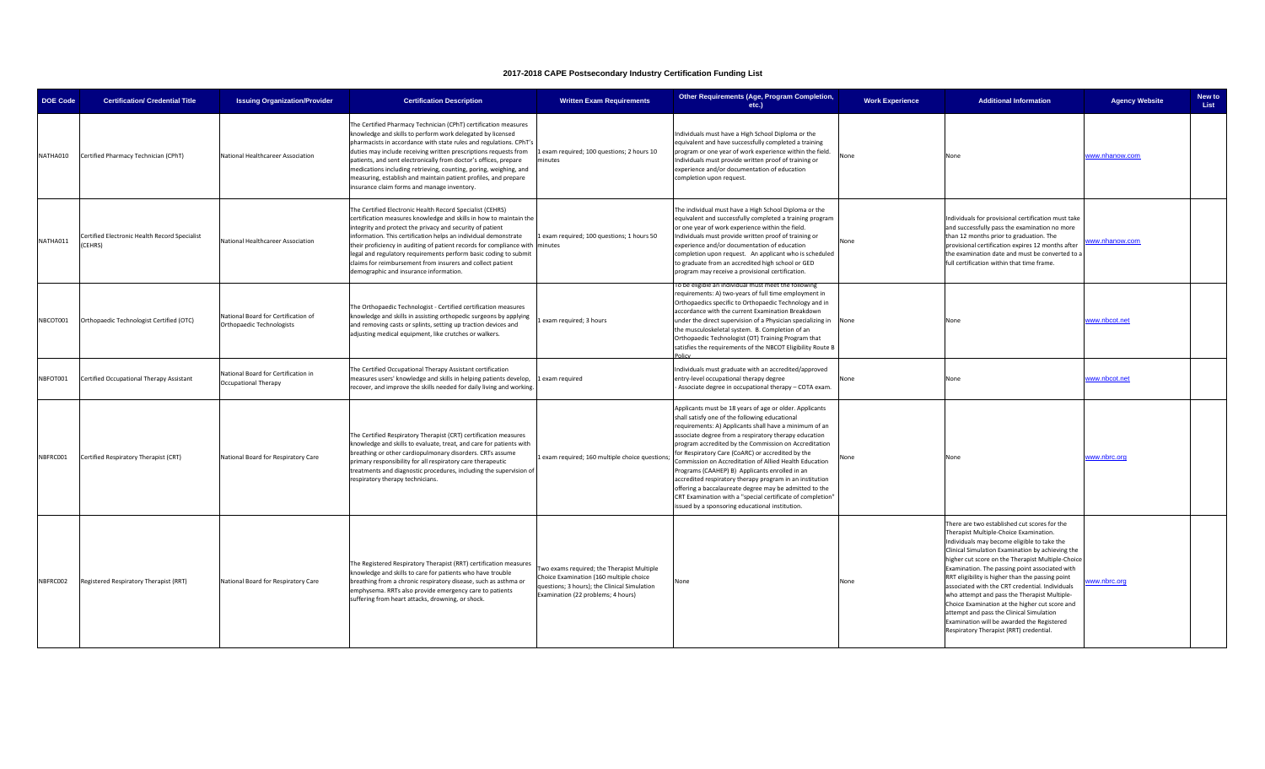| <b>DOE Code</b> | <b>Certification/ Credential Title</b>                  | <b>Issuing Organization/Provider</b>                               | <b>Certification Description</b>                                                                                                                                                                                                                                                                                                                                                                                                                                                                                                   | <b>Written Exam Requirements</b>                                                                                                                                            | Other Requirements (Age, Program Completion,<br>etc.)                                                                                                                                                                                                                                                                                                                                                                                                                                                                                                                                                                                                                                         | <b>Work Experience</b> | <b>Additional Information</b>                                                                                                                                                                                                                                                                                                                                                                                                                                                                                                                                                                                                                  | <b>Agency Website</b> | New to<br>List |
|-----------------|---------------------------------------------------------|--------------------------------------------------------------------|------------------------------------------------------------------------------------------------------------------------------------------------------------------------------------------------------------------------------------------------------------------------------------------------------------------------------------------------------------------------------------------------------------------------------------------------------------------------------------------------------------------------------------|-----------------------------------------------------------------------------------------------------------------------------------------------------------------------------|-----------------------------------------------------------------------------------------------------------------------------------------------------------------------------------------------------------------------------------------------------------------------------------------------------------------------------------------------------------------------------------------------------------------------------------------------------------------------------------------------------------------------------------------------------------------------------------------------------------------------------------------------------------------------------------------------|------------------------|------------------------------------------------------------------------------------------------------------------------------------------------------------------------------------------------------------------------------------------------------------------------------------------------------------------------------------------------------------------------------------------------------------------------------------------------------------------------------------------------------------------------------------------------------------------------------------------------------------------------------------------------|-----------------------|----------------|
| NATHA010        | Certified Pharmacy Technician (CPhT)                    | National Healthcareer Association                                  | The Certified Pharmacy Technician (CPhT) certification measures<br>knowledge and skills to perform work delegated by licensed<br>pharmacists in accordance with state rules and regulations. CPhT's<br>duties may include receiving written prescriptions requests from<br>patients, and sent electronically from doctor's offices, prepare<br>medications including retrieving, counting, poring, weighing, and<br>measuring, establish and maintain patient profiles, and prepare<br>insurance claim forms and manage inventory. | 1 exam required; 100 questions; 2 hours 10<br>minutes                                                                                                                       | Individuals must have a High School Diploma or the<br>equivalent and have successfully completed a training<br>program or one year of work experience within the field.<br>Individuals must provide written proof of training or<br>experience and/or documentation of education<br>completion upon request.                                                                                                                                                                                                                                                                                                                                                                                  | None                   | None                                                                                                                                                                                                                                                                                                                                                                                                                                                                                                                                                                                                                                           | www.nhanow.com        |                |
| NATHA011        | Certified Electronic Health Record Specialist<br>CEHRS) | National Healthcareer Association                                  | The Certified Electronic Health Record Specialist (CEHRS)<br>certification measures knowledge and skills in how to maintain the<br>ntegrity and protect the privacy and security of patient<br>information. This certification helps an individual demonstrate<br>their proficiency in auditing of patient records for compliance with minutes<br>legal and regulatory requirements perform basic coding to submit<br>claims for reimbursement from insurers and collect patient<br>demographic and insurance information.         | Lexam required; 100 questions; 1 hours 50                                                                                                                                   | The individual must have a High School Diploma or the<br>equivalent and successfully completed a training program<br>or one year of work experience within the field.<br>Individuals must provide written proof of training or<br>experience and/or documentation of education<br>completion upon request. An applicant who is scheduled<br>to graduate from an accredited high school or GED<br>program may receive a provisional certification.                                                                                                                                                                                                                                             | Vone                   | Individuals for provisional certification must take<br>and successfully pass the examination no more<br>than 12 months prior to graduation. The<br>provisional certification expires 12 months after<br>the examination date and must be converted to a<br>full certification within that time frame.                                                                                                                                                                                                                                                                                                                                          | www.nhanow.com        |                |
| NBCOT001        | Orthopaedic Technologist Certified (OTC)                | National Board for Certification of<br>Orthopaedic Technologists   | The Orthopaedic Technologist - Certified certification measures<br>knowledge and skills in assisting orthopedic surgeons by applying<br>and removing casts or splints, setting up traction devices and<br>adjusting medical equipment, like crutches or walkers.                                                                                                                                                                                                                                                                   | 1 exam required; 3 hours                                                                                                                                                    | To be eligible an individual must meet the following<br>requirements: A) two-years of full time employment in<br>Orthopaedics specific to Orthopaedic Technology and in<br>accordance with the current Examination Breakdown<br>under the direct supervision of a Physician specializing in None<br>the musculoskeletal system. B. Completion of an<br>Orthopaedic Technologist (OT) Training Program that<br>satisfies the requirements of the NBCOT Eligibility Route B                                                                                                                                                                                                                     |                        | None                                                                                                                                                                                                                                                                                                                                                                                                                                                                                                                                                                                                                                           | www.nbcot.net         |                |
| NBFOT001        | Certified Occupational Therapy Assistant                | National Board for Certification in<br><b>Occupational Therapy</b> | The Certified Occupational Therapy Assistant certification<br>measures users' knowledge and skills in helping patients develop,<br>recover, and improve the skills needed for daily living and working.                                                                                                                                                                                                                                                                                                                            | Lexam required                                                                                                                                                              | Individuals must graduate with an accredited/approved<br>entry-level occupational therapy degree<br>Associate degree in occupational therapy - COTA exam.                                                                                                                                                                                                                                                                                                                                                                                                                                                                                                                                     | None                   | None                                                                                                                                                                                                                                                                                                                                                                                                                                                                                                                                                                                                                                           | www.nbcot.net         |                |
| NBFRC001        | Certified Respiratory Therapist (CRT)                   | National Board for Respiratory Care                                | The Certified Respiratory Therapist (CRT) certification measures<br>knowledge and skills to evaluate, treat, and care for patients with<br>breathing or other cardiopulmonary disorders. CRTs assume<br>primary responsibility for all respiratory care therapeutic<br>treatments and diagnostic procedures, including the supervision of<br>respiratory therapy technicians.                                                                                                                                                      | 1 exam required; 160 multiple choice questions;                                                                                                                             | Applicants must be 18 years of age or older. Applicants<br>shall satisfy one of the following educational<br>requirements: A) Applicants shall have a minimum of an<br>associate degree from a respiratory therapy education<br>program accredited by the Commission on Accreditation<br>for Respiratory Care (CoARC) or accredited by the<br>Commission on Accreditation of Allied Health Education<br>Programs (CAAHEP) B) Applicants enrolled in an<br>accredited respiratory therapy program in an institution<br>offering a baccalaureate degree may be admitted to the<br>CRT Examination with a "special certificate of completion"<br>issued by a sponsoring educational institution. |                        | None                                                                                                                                                                                                                                                                                                                                                                                                                                                                                                                                                                                                                                           | <u>www.nbrc.org</u>   |                |
| NBFRC002        | Registered Respiratory Therapist (RRT)                  | National Board for Respiratory Care                                | The Registered Respiratory Therapist (RRT) certification measures<br>knowledge and skills to care for patients who have trouble<br>breathing from a chronic respiratory disease, such as asthma or<br>emphysema. RRTs also provide emergency care to patients<br>suffering from heart attacks, drowning, or shock.                                                                                                                                                                                                                 | Two exams required; the Therapist Multiple<br>Choice Examination (160 multiple choice<br>questions; 3 hours); the Clinical Simulation<br>Examination (22 problems; 4 hours) | None                                                                                                                                                                                                                                                                                                                                                                                                                                                                                                                                                                                                                                                                                          | None                   | There are two established cut scores for the<br>Therapist Multiple-Choice Examination.<br>Individuals may become eligible to take the<br>Clinical Simulation Examination by achieving the<br>higher cut score on the Therapist Multiple-Choice<br>Examination. The passing point associated with<br>RRT eligibility is higher than the passing point<br>associated with the CRT credential. Individuals<br>who attempt and pass the Therapist Multiple-<br>Choice Examination at the higher cut score and<br>attempt and pass the Clinical Simulation<br>Examination will be awarded the Registered<br>Respiratory Therapist (RRT) credential. | ww.nbrc.org           |                |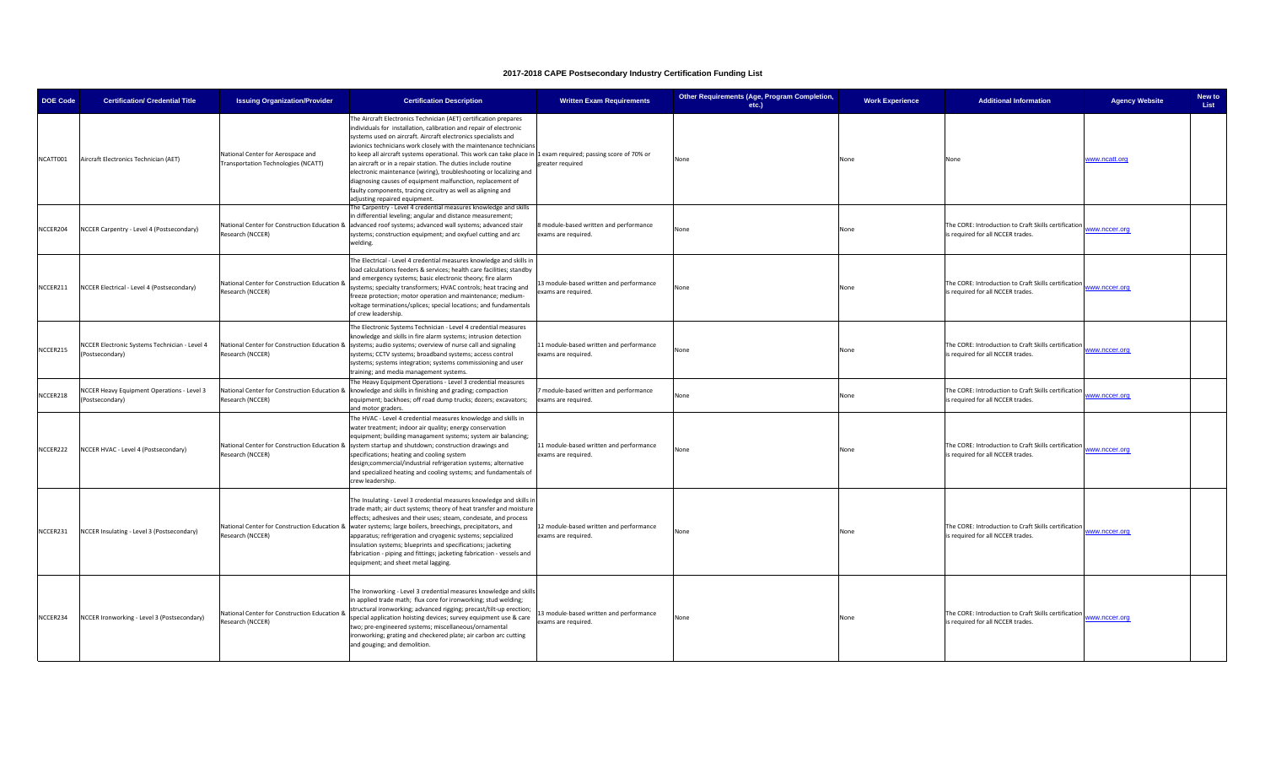| <b>DOE Code</b> | <b>Certification/ Credential Title</b>                           | <b>Issuing Organization/Provider</b>                                     | <b>Certification Description</b>                                                                                                                                                                                                                                                                                                                                                                                                                                                                                                                                                                                                                                                                        | <b>Written Exam Requirements</b>                               | Other Requirements (Age, Program Completion,<br>etc.) | <b>Work Experience</b> | <b>Additional Information</b>                                                             | <b>Agency Website</b> | New to<br><b>List</b> |
|-----------------|------------------------------------------------------------------|--------------------------------------------------------------------------|---------------------------------------------------------------------------------------------------------------------------------------------------------------------------------------------------------------------------------------------------------------------------------------------------------------------------------------------------------------------------------------------------------------------------------------------------------------------------------------------------------------------------------------------------------------------------------------------------------------------------------------------------------------------------------------------------------|----------------------------------------------------------------|-------------------------------------------------------|------------------------|-------------------------------------------------------------------------------------------|-----------------------|-----------------------|
| NCATT001        | Aircraft Electronics Technician (AET)                            | National Center for Aerospace and<br>Transportation Technologies (NCATT) | The Aircraft Electronics Technician (AET) certification prepares<br>individuals for installation, calibration and repair of electronic<br>systems used on aircraft. Aircraft electronics specialists and<br>avionics technicians work closely with the maintenance technicians<br>to keep all aircraft systems operational. This work can take place in 1 exam required; passing score of 70% or<br>an aircraft or in a repair station. The duties include routine<br>electronic maintenance (wiring), troubleshooting or localizing and<br>diagnosing causes of equipment malfunction, replacement of<br>faulty components, tracing circuitry as well as aligning and<br>adjusting repaired equipment. | greater required                                               | None                                                  | None                   | None                                                                                      | www.ncatt.org         |                       |
| NCCER204        | NCCER Carpentry - Level 4 (Postsecondary)                        | National Center for Construction Education 8<br>Research (NCCER)         | he Carpentry - Level 4 credential measures knowledge and skills<br>in differential leveling; angular and distance measurement;<br>advanced roof systems; advanced wall systems; advanced stair<br>systems; construction equipment; and oxyfuel cutting and arc<br>welding.                                                                                                                                                                                                                                                                                                                                                                                                                              | module-based written and performance<br>exams are required.    | lone                                                  | None                   | The CORE: Introduction to Craft Skills certification<br>s required for all NCCER trades.  | www.nccer.org         |                       |
| NCCER211        | NCCER Electrical - Level 4 (Postsecondary)                       | National Center for Construction Education 8<br>Research (NCCER)         | The Electrical - Level 4 credential measures knowledge and skills in<br>load calculations feeders & services; health care facilities; standby<br>and emergency systems; basic electronic theory; fire alarm<br>systems; specialty transformers; HVAC controls; heat tracing and<br>freeze protection; motor operation and maintenance; medium-<br>voltage terminations/splices; special locations; and fundamentals<br>of crew leadership.                                                                                                                                                                                                                                                              | 3 module-based written and performance<br>exams are required.  | lone                                                  | None                   | The CORE: Introduction to Craft Skills certification<br>is required for all NCCER trades. | www.nccer.org         |                       |
| NCCER215        | NCCER Electronic Systems Technician - Level 4<br>(Postsecondary) | Research (NCCER)                                                         | The Electronic Systems Technician - Level 4 credential measures<br>nowledge and skills in fire alarm systems; intrusion detection<br>National Center for Construction Education & systems; audio systems; overview of nurse call and signaling<br>systems; CCTV systems; broadband systems; access control<br>systems; systems integration; systems commissioning and user<br>raining; and media management systems.                                                                                                                                                                                                                                                                                    | 11 module-based written and performance<br>exams are required. | None                                                  | None                   | The CORE: Introduction to Craft Skills certification<br>is required for all NCCER trades. | www.nccer.org         |                       |
| NCCER218        | NCCER Heavy Equipment Operations - Level 3<br>(Postsecondary)    | National Center for Construction Education &<br>Research (NCCER)         | he Heavy Equipment Operations - Level 3 credential measures<br>knowledge and skills in finishing and grading; compaction<br>equipment; backhoes; off road dump trucks; dozers; excavators;<br>and motor graders                                                                                                                                                                                                                                                                                                                                                                                                                                                                                         | module-based written and performance<br>exams are required.    | None                                                  | None                   | The CORE: Introduction to Craft Skills certification<br>is required for all NCCER trades. | www.nccer.org         |                       |
| NCCER222        | NCCER HVAC - Level 4 (Postsecondary)                             | Research (NCCER)                                                         | The HVAC - Level 4 credential measures knowledge and skills in<br>water treatment; indoor air quality; energy conservation<br>equipment; building managament systems; system air balancing;<br>National Center for Construction Education & system startup and shutdown; construction drawings and<br>specifications; heating and cooling system<br>design;commercial/industrial refrigeration systems; alternative<br>and specialized heating and cooling systems; and fundamentals of<br>crew leadership.                                                                                                                                                                                             | 11 module-based written and performance<br>exams are required. | None                                                  | None                   | The CORE: Introduction to Craft Skills certification<br>is required for all NCCER trades. | www.nccer.org         |                       |
| NCCER231        | NCCER Insulating - Level 3 (Postsecondary)                       | National Center for Construction Education &<br>Research (NCCER)         | The Insulating - Level 3 credential measures knowledge and skills in<br>rade math; air duct systems; theory of heat transfer and moisture<br>effects; adhesives and their uses; steam, condesate, and process<br>water systems; large boilers, breechings, precipitators, and<br>apparatus; refrigeration and cryogenic systems; sepcialized<br>insulation systems; blueprints and specifications; jacketing<br>fabrication - piping and fittings; jacketing fabrication - vessels and<br>equipment; and sheet metal lagging.                                                                                                                                                                           | 12 module-based written and performance<br>exams are required. | None                                                  | None                   | The CORE: Introduction to Craft Skills certification<br>is required for all NCCER trades. | www.nccer.org         |                       |
| NCCER234        | NCCER Ironworking - Level 3 (Postsecondary)                      | National Center for Construction Education &<br>Research (NCCER)         | The Ironworking - Level 3 credential measures knowledge and skills<br>in applied trade math; flux core for ironworking; stud welding;<br>structural ironworking; advanced rigging; precast/tilt-up erection;<br>special application hoisting devices; survey equipment use & care<br>wo; pre-engineered systems; miscellaneous/ornamental<br>ronworking; grating and checkered plate; air carbon arc cutting<br>and gouging; and demolition.                                                                                                                                                                                                                                                            | 3 module-based written and performance<br>exams are required.  | None                                                  | None                   | The CORE: Introduction to Craft Skills certification<br>is required for all NCCER trades. | www.nccer.org         |                       |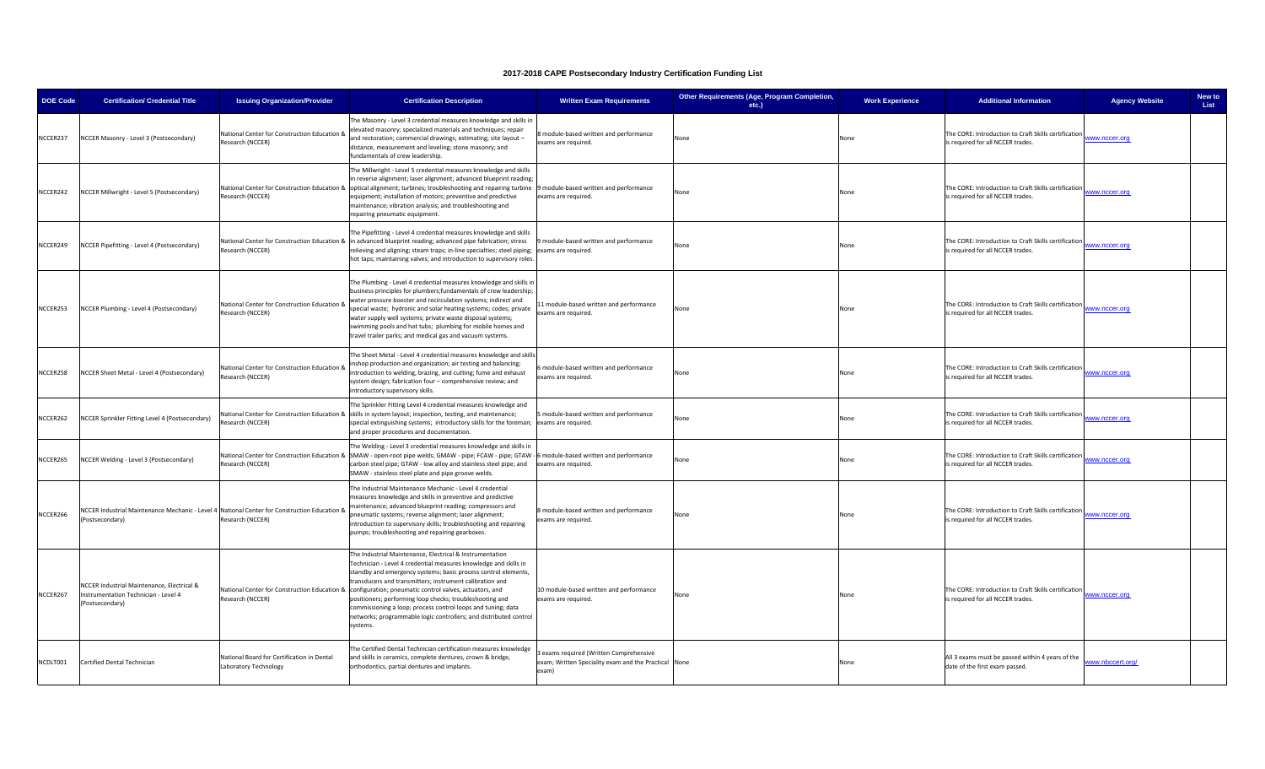| <b>DOE Code</b> | <b>Certification/ Credential Title</b>                                                                          | <b>Issuing Organization/Provider</b>                                | <b>Certification Description</b>                                                                                                                                                                                                                                                                                                                                                                                                                                                                                                                                             | <b>Written Exam Requirements</b>                                                                       | Other Requirements (Age, Program Completion,<br>$etc.$ ) | <b>Work Experience</b> | <b>Additional Information</b>                                                             | <b>Agency Website</b> | New to<br>List |
|-----------------|-----------------------------------------------------------------------------------------------------------------|---------------------------------------------------------------------|------------------------------------------------------------------------------------------------------------------------------------------------------------------------------------------------------------------------------------------------------------------------------------------------------------------------------------------------------------------------------------------------------------------------------------------------------------------------------------------------------------------------------------------------------------------------------|--------------------------------------------------------------------------------------------------------|----------------------------------------------------------|------------------------|-------------------------------------------------------------------------------------------|-----------------------|----------------|
| NCCER237        | NCCER Masonry - Level 3 (Postsecondary)                                                                         | National Center for Construction Education 8<br>Research (NCCER)    | The Masonry - Level 3 credential measures knowledge and skills in<br>elevated masonry; specialized materials and techniques; repair<br>and restoration; commercial drawings; estimating; site layout -<br>distance, measurement and leveling; stone masonry; and<br>fundamentals of crew leadership.                                                                                                                                                                                                                                                                         | module-based written and performance<br>xams are required.                                             | Vone                                                     | None                   | The CORE: Introduction to Craft Skills certification<br>s required for all NCCER trades.  | ww.nccer.org          |                |
| NCCER242        | NCCER Millwright - Level 5 (Postsecondary)                                                                      | Research (NCCER)                                                    | The Millwright - Level 5 credential measures knowledge and skills<br>n reverse alignment; laser alignment; advanced blueprint reading;<br>National Center for Construction Education & optical alignment; turbines; troubleshooting and repairing turbine 9 module-based written and performance<br>equipment; installation of motors; preventive and predictive<br>maintenance; vibration analysis; and troubleshooting and<br>repairing pneumatic equipment.                                                                                                               | exams are required.                                                                                    | None                                                     | None                   | The CORE: Introduction to Craft Skills certification<br>s required for all NCCER trades.  | www.nccer.org         |                |
| NCCER249        | NCCER Pipefitting - Level 4 (Postsecondary)                                                                     | Research (NCCER)                                                    | The Pipefitting - Level 4 credential measures knowledge and skills<br>National Center for Construction Education & in advanced blueprint reading; advanced pipe fabrication; stress<br>relieving and aligning; steam traps; in-line specialties; steel piping;<br>hot taps; maintaining valves; and introduction to supervisory roles.                                                                                                                                                                                                                                       | module-based written and performance<br>exams are required.                                            | None                                                     | None                   | The CORE: Introduction to Craft Skills certification<br>is required for all NCCER trades. | www.nccer.org         |                |
| NCCER253        | NCCER Plumbing - Level 4 (Postsecondary)                                                                        | National Center for Construction Education 8<br>Research (NCCER)    | The Plumbing - Level 4 credential measures knowledge and skills in<br>business principles for plumbers;fundamentals of crew leadership;<br>water pressure booster and recirculation systems; indirect and<br>special waste; hydronic and solar heating systems; codes; private<br>water supply well systems; private waste disposal systems;<br>swimming pools and hot tubs; plumbing for mobile homes and<br>travel trailer parks; and medical gas and vacuum systems.                                                                                                      | 1 module-based written and performance<br>xams are required.                                           | None                                                     | None                   | The CORE: Introduction to Craft Skills certification<br>is required for all NCCER trades. | www.nccer.org         |                |
| NCCER258        | NCCER Sheet Metal - Level 4 (Postsecondary)                                                                     | National Center for Construction Education &<br>Research (NCCER)    | The Sheet Metal - Level 4 credential measures knowledge and skills<br>inshop production and organization; air testing and balancing;<br>introduction to welding, brazing, and cutting; fume and exhaust<br>system design; fabrication four - comprehensive review; and<br>ntroductory supervisory skills.                                                                                                                                                                                                                                                                    | module-based written and performance<br>xams are required.                                             | Jone                                                     | None                   | The CORE: Introduction to Craft Skills certification<br>is required for all NCCER trades. | www.nccer.org         |                |
| NCCER262        | NCCER Sprinkler Fitting Level 4 (Postsecondary)                                                                 | Research (NCCER)                                                    | The Sprinkler Fitting Level 4 credential measures knowledge and<br>National Center for Construction Education & skills in system layout; inspection, testing, and maintenance;<br>special extinguishing systems; introductory skills for the foreman;<br>and proper procedures and documentation.                                                                                                                                                                                                                                                                            | module-based written and performance<br>exams are required.                                            | Jone                                                     | None                   | The CORE: Introduction to Craft Skills certification<br>s required for all NCCER trades.  | ww.nccer.org          |                |
| NCCER265        | NCCER Welding - Level 3 (Postsecondary)                                                                         | Research (NCCER)                                                    | The Welding - Level 3 credential measures knowledge and skills in<br>National Center for Construction Education & SMAW - open-root pipe welds; GMAW - pipe; FCAW - pipe; GTAW<br>carbon steel pipe; GTAW - low alloy and stainless steel pipe; and<br>SMAW - stainless steel plate and pipe groove welds.                                                                                                                                                                                                                                                                    | 6 module-based written and performance<br>exams are required.                                          | None                                                     | None                   | The CORE: Introduction to Craft Skills certification<br>is required for all NCCER trades. | www.nccer.org         |                |
| NCCER266        | NCCER Industrial Maintenance Mechanic - Level 4 National Center for Construction Education &<br>(Postsecondary) | Research (NCCER)                                                    | The Industrial Maintenance Mechanic - Level 4 credential<br>neasures knowledge and skills in preventive and predictive<br>maintenance; advanced blueprint reading; compressors and<br>pneumatic systems; reverse alignment; laser alignment;<br>introduction to supervisory skills; troubleshooting and repairing<br>umps; troubleshooting and repairing gearboxes.                                                                                                                                                                                                          | module-based written and performance<br>exams are required.                                            | None                                                     | None                   | The CORE: Introduction to Craft Skills certification<br>s required for all NCCER trades.  | www.nccer.org         |                |
| NCCER267        | NCCER Industrial Maintenance, Electrical &<br>Instrumentation Technician - Level 4<br>(Postsecondary)           | Research (NCCER)                                                    | The Industrial Maintenance, Electrical & Instrumentation<br>Technician - Level 4 credential measures knowledge and skills in<br>standby and emergency systems; basic process control elements,<br>ransducers and transmitters; instrument calibration and<br>National Center for Construction Education & configuration; pneumatic control valves, actuators, and<br>positioners; performing loop checks; troubleshooting and<br>ommissioning a loop; process control loops and tuning; data<br>networks; programmable logic controllers; and distributed control<br>ystems. | 10 module-based written and performance<br>exams are required.                                         | Jone                                                     | None                   | The CORE: Introduction to Craft Skills certification<br>is required for all NCCER trades. | www.nccer.org         |                |
| NCDLT001        | Certified Dental Technician                                                                                     | National Board for Certification in Dental<br>Laboratory Technology | The Certified Dental Technician certification measures knowledge<br>and skills in ceramics, complete dentures, crown & bridge,<br>orthodontics, partial dentures and implants.                                                                                                                                                                                                                                                                                                                                                                                               | exams required (Written Comprehensive<br>exam; Written Speciality exam and the Practical None<br>exam) |                                                          | None                   | All 3 exams must be passed within 4 years of the<br>date of the first exam passed.        | ww.nbccert.org/       |                |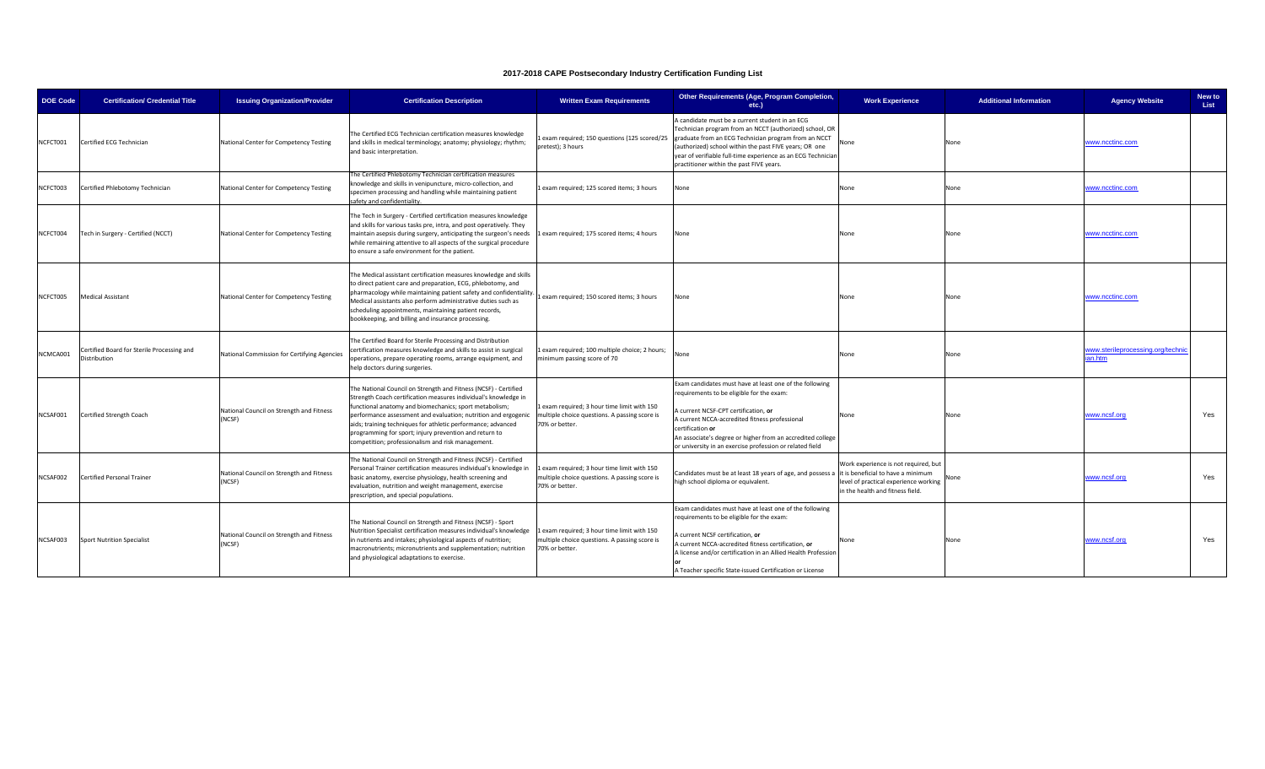| <b>DOE Code</b> | <b>Certification/ Credential Title</b>                            | <b>Issuing Organization/Provider</b>               | <b>Certification Description</b>                                                                                                                                                                                                                                                                                                                                                                                                              | <b>Written Exam Requirements</b>                                                                              | Other Requirements (Age, Program Completion,<br>etc.)                                                                                                                                                                                                                                                                                        | <b>Work Experience</b>                                                                                                                                  | <b>Additional Information</b> | <b>Agency Website</b>                     | New to<br>List |
|-----------------|-------------------------------------------------------------------|----------------------------------------------------|-----------------------------------------------------------------------------------------------------------------------------------------------------------------------------------------------------------------------------------------------------------------------------------------------------------------------------------------------------------------------------------------------------------------------------------------------|---------------------------------------------------------------------------------------------------------------|----------------------------------------------------------------------------------------------------------------------------------------------------------------------------------------------------------------------------------------------------------------------------------------------------------------------------------------------|---------------------------------------------------------------------------------------------------------------------------------------------------------|-------------------------------|-------------------------------------------|----------------|
| NCFCT001        | Certified ECG Technician                                          | National Center for Competency Testing             | The Certified ECG Technician certification measures knowledge<br>and skills in medical terminology; anatomy; physiology; rhythm;<br>and basic interpretation.                                                                                                                                                                                                                                                                                 | exam required; 150 questions (125 scored/25<br>pretest); 3 hours                                              | A candidate must be a current student in an ECG<br>Technician program from an NCCT (authorized) school, OR<br>graduate from an ECG Technician program from an NCCT<br>(authorized) school within the past FIVE years; OR one<br>year of verifiable full-time experience as an ECG Technician<br>practitioner within the past FIVE years.     | None                                                                                                                                                    | None                          | www.ncctinc.com                           |                |
| NCFCT003        | Certified Phlebotomy Technician                                   | National Center for Competency Testing             | The Certified Phlebotomy Technician certification measures<br>knowledge and skills in venipuncture, micro-collection, and<br>specimen processing and handling while maintaining patient<br>afety and confidentiality.                                                                                                                                                                                                                         | exam required; 125 scored items; 3 hours                                                                      | lone                                                                                                                                                                                                                                                                                                                                         | None                                                                                                                                                    | None                          | www.ncctinc.com                           |                |
| NCFCT004        | Tech in Surgery - Certified (NCCT)                                | National Center for Competency Testing             | The Tech in Surgery - Certified certification measures knowledge<br>and skills for various tasks pre, intra, and post operatively. They<br>maintain asepsis during surgery, anticipating the surgeon's needs<br>while remaining attentive to all aspects of the surgical procedure<br>to ensure a safe environment for the patient.                                                                                                           | Lexam required; 175 scored items; 4 hours                                                                     | None                                                                                                                                                                                                                                                                                                                                         | None                                                                                                                                                    | None                          | www.ncctinc.com                           |                |
| NCFCT005        | <b>Medical Assistant</b>                                          | National Center for Competency Testing             | The Medical assistant certification measures knowledge and skills<br>to direct patient care and preparation, ECG, phlebotomy, and<br>pharmacology while maintaining patient safety and confidentiality<br>Medical assistants also perform administrative duties such as<br>scheduling appointments, maintaining patient records,<br>bookkeeping, and billing and insurance processing.                                                        | exam required; 150 scored items; 3 hours                                                                      | None                                                                                                                                                                                                                                                                                                                                         | None                                                                                                                                                    | None                          | www.ncctinc.com                           |                |
| NCMCA001        | Certified Board for Sterile Processing and<br><b>Distribution</b> | National Commission for Certifying Agencies        | The Certified Board for Sterile Processing and Distribution<br>certification measures knowledge and skills to assist in surgical<br>operations, prepare operating rooms, arrange equipment, and<br>help doctors during surgeries.                                                                                                                                                                                                             | exam required; 100 multiple choice; 2 hours;<br>minimum passing score of 70                                   | None                                                                                                                                                                                                                                                                                                                                         | None                                                                                                                                                    | None                          | www.sterileprocessing.org/techn<br>an.htm |                |
| NCSAF001        | Certified Strength Coach                                          | National Council on Strength and Fitness<br>(NCSF) | The National Council on Strength and Fitness (NCSF) - Certified<br>Strength Coach certification measures individual's knowledge in<br>functional anatomy and biomechanics; sport metabolism;<br>performance assessment and evaluation; nutrition and ergogenic<br>aids; training techniques for athletic performance; advanced<br>programming for sport; injury prevention and return to<br>competition; professionalism and risk management. | exam required; 3 hour time limit with 150<br>multiple choice questions. A passing score is<br>70% or better.  | Exam candidates must have at least one of the following<br>requirements to be eligible for the exam:<br>A current NCSF-CPT certification, or<br>A current NCCA-accredited fitness professional<br>certification or<br>An associate's degree or higher from an accredited college<br>or university in an exercise profession or related field | None                                                                                                                                                    | None                          | www.ncsf.org                              | Yes            |
| NCSAF002        | <b>Certified Personal Trainer</b>                                 | National Council on Strength and Fitness<br>(NCSF) | The National Council on Strength and Fitness (NCSF) - Certified<br>Personal Trainer certification measures individual's knowledge in<br>basic anatomy, exercise physiology, health screening and<br>evaluation, nutrition and weight management, exercise<br>prescription, and special populations.                                                                                                                                           | Lexam required; 3 hour time limit with 150<br>multiple choice questions. A passing score is<br>70% or better. | Candidates must be at least 18 years of age, and possess a<br>igh school diploma or equivalent.                                                                                                                                                                                                                                              | Work experience is not required, but<br>it is beneficial to have a minimum<br>level of practical experience working<br>in the health and fitness field. | Vone                          | www.ncsf.org                              | Yes            |
| NCSAF003        | <b>Sport Nutrition Specialist</b>                                 | National Council on Strength and Fitness<br>(NCSF) | The National Council on Strength and Fitness (NCSF) - Sport<br>Nutrition Specialist certification measures individual's knowledge<br>in nutrients and intakes; physiological aspects of nutrition;<br>macronutrients; micronutrients and supplementation; nutrition<br>and physiological adaptations to exercise.                                                                                                                             | Lexam required; 3 hour time limit with 150<br>multiple choice questions. A passing score is<br>70% or better. | Exam candidates must have at least one of the following<br>requirements to be eligible for the exam:<br>current NCSF certification, or<br>A current NCCA-accredited fitness certification, or<br>A license and/or certification in an Allied Health Profession<br>A Teacher specific State-issued Certification or License                   | None                                                                                                                                                    | None                          | www.ncsf.org                              | Yes            |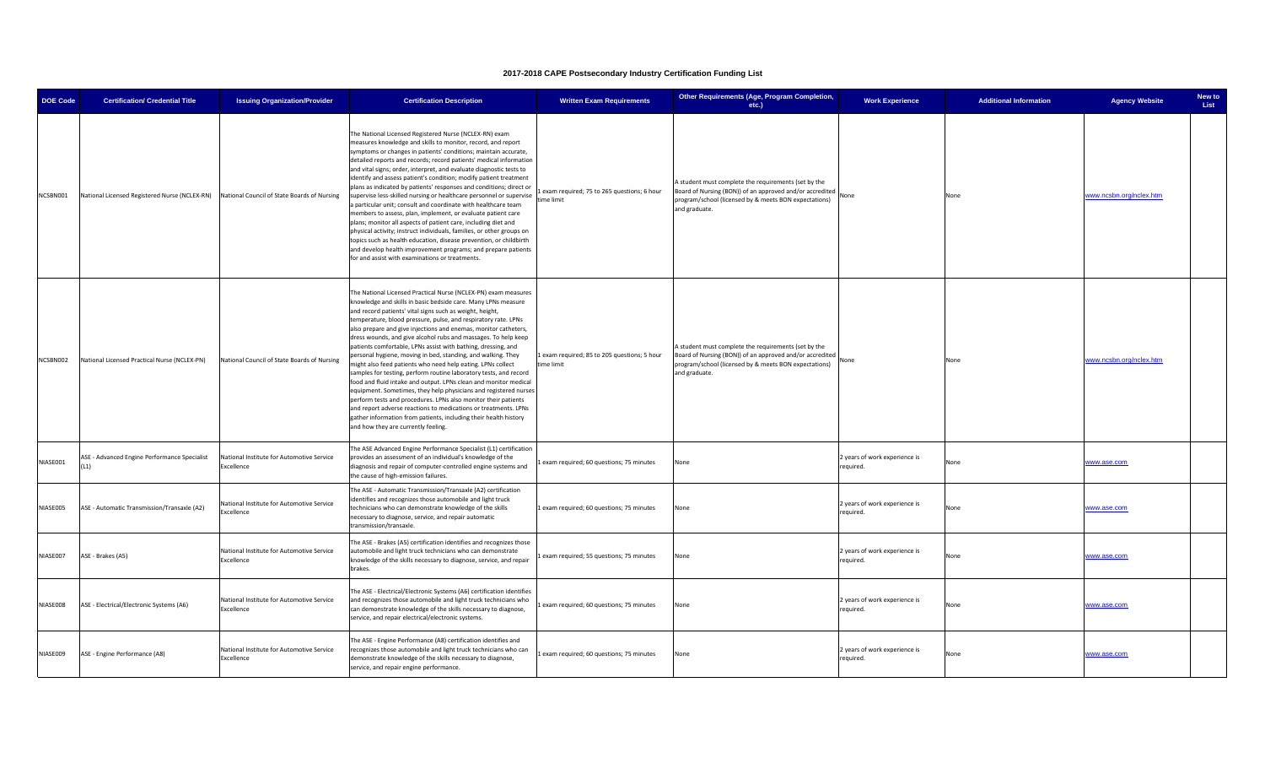| <b>DOE Code</b> | <b>Certification/ Credential Title</b>                                                    | <b>Issuing Organization/Provider</b>                    | <b>Certification Description</b>                                                                                                                                                                                                                                                                                                                                                                                                                                                                                                                                                                                                                                                                                                                                                                                                                                                                                                                                                                                                                                | <b>Written Exam Requirements</b>                           | Other Requirements (Age, Program Completion,<br>etc.)                                                                                                                                      | <b>Work Experience</b>                     | <b>Additional Information</b> | <b>Agency Website</b>   | New to<br>List |
|-----------------|-------------------------------------------------------------------------------------------|---------------------------------------------------------|-----------------------------------------------------------------------------------------------------------------------------------------------------------------------------------------------------------------------------------------------------------------------------------------------------------------------------------------------------------------------------------------------------------------------------------------------------------------------------------------------------------------------------------------------------------------------------------------------------------------------------------------------------------------------------------------------------------------------------------------------------------------------------------------------------------------------------------------------------------------------------------------------------------------------------------------------------------------------------------------------------------------------------------------------------------------|------------------------------------------------------------|--------------------------------------------------------------------------------------------------------------------------------------------------------------------------------------------|--------------------------------------------|-------------------------------|-------------------------|----------------|
| NCSBN001        | National Licensed Registered Nurse (NCLEX-RN) National Council of State Boards of Nursing |                                                         | The National Licensed Registered Nurse (NCLEX-RN) exam<br>measures knowledge and skills to monitor, record, and report<br>symptoms or changes in patients' conditions; maintain accurate,<br>detailed reports and records; record patients' medical information<br>and vital signs; order, interpret, and evaluate diagnostic tests to<br>identify and assess patient's condition; modify patient treatment<br>plans as indicated by patients' responses and conditions; direct or<br>supervise less-skilled nursing or healthcare personnel or supervise<br>a particular unit; consult and coordinate with healthcare team<br>members to assess, plan, implement, or evaluate patient care<br>plans; monitor all aspects of patient care, including diet and<br>physical activity; instruct individuals, families, or other groups on<br>topics such as health education, disease prevention, or childbirth<br>and develop health improvement programs; and prepare patients<br>for and assist with examinations or treatments.                                | exam required; 75 to 265 questions; 6 hour<br>time limit   | A student must complete the requirements (set by the<br>Board of Nursing (BON)) of an approved and/or accredited<br>program/school (licensed by & meets BON expectations)<br>and graduate. | None                                       | None                          | www.ncsbn.org/nclex.htm |                |
| NCSBN002        | National Licensed Practical Nurse (NCLEX-PN)                                              | National Council of State Boards of Nursing             | The National Licensed Practical Nurse (NCLEX-PN) exam measures<br>knowledge and skills in basic bedside care. Many LPNs measure<br>and record patients' vital signs such as weight, height,<br>temperature, blood pressure, pulse, and respiratory rate. LPNs<br>also prepare and give injections and enemas, monitor catheters,<br>dress wounds, and give alcohol rubs and massages. To help keep<br>patients comfortable, LPNs assist with bathing, dressing, and<br>personal hygiene, moving in bed, standing, and walking. They<br>might also feed patients who need help eating. LPNs collect<br>samples for testing, perform routine laboratory tests, and record<br>food and fluid intake and output. LPNs clean and monitor medical<br>equipment. Sometimes, they help physicians and registered nurses<br>perform tests and procedures. LPNs also monitor their patients<br>and report adverse reactions to medications or treatments. LPNs<br>gather information from patients, including their health history<br>and how they are currently feeling. | 1 exam required; 85 to 205 questions; 5 hour<br>time limit | A student must complete the requirements (set by the<br>Board of Nursing (BON)) of an approved and/or accredited<br>program/school (licensed by & meets BON expectations)<br>and graduate. | None                                       | None                          | www.ncsbn.org/nclex.htm |                |
| NIASE001        | ASE - Advanced Engine Performance Specialist<br>(11)                                      | National Institute for Automotive Service<br>Excellence | The ASE Advanced Engine Performance Specialist (L1) certification<br>provides an assessment of an individual's knowledge of the<br>diagnosis and repair of computer-controlled engine systems and<br>the cause of high-emission failures.                                                                                                                                                                                                                                                                                                                                                                                                                                                                                                                                                                                                                                                                                                                                                                                                                       | exam required; 60 questions; 75 minutes                    | None                                                                                                                                                                                       | 2 years of work experience is<br>required. | None                          | www.ase.com             |                |
| NIASE005        | ASE - Automatic Transmission/Transaxle (A2)                                               | National Institute for Automotive Service<br>Excellence | The ASE - Automatic Transmission/Transaxle (A2) certification<br>identifies and recognizes those automobile and light truck<br>technicians who can demonstrate knowledge of the skills<br>necessary to diagnose, service, and repair automatic<br>transmission/transaxle.                                                                                                                                                                                                                                                                                                                                                                                                                                                                                                                                                                                                                                                                                                                                                                                       | Lexam required; 60 questions; 75 minutes                   | None                                                                                                                                                                                       | 2 years of work experience is<br>required. | None                          | www.ase.com             |                |
| NIASE007        | ASE - Brakes (A5)                                                                         | National Institute for Automotive Service<br>Excellence | The ASE - Brakes (A5) certification identifies and recognizes those<br>automobile and light truck technicians who can demonstrate<br>knowledge of the skills necessary to diagnose, service, and repair<br>brakes.                                                                                                                                                                                                                                                                                                                                                                                                                                                                                                                                                                                                                                                                                                                                                                                                                                              | exam required; 55 questions; 75 minutes                    | None                                                                                                                                                                                       | 2 years of work experience is<br>required. | None                          | www.ase.com             |                |
| NIASE008        | ASE - Electrical/Electronic Systems (A6)                                                  | National Institute for Automotive Service<br>Excellence | The ASE - Electrical/Electronic Systems (A6) certification identifies<br>and recognizes those automobile and light truck technicians who<br>can demonstrate knowledge of the skills necessary to diagnose,<br>service, and repair electrical/electronic systems.                                                                                                                                                                                                                                                                                                                                                                                                                                                                                                                                                                                                                                                                                                                                                                                                | exam required; 60 questions; 75 minutes                    | None                                                                                                                                                                                       | 2 years of work experience is<br>required. | None                          | www.ase.com             |                |
| NIASE009        | ASE - Engine Performance (A8)                                                             | National Institute for Automotive Service<br>Excellence | The ASE - Engine Performance (A8) certification identifies and<br>recognizes those automobile and light truck technicians who can<br>demonstrate knowledge of the skills necessary to diagnose,<br>service, and repair engine performance.                                                                                                                                                                                                                                                                                                                                                                                                                                                                                                                                                                                                                                                                                                                                                                                                                      | exam required; 60 questions; 75 minutes                    | None                                                                                                                                                                                       | 2 years of work experience is<br>required. | None                          | www.ase.com             |                |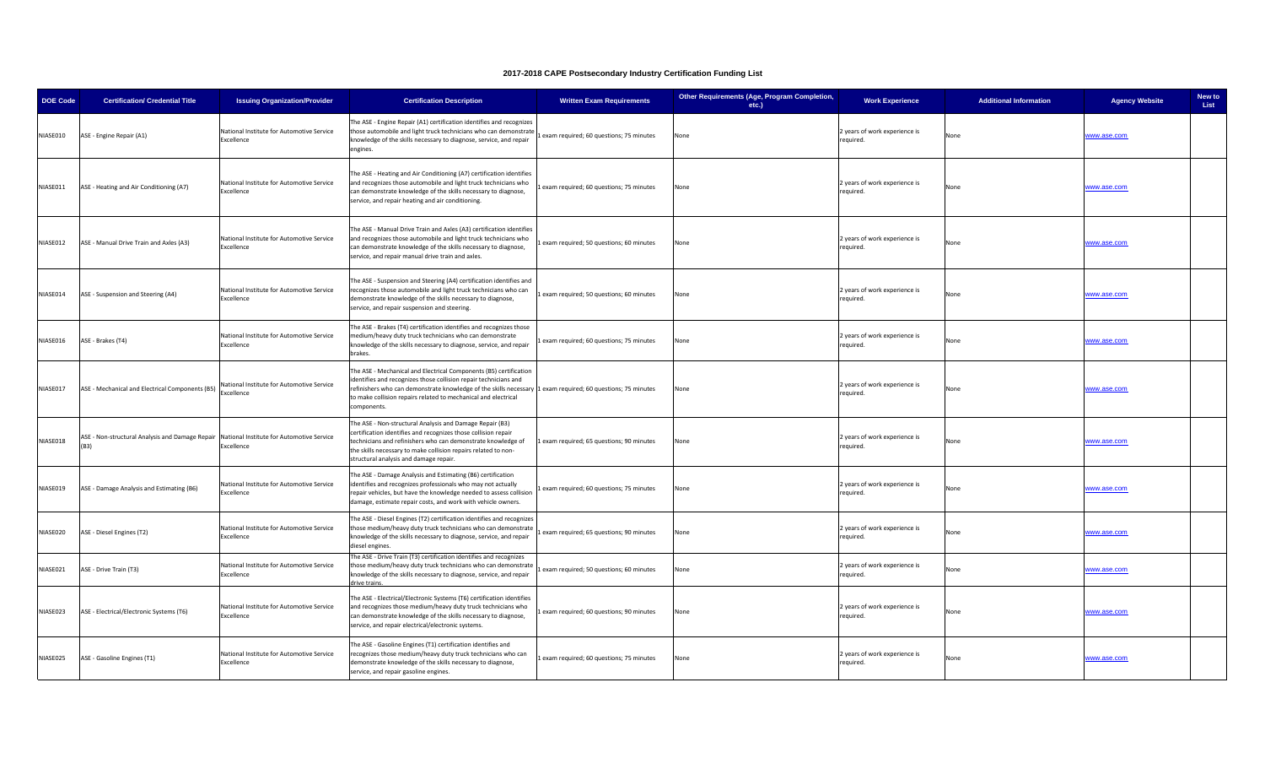| <b>DOE Code</b> | <b>Certification/ Credential Title</b>                                                              | <b>Issuing Organization/Provider</b>                    | <b>Certification Description</b>                                                                                                                                                                                                                                                                                                      | <b>Written Exam Requirements</b>        | Other Requirements (Age, Program Completion,<br>etc.) | <b>Work Experience</b>                     | <b>Additional Information</b> | <b>Agency Website</b> | New to<br>List |
|-----------------|-----------------------------------------------------------------------------------------------------|---------------------------------------------------------|---------------------------------------------------------------------------------------------------------------------------------------------------------------------------------------------------------------------------------------------------------------------------------------------------------------------------------------|-----------------------------------------|-------------------------------------------------------|--------------------------------------------|-------------------------------|-----------------------|----------------|
| NIASE010        | ASE - Engine Repair (A1)                                                                            | National Institute for Automotive Service<br>Excellence | The ASE - Engine Repair (A1) certification identifies and recognizes<br>those automobile and light truck technicians who can demonstrate<br>knowledge of the skills necessary to diagnose, service, and repair<br>engines.                                                                                                            | exam required; 60 questions; 75 minutes | None                                                  | 2 years of work experience is<br>required. | None                          | www.ase.com           |                |
| NIASE011        | ASE - Heating and Air Conditioning (A7)                                                             | National Institute for Automotive Service<br>Excellence | The ASE - Heating and Air Conditioning (A7) certification identifies<br>and recognizes those automobile and light truck technicians who<br>can demonstrate knowledge of the skills necessary to diagnose,<br>service, and repair heating and air conditioning.                                                                        | exam required; 60 questions; 75 minutes | None                                                  | 2 years of work experience is<br>required. | Non                           | www.ase.com           |                |
| NIASE012        | ASE - Manual Drive Train and Axles (A3)                                                             | National Institute for Automotive Service<br>Excellence | The ASE - Manual Drive Train and Axles (A3) certification identifies<br>and recognizes those automobile and light truck technicians who<br>can demonstrate knowledge of the skills necessary to diagnose,<br>service, and repair manual drive train and axles.                                                                        | exam required; 50 questions; 60 minutes | None                                                  | 2 years of work experience is<br>required. | None                          | www.ase.com           |                |
| NIASE014        | ASE - Suspension and Steering (A4)                                                                  | National Institute for Automotive Service<br>Excellence | The ASE - Suspension and Steering (A4) certification identifies and<br>recognizes those automobile and light truck technicians who can<br>demonstrate knowledge of the skills necessary to diagnose,<br>service, and repair suspension and steering.                                                                                  | exam required; 50 questions; 60 minutes | None                                                  | 2 years of work experience is<br>required. | None                          | www.ase.com           |                |
| NIASE016        | ASE - Brakes (T4)                                                                                   | National Institute for Automotive Service<br>Excellence | The ASE - Brakes (T4) certification identifies and recognizes those<br>medium/heavy duty truck technicians who can demonstrate<br>knowledge of the skills necessary to diagnose, service, and repair<br>brakes.                                                                                                                       | exam required; 60 questions; 75 minutes | None                                                  | 2 years of work experience is<br>required. | None                          | www.ase.com           |                |
| NIASE017        | ASE - Mechanical and Electrical Components (B5)                                                     | National Institute for Automotive Service<br>Excellence | The ASE - Mechanical and Electrical Components (B5) certification<br>identifies and recognizes those collision repair technicians and<br>refinishers who can demonstrate knowledge of the skills necessary 1 exam required; 60 questions; 75 minutes<br>to make collision repairs related to mechanical and electrical<br>components. |                                         | None                                                  | 2 years of work experience is<br>required. | None                          | www.ase.com           |                |
| NIASE018        | ASE - Non-structural Analysis and Damage Repair   National Institute for Automotive Service<br>(B3) | Excellence                                              | The ASE - Non-structural Analysis and Damage Repair (B3)<br>certification identifies and recognizes those collision repair<br>technicians and refinishers who can demonstrate knowledge of<br>the skills necessary to make collision repairs related to non-<br>structural analysis and damage repair.                                | exam required; 65 questions; 90 minutes | None                                                  | 2 years of work experience is<br>required. | None                          | www.ase.com           |                |
| NIASE019        | ASE - Damage Analysis and Estimating (B6)                                                           | National Institute for Automotive Service<br>Excellence | The ASE - Damage Analysis and Estimating (B6) certification<br>identifies and recognizes professionals who may not actually<br>repair vehicles, but have the knowledge needed to assess collision<br>damage, estimate repair costs, and work with vehicle owners.                                                                     | exam required; 60 questions; 75 minutes | None                                                  | 2 years of work experience is<br>required. | None                          | www.ase.com           |                |
| NIASE020        | ASE - Diesel Engines (T2)                                                                           | National Institute for Automotive Service<br>Excellence | The ASE - Diesel Engines (T2) certification identifies and recognizes<br>those medium/heavy duty truck technicians who can demonstrate<br>knowledge of the skills necessary to diagnose, service, and repair<br>diesel engines.                                                                                                       | exam required; 65 questions; 90 minutes | None                                                  | 2 years of work experience is<br>required. | None                          | www.ase.com           |                |
| NIASE021        | ASE - Drive Train (T3)                                                                              | National Institute for Automotive Service<br>Excellence | The ASE - Drive Train (T3) certification identifies and recognizes<br>hose medium/heavy duty truck technicians who can demonstrate<br>knowledge of the skills necessary to diagnose, service, and repair<br>rive trains.                                                                                                              | exam required; 50 questions; 60 minutes | None                                                  | 2 years of work experience is<br>required. | None                          | www.ase.com           |                |
| NIASE023        | ASE - Electrical/Electronic Systems (T6)                                                            | National Institute for Automotive Service<br>Excellence | The ASE - Electrical/Electronic Systems (T6) certification identifies<br>and recognizes those medium/heavy duty truck technicians who<br>can demonstrate knowledge of the skills necessary to diagnose,<br>service, and repair electrical/electronic systems.                                                                         | exam required; 60 questions; 90 minutes | None                                                  | 2 years of work experience is<br>required. | None                          | www.ase.com           |                |
| NIASE025        | ASE - Gasoline Engines (T1)                                                                         | National Institute for Automotive Service<br>Excellence | The ASE - Gasoline Engines (T1) certification identifies and<br>recognizes those medium/heavy duty truck technicians who can<br>demonstrate knowledge of the skills necessary to diagnose,<br>service, and repair gasoline engines.                                                                                                   | exam required; 60 questions; 75 minutes | None                                                  | 2 years of work experience is<br>required. | None                          | www.ase.com           |                |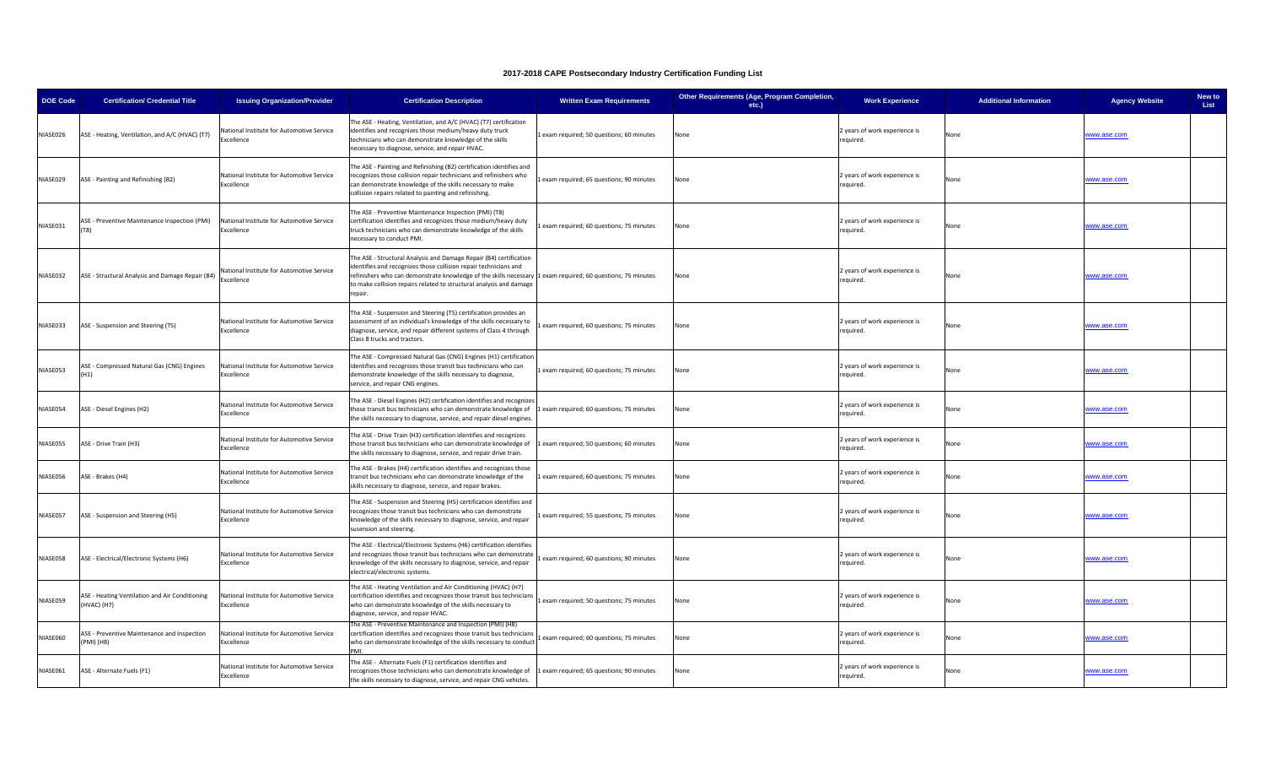| <b>DOE Code</b> | <b>Certification/ Credential Title</b>                        | <b>Issuing Organization/Provider</b>                    | <b>Certification Description</b>                                                                                                                                                                                                                                                                                                        | <b>Written Exam Requirements</b>        | Other Requirements (Age, Program Completion,<br>etc.) | <b>Work Experience</b>                     | <b>Additional Information</b> | <b>Agency Website</b> | New to<br>List |
|-----------------|---------------------------------------------------------------|---------------------------------------------------------|-----------------------------------------------------------------------------------------------------------------------------------------------------------------------------------------------------------------------------------------------------------------------------------------------------------------------------------------|-----------------------------------------|-------------------------------------------------------|--------------------------------------------|-------------------------------|-----------------------|----------------|
| NIASE026        | ASE - Heating, Ventilation, and A/C (HVAC) (T7)               | National Institute for Automotive Service<br>Excellence | The ASE - Heating, Ventilation, and A/C (HVAC) (T7) certification<br>identifies and recognizes those medium/heavy duty truck<br>technicians who can demonstrate knowledge of the skills<br>necessary to diagnose, service, and repair HVAC.                                                                                             | exam required; 50 questions; 60 minutes | None                                                  | years of work experience is<br>equired.    | None                          | www.ase.com           |                |
| NIASE029        | ASE - Painting and Refinishing (B2)                           | National Institute for Automotive Service<br>Excellence | The ASE - Painting and Refinishing (B2) certification identifies and<br>recognizes those collision repair technicians and refinishers who<br>can demonstrate knowledge of the skills necessary to make<br>collision repairs related to painting and refinishing.                                                                        | exam required; 65 questions; 90 minutes | None                                                  | 2 years of work experience is<br>equired.  | None                          | www.ase.com           |                |
| NIASE031        | ASE - Preventive Maintenance Inspection (PMI)                 | National Institute for Automotive Service<br>Excellence | The ASE - Preventive Maintenance Inspection (PMI) (T8)<br>certification identifies and recognizes those medium/heavy duty<br>truck technicians who can demonstrate knowledge of the skills<br>necessary to conduct PMI.                                                                                                                 | exam required; 60 questions; 75 minutes | None                                                  | 2 years of work experience is<br>required. | None                          | www.ase.com           |                |
| NIASE032        | ASE - Structural Analysis and Damage Repair (B4)              | National Institute for Automotive Service<br>xcellence  | The ASE - Structural Analysis and Damage Repair (B4) certification<br>identifies and recognizes those collision repair technicians and<br>refinishers who can demonstrate knowledge of the skills necessary 1 exam required; 60 questions; 75 minutes<br>to make collision repairs related to structural analysis and damage<br>repair. |                                         | None                                                  | 2 years of work experience is<br>equired.  | None                          | www.ase.com           |                |
| NIASE033        | ASE - Suspension and Steering (T5)                            | National Institute for Automotive Service<br>Excellence | The ASE - Suspension and Steering (T5) certification provides an<br>assessment of an individual's knowledge of the skills necessary to<br>diagnose, service, and repair different systems of Class 4 through<br>Class 8 trucks and tractors.                                                                                            | exam required; 60 questions; 75 minutes | None                                                  | years of work experience is<br>required.   | None                          | www.ase.com           |                |
| NIASE053        | ASE - Compressed Natural Gas (CNG) Engines<br>(H1)            | National Institute for Automotive Service<br>Excellence | The ASE - Compressed Natural Gas (CNG) Engines (H1) certification<br>identifies and recognizes those transit bus technicians who can<br>demonstrate knowledge of the skills necessary to diagnose,<br>service, and repair CNG engines.                                                                                                  | exam required; 60 questions; 75 minutes | None                                                  | 2 years of work experience is<br>required. | None                          | www.ase.com           |                |
| NIASE054        | ASE - Diesel Engines (H2)                                     | National Institute for Automotive Service<br>Excellence | The ASE - Diesel Engines (H2) certification identifies and recognizes<br>hose transit bus technicians who can demonstrate knowledge of<br>the skills necessary to diagnose, service, and repair diesel engines.                                                                                                                         | exam required; 60 questions; 75 minutes | None                                                  | 2 years of work experience is<br>equired.  | None                          | www.ase.com           |                |
| NIASE055        | ASE - Drive Train (H3)                                        | National Institute for Automotive Service<br>Excellence | The ASE - Drive Train (H3) certification identifies and recognizes<br>those transit bus technicians who can demonstrate knowledge of<br>the skills necessary to diagnose, service, and repair drive train.                                                                                                                              | exam required; 50 questions; 60 minutes | None                                                  | 2 years of work experience is<br>required. | None                          | www.ase.com           |                |
| NIASE056        | ASE - Brakes (H4)                                             | National Institute for Automotive Service<br>Excellence | The ASE - Brakes (H4) certification identifies and recognizes those<br>transit bus technicians who can demonstrate knowledge of the<br>skills necessary to diagnose, service, and repair brakes.                                                                                                                                        | exam required; 60 questions; 75 minutes | None                                                  | years of work experience is<br>equired.    | None                          | www.ase.com           |                |
| NIASE057        | ASE - Suspension and Steering (H5)                            | National Institute for Automotive Service<br>Excellence | The ASE - Suspension and Steering (H5) certification identifies and<br>recognizes those transit bus technicians who can demonstrate<br>knowledge of the skills necessary to diagnose, service, and repair<br>susension and steering.                                                                                                    | exam required; 55 questions; 75 minutes | None                                                  | ? years of work experience is<br>required. | None                          | www.ase.com           |                |
| NIASE058        | ASE - Electrical/Electronic Systems (H6)                      | National Institute for Automotive Service<br>Excellence | The ASE - Electrical/Electronic Systems (H6) certification identifies<br>and recognizes those transit bus technicians who can demonstrate<br>knowledge of the skills necessary to diagnose, service, and repair<br>electrical/electronic systems.                                                                                       | exam required; 60 questions; 90 minutes | None                                                  | years of work experience is<br>equired.    | None                          | www.ase.com           |                |
| NIASE059        | ASE - Heating Ventilation and Air Conditioning<br>(HVAC) (H7) | National Institute for Automotive Service<br>Excellence | The ASE - Heating Ventilation and Air Conditioning (HVAC) (H7)<br>certification identifies and recognizes those transit bus technicians<br>who can demonstrate knowledge of the skills necessary to<br>diagnose, service, and repair HVAC.                                                                                              | exam required; 50 questions; 75 minutes | None                                                  | 2 years of work experience is<br>required. | None                          | www.ase.com           |                |
| NIASE060        | ASE - Preventive Maintenance and Inspection<br>(PMI) (H8)     | National Institute for Automotive Service<br>xcellence  | The ASE - Preventive Maintenance and Inspection (PMI) (H8)<br>certification identifies and recognizes those transit bus technicians<br>who can demonstrate knowledge of the skills necessary to conduct                                                                                                                                 | exam required; 60 questions; 75 minutes | None                                                  | 2 years of work experience is<br>equired.  | None                          | www.ase.com           |                |
| NIASE061        | ASE - Alternate Fuels (F1)                                    | National Institute for Automotive Service<br>Excellence | The ASE - Alternate Fuels (F1) certification identifies and<br>ecognizes those technicians who can demonstrate knowledge of<br>the skills necessary to diagnose, service, and repair CNG vehicles.                                                                                                                                      | exam required; 65 questions; 90 minutes | None                                                  | 2 years of work experience is<br>equired.  | None                          | www.ase.com           |                |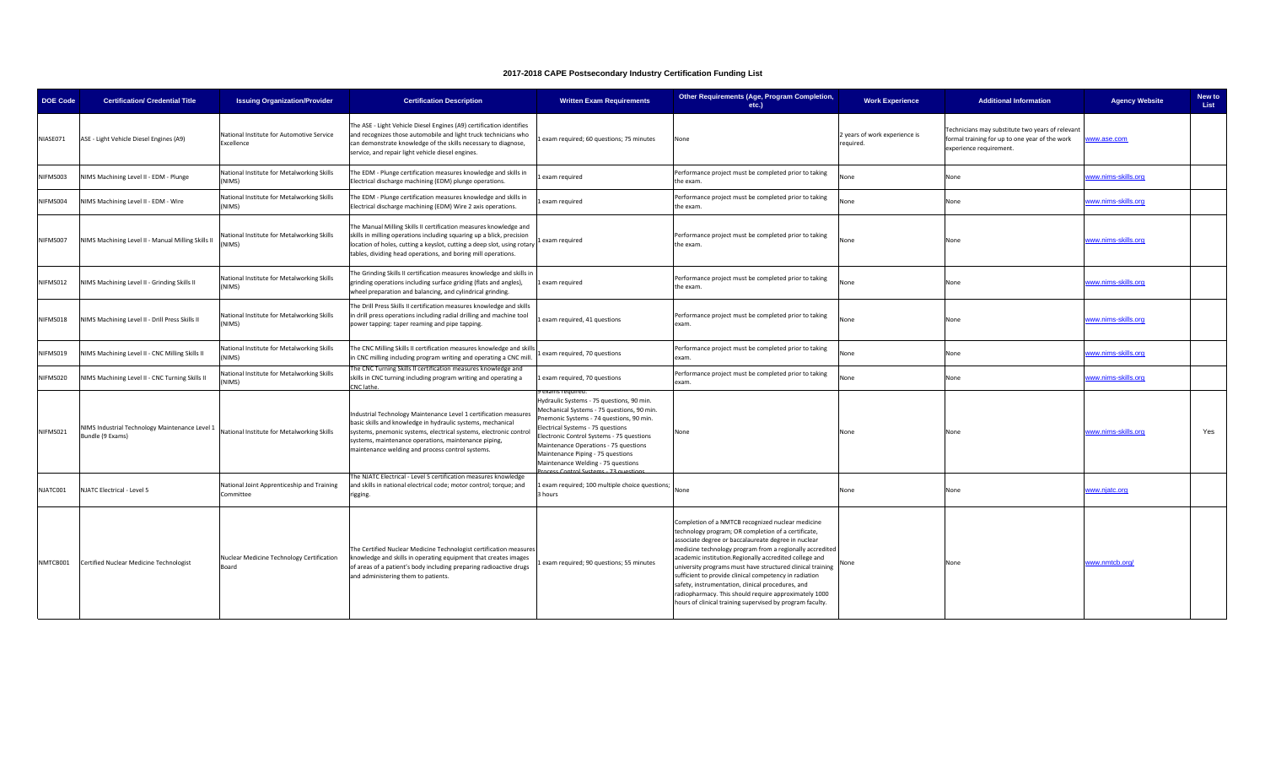| DOE Code | <b>Certification/ Credential Title</b>                             | <b>Issuing Organization/Provider</b>                    | <b>Certification Description</b>                                                                                                                                                                                                                                                                                 | <b>Written Exam Requirements</b>                                                                                                                                                                                                                                                                                                                           | Other Requirements (Age, Program Completion,<br>etc.)                                                                                                                                                                                                                                                                                                                                                                                                                                                                                                                                    | <b>Work Experience</b>                     | <b>Additional Information</b>                                                                                                 | <b>Agency Website</b> | New to<br>List |
|----------|--------------------------------------------------------------------|---------------------------------------------------------|------------------------------------------------------------------------------------------------------------------------------------------------------------------------------------------------------------------------------------------------------------------------------------------------------------------|------------------------------------------------------------------------------------------------------------------------------------------------------------------------------------------------------------------------------------------------------------------------------------------------------------------------------------------------------------|------------------------------------------------------------------------------------------------------------------------------------------------------------------------------------------------------------------------------------------------------------------------------------------------------------------------------------------------------------------------------------------------------------------------------------------------------------------------------------------------------------------------------------------------------------------------------------------|--------------------------------------------|-------------------------------------------------------------------------------------------------------------------------------|-----------------------|----------------|
| NIASE071 | ASE - Light Vehicle Diesel Engines (A9)                            | National Institute for Automotive Service<br>Excellence | The ASE - Light Vehicle Diesel Engines (A9) certification identifies<br>and recognizes those automobile and light truck technicians who<br>can demonstrate knowledge of the skills necessary to diagnose,<br>service, and repair light vehicle diesel engines.                                                   | exam required; 60 questions; 75 minutes                                                                                                                                                                                                                                                                                                                    | None                                                                                                                                                                                                                                                                                                                                                                                                                                                                                                                                                                                     | 2 years of work experience is<br>required. | Technicians may substitute two years of relevant<br>formal training for up to one year of the work<br>experience requirement. | www.ase.com           |                |
| NIFMS003 | NIMS Machining Level II - EDM - Plunge                             | National Institute for Metalworking Skills<br>NIMS)     | The EDM - Plunge certification measures knowledge and skills in<br>Electrical discharge machining (EDM) plunge operations.                                                                                                                                                                                       | exam required                                                                                                                                                                                                                                                                                                                                              | Performance project must be completed prior to taking<br>the exam.                                                                                                                                                                                                                                                                                                                                                                                                                                                                                                                       | None                                       | None                                                                                                                          | www.nims-skills.org   |                |
| NIFMS004 | NIMS Machining Level II - EDM - Wire                               | National Institute for Metalworking Skills<br>NIMS)     | The EDM - Plunge certification measures knowledge and skills in<br>Electrical discharge machining (EDM) Wire 2 axis operations.                                                                                                                                                                                  | exam required                                                                                                                                                                                                                                                                                                                                              | Performance project must be completed prior to taking<br>the exam.                                                                                                                                                                                                                                                                                                                                                                                                                                                                                                                       | None                                       | None                                                                                                                          | www.nims-skills.org   |                |
| NIFMS007 | NIMS Machining Level II - Manual Milling Skills II                 | National Institute for Metalworking Skills<br>NIMS)     | The Manual Milling Skills II certification measures knowledge and<br>skills in milling operations including squaring up a blick, precision<br>location of holes, cutting a keyslot, cutting a deep slot, using rotary<br>tables, dividing head operations, and boring mill operations.                           | exam required                                                                                                                                                                                                                                                                                                                                              | Performance project must be completed prior to taking<br>the exam.                                                                                                                                                                                                                                                                                                                                                                                                                                                                                                                       | None                                       | None                                                                                                                          | www.nims-skills.org   |                |
| NIFMS012 | NIMS Machining Level II - Grinding Skills II                       | National Institute for Metalworking Skills<br>NIMS)     | The Grinding Skills II certification measures knowledge and skills in<br>grinding operations including surface griding (flats and angles),<br>wheel preparation and balancing, and cylindrical grinding.                                                                                                         | exam required                                                                                                                                                                                                                                                                                                                                              | Performance project must be completed prior to taking<br>the exam.                                                                                                                                                                                                                                                                                                                                                                                                                                                                                                                       | None                                       | None                                                                                                                          | vww.nims-skills.org   |                |
| NIFMS018 | NIMS Machining Level II - Drill Press Skills II                    | National Institute for Metalworking Skills<br>NIMS)     | The Drill Press Skills II certification measures knowledge and skills<br>in drill press operations including radial drilling and machine tool<br>power tapping: taper reaming and pipe tapping.                                                                                                                  | exam required, 41 questions                                                                                                                                                                                                                                                                                                                                | Performance project must be completed prior to taking<br>exam.                                                                                                                                                                                                                                                                                                                                                                                                                                                                                                                           | None                                       | None                                                                                                                          | www.nims-skills.org   |                |
| VIFMS019 | VIMS Machining Level II - CNC Milling Skills II                    | National Institute for Metalworking Skills<br>NIMS)     | The CNC Milling Skills II certification measures knowledge and skills<br>in CNC milling including program writing and operating a CNC mill.                                                                                                                                                                      | exam required, 70 questions                                                                                                                                                                                                                                                                                                                                | erformance project must be completed prior to taking<br>exam.                                                                                                                                                                                                                                                                                                                                                                                                                                                                                                                            | None                                       | None                                                                                                                          | ww.nims-skills.org    |                |
| NIFMS020 | NIMS Machining Level II - CNC Turning Skills II                    | National Institute for Metalworking Skills<br>NIMS)     | The CNC Turning Skills II certification measures knowledge and<br>skills in CNC turning including program writing and operating a<br>CNC lathe.                                                                                                                                                                  | exam required, 70 questions                                                                                                                                                                                                                                                                                                                                | Performance project must be completed prior to taking<br>xam.                                                                                                                                                                                                                                                                                                                                                                                                                                                                                                                            | None                                       | None                                                                                                                          | ww.nims-skills.org    |                |
| NIFMS021 | NIMS Industrial Technology Maintenance Level 1<br>Bundle (9 Exams) | National Institute for Metalworking Skills              | Industrial Technology Maintenance Level 1 certification measures<br>basic skills and knowledge in hydraulic systems, mechanical<br>systems, pnemonic systems, electrical systems, electronic control<br>systems, maintenance operations, maintenance piping,<br>maintenance welding and process control systems. | Hydraulic Systems - 75 questions, 90 min.<br>Mechanical Systems - 75 questions, 90 min<br>nemonic Systems - 74 questions, 90 min.<br>lectrical Systems - 75 questions<br>Electronic Control Systems - 75 questions<br>Maintenance Operations - 75 questions<br>Maintenance Piping - 75 questions<br>Maintenance Welding - 75 questions<br>strol Systems 72 | None                                                                                                                                                                                                                                                                                                                                                                                                                                                                                                                                                                                     | None                                       | None                                                                                                                          | www.nims-skills.org   | Yes            |
| NJATC001 | NJATC Electrical - Level 5                                         | National Joint Apprenticeship and Training<br>Committee | The NJATC Electrical - Level 5 certification measures knowledge<br>and skills in national electrical code; motor control; torque; and<br>rigging.                                                                                                                                                                | exam required; 100 multiple choice questions;<br>hours                                                                                                                                                                                                                                                                                                     |                                                                                                                                                                                                                                                                                                                                                                                                                                                                                                                                                                                          | None                                       | None                                                                                                                          | vww.njatc.org         |                |
| NMTCB001 | Certified Nuclear Medicine Technologist                            | Nuclear Medicine Technology Certification<br>Board      | The Certified Nuclear Medicine Technologist certification measure<br>knowledge and skills in operating equipment that creates images<br>of areas of a patient's body including preparing radioactive drugs<br>and administering them to patients.                                                                | exam required; 90 questions; 55 minutes                                                                                                                                                                                                                                                                                                                    | Completion of a NMTCB recognized nuclear medicine<br>technology program; OR completion of a certificate,<br>associate degree or baccalaureate degree in nuclear<br>medicine technology program from a regionally accredited<br>academic institution.Regionally accredited college and<br>university programs must have structured clinical training<br>sufficient to provide clinical competency in radiation<br>safety, instrumentation, clinical procedures, and<br>radiopharmacy. This should require approximately 1000<br>hours of clinical training supervised by program faculty. | None                                       | None                                                                                                                          | www.nmtcb.org/        |                |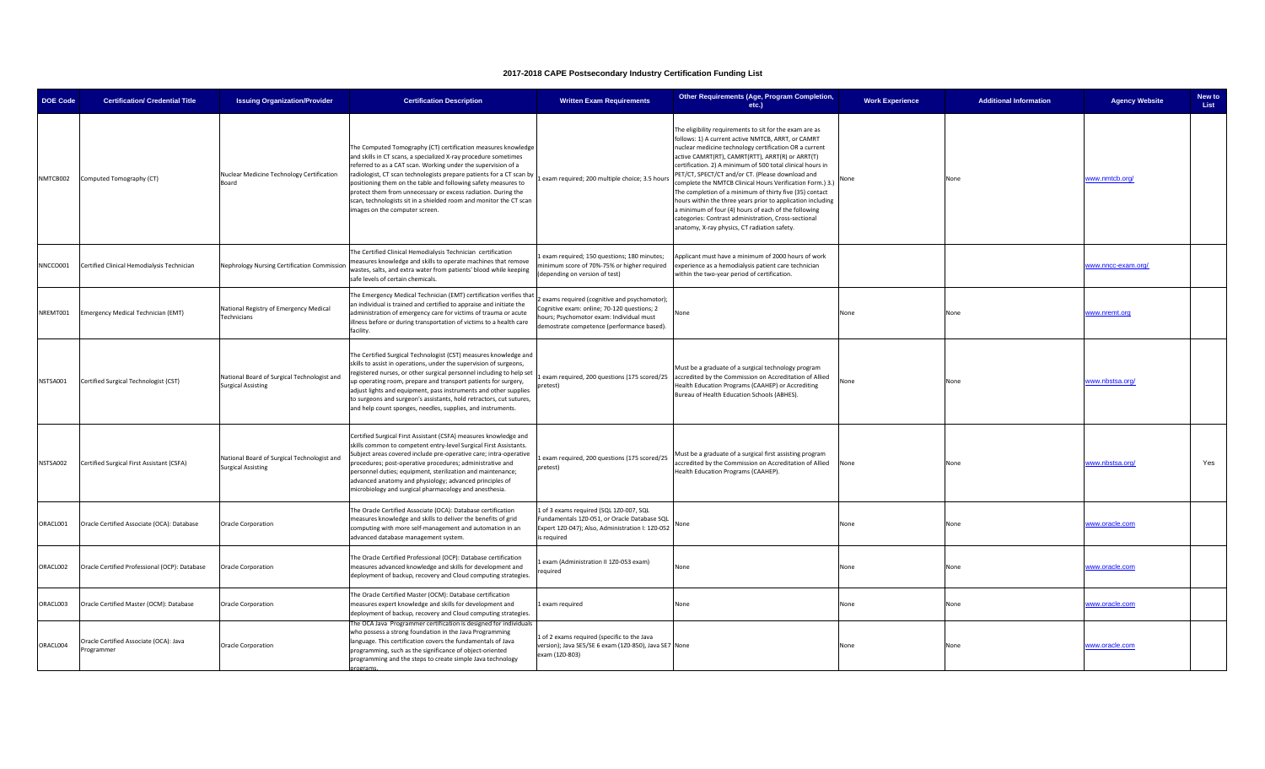| <b>DOE Code</b> | <b>Certification/ Credential Title</b>              | <b>Issuing Organization/Provider</b>                                     | <b>Certification Description</b>                                                                                                                                                                                                                                                                                                                                                                                                                                                                                    | <b>Written Exam Requirements</b>                                                                                                                                                    | Other Requirements (Age, Program Completion,<br>etc.)                                                                                                                                                                                                                                                                                                                                                                                                                                                                                                                                                                                                                                                | <b>Work Experience</b> | <b>Additional Information</b> | <b>Agency Website</b> | New to<br>List |
|-----------------|-----------------------------------------------------|--------------------------------------------------------------------------|---------------------------------------------------------------------------------------------------------------------------------------------------------------------------------------------------------------------------------------------------------------------------------------------------------------------------------------------------------------------------------------------------------------------------------------------------------------------------------------------------------------------|-------------------------------------------------------------------------------------------------------------------------------------------------------------------------------------|------------------------------------------------------------------------------------------------------------------------------------------------------------------------------------------------------------------------------------------------------------------------------------------------------------------------------------------------------------------------------------------------------------------------------------------------------------------------------------------------------------------------------------------------------------------------------------------------------------------------------------------------------------------------------------------------------|------------------------|-------------------------------|-----------------------|----------------|
| NMTCB002        | Computed Tomography (CT)                            | Nuclear Medicine Technology Certification<br>Board                       | The Computed Tomography (CT) certification measures knowledge<br>and skills in CT scans, a specialized X-ray procedure sometimes<br>eferred to as a CAT scan. Working under the supervision of a<br>radiologist, CT scan technologists prepare patients for a CT scan by<br>positioning them on the table and following safety measures to<br>protect them from unnecessary or excess radiation. During the<br>scan, technologists sit in a shielded room and monitor the CT scan<br>images on the computer screen. | Lexam required; 200 multiple choice; 3.5 hours                                                                                                                                      | The eligibility requirements to sit for the exam are as<br>follows: 1) A current active NMTCB, ARRT, or CAMRT<br>nuclear medicine technology certification OR a current<br>active CAMRT(RT), CAMRT(RTT), ARRT(R) or ARRT(T)<br>certification. 2) A minimum of 500 total clinical hours in<br>PET/CT, SPECT/CT and/or CT. (Please download and<br>complete the NMTCB Clinical Hours Verification Form.) 3.)<br>The completion of a minimum of thirty five (35) contact<br>hours within the three years prior to application including<br>a minimum of four (4) hours of each of the following<br>categories: Contrast administration, Cross-sectional<br>anatomy, X-ray physics, CT radiation safety. | None                   | None                          | www.nmtcb.org/        |                |
| NNCCO001        | Certified Clinical Hemodialysis Technician          | Nephrology Nursing Certification Commission                              | The Certified Clinical Hemodialysis Technician certification<br>measures knowledge and skills to operate machines that remove<br>wastes, salts, and extra water from patients' blood while keeping<br>safe levels of certain chemicals.                                                                                                                                                                                                                                                                             | exam required; 150 questions; 180 minutes;<br>inimum score of 70%-75% or higher required<br>(depending on version of test)                                                          | Applicant must have a minimum of 2000 hours of work<br>experience as a hemodialysis patient care technician<br>within the two-year period of certification.                                                                                                                                                                                                                                                                                                                                                                                                                                                                                                                                          |                        |                               | www.nncc-exam.org/    |                |
| NREMT001        | Emergency Medical Technician (EMT)                  | National Registry of Emergency Medical<br>Technicians                    | The Emergency Medical Technician (EMT) certification verifies tha<br>an individual is trained and certified to appraise and initiate the<br>administration of emergency care for victims of trauma or acute<br>illness before or during transportation of victims to a health care<br>facility.                                                                                                                                                                                                                     | exams required (cognitive and psychomotor);<br>Cognitive exam: online; 70-120 questions; 2<br>ours; Psychomotor exam: Individual must<br>demostrate competence (performance based). | Vone                                                                                                                                                                                                                                                                                                                                                                                                                                                                                                                                                                                                                                                                                                 | None                   | None                          | www.nremt.org         |                |
| NSTSA001        | Certified Surgical Technologist (CST)               | National Board of Surgical Technologist and<br><b>Surgical Assisting</b> | The Certified Surgical Technologist (CST) measures knowledge and<br>skills to assist in operations, under the supervision of surgeons,<br>registered nurses, or other surgical personnel including to help set<br>up operating room, prepare and transport patients for surgery,<br>adjust lights and equipment, pass instruments and other supplies<br>to surgeons and surgeon's assistants, hold retractors, cut sutures,<br>and help count sponges, needles, supplies, and instruments.                          | pretest)                                                                                                                                                                            | Must be a graduate of a surgical technology program<br>Lexam required, 200 questions (175 scored/25   accredited by the Commission on Accreditation of Allied<br>Health Education Programs (CAAHEP) or Accrediting<br>Bureau of Health Education Schools (ABHES).                                                                                                                                                                                                                                                                                                                                                                                                                                    | None                   | None                          | www.nbstsa.org/       |                |
| NSTSA002        | Certified Surgical First Assistant (CSFA)           | National Board of Surgical Technologist and<br><b>Surgical Assisting</b> | Certified Surgical First Assistant (CSFA) measures knowledge and<br>skills common to competent entry-level Surgical First Assistants.<br>Subject areas covered include pre-operative care; intra-operative<br>procedures; post-operative procedures; administrative and<br>personnel duties; equipment, sterilization and maintenance;<br>advanced anatomy and physiology; advanced principles of<br>microbiology and surgical pharmacology and anesthesia.                                                         | 1 exam required, 200 questions (175 scored/25<br>pretest)                                                                                                                           | Must be a graduate of a surgical first assisting program<br>ccredited by the Commission on Accreditation of Allied<br>Health Education Programs (CAAHEP).                                                                                                                                                                                                                                                                                                                                                                                                                                                                                                                                            | None                   | None                          | www.nbstsa.org/       | Yes            |
| ORACL001        | Oracle Certified Associate (OCA): Database          | Oracle Corporation                                                       | The Oracle Certified Associate (OCA): Database certification<br>measures knowledge and skills to deliver the benefits of grid<br>computing with more self-management and automation in an<br>advanced database management system.                                                                                                                                                                                                                                                                                   | 1 of 3 exams required (SQL 1Z0-007, SQL<br>Fundamentals 1Z0-051, or Oracle Database SQL<br>Expert 1Z0-047); Also, Administration I: 1Z0-052<br>is required                          | None                                                                                                                                                                                                                                                                                                                                                                                                                                                                                                                                                                                                                                                                                                 | None                   | None                          | www.oracle.com        |                |
| ORACL002        | Oracle Certified Professional (OCP): Database       | Oracle Corporation                                                       | The Oracle Certified Professional (OCP): Database certification<br>measures advanced knowledge and skills for development and<br>deployment of backup, recovery and Cloud computing strategies                                                                                                                                                                                                                                                                                                                      | exam (Administration II 1Z0-053 exam)<br>equired                                                                                                                                    | None                                                                                                                                                                                                                                                                                                                                                                                                                                                                                                                                                                                                                                                                                                 | None                   | None                          | www.oracle.com        |                |
| ORACL003        | Oracle Certified Master (OCM): Database             | Oracle Corporation                                                       | The Oracle Certified Master (OCM): Database certification<br>measures expert knowledge and skills for development and<br>deployment of backup, recovery and Cloud computing strategies.                                                                                                                                                                                                                                                                                                                             | 1 exam required                                                                                                                                                                     | None                                                                                                                                                                                                                                                                                                                                                                                                                                                                                                                                                                                                                                                                                                 | None                   | None                          | www.oracle.com        |                |
| ORACL004        | Oracle Certified Associate (OCA): Java<br>rogrammer | Oracle Corporation                                                       | he OCA Java Programmer certification is designed for individuals<br>who possess a strong foundation in the Java Programming<br>language. This certification covers the fundamentals of Java<br>programming, such as the significance of object-oriented<br>programming and the steps to create simple Java technology                                                                                                                                                                                               | 1 of 2 exams required (specific to the Java<br>version); Java SE5/SE 6 exam (1Z0-850), Java SE7 None<br>exam (1Z0-803)                                                              |                                                                                                                                                                                                                                                                                                                                                                                                                                                                                                                                                                                                                                                                                                      | None                   | None                          | www.oracle.com        |                |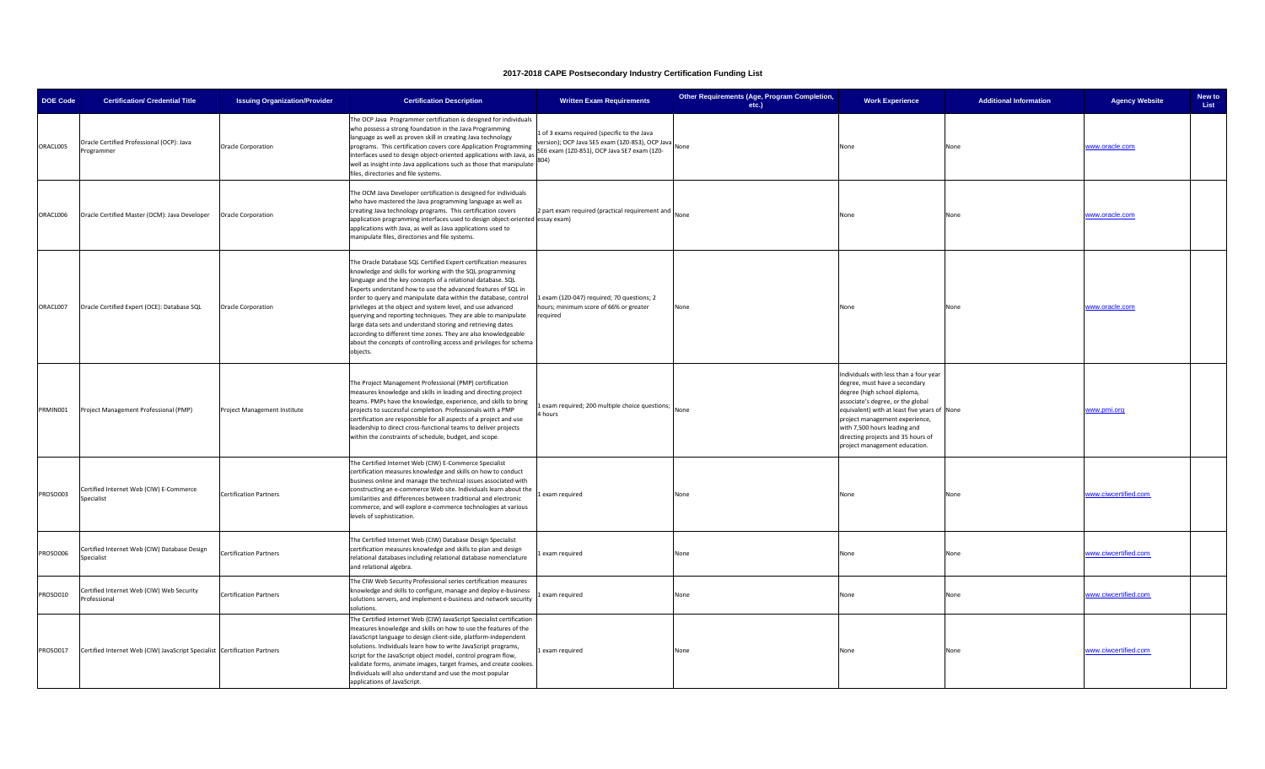| <b>DOE Code</b> | <b>Certification/ Credential Title</b>                                    | <b>Issuing Organization/Provider</b> | <b>Certification Description</b>                                                                                                                                                                                                                                                                                                                                                                                                                                                                                                                                                                                                                                                  | <b>Written Exam Requirements</b>                                                                                                                     | Other Requirements (Age, Program Completion,<br>etc.) | <b>Work Experience</b>                                                                                                                                                                                                                                                                                                                | <b>Additional Information</b> | <b>Agency Website</b> | New to<br>List |
|-----------------|---------------------------------------------------------------------------|--------------------------------------|-----------------------------------------------------------------------------------------------------------------------------------------------------------------------------------------------------------------------------------------------------------------------------------------------------------------------------------------------------------------------------------------------------------------------------------------------------------------------------------------------------------------------------------------------------------------------------------------------------------------------------------------------------------------------------------|------------------------------------------------------------------------------------------------------------------------------------------------------|-------------------------------------------------------|---------------------------------------------------------------------------------------------------------------------------------------------------------------------------------------------------------------------------------------------------------------------------------------------------------------------------------------|-------------------------------|-----------------------|----------------|
| ORACL005        | Oracle Certified Professional (OCP): Java<br>ogrammer                     | <b>Oracle Corporation</b>            | The OCP Java Programmer certification is designed for individuals<br>who possess a strong foundation in the Java Programming<br>language as well as proven skill in creating Java technology<br>programs. This certification covers core Application Programming<br>nterfaces used to design object-oriented applications with Java, as<br>well as insight into Java applications such as those that manipulate<br>iles, directories and file systems.                                                                                                                                                                                                                            | 1 of 3 exams required (specific to the Java<br>ersion); OCP Java SE5 exam (1Z0-853), OCP Java<br>SE6 exam (1Z0-851), OCP Java SE7 exam (1Z0-<br>804) | None                                                  | None                                                                                                                                                                                                                                                                                                                                  | None                          | www.oracle.com        |                |
| ORACL006        | Oracle Certified Master (OCM): Java Developer                             | Oracle Corporation                   | The OCM Java Developer certification is designed for individuals<br>who have mastered the Java programming language as well as<br>creating Java technology programs. This certification covers<br>application programming interfaces used to design object-oriented essay exam)<br>applications with Java, as well as Java applications used to<br>manipulate files, directories and file systems.                                                                                                                                                                                                                                                                                | 2 part exam required (practical requirement and                                                                                                      | None                                                  | None                                                                                                                                                                                                                                                                                                                                  | None                          | www.oracle.com        |                |
| ORACL007        | Oracle Certified Expert (OCE): Database SQL                               | <b>Oracle Corporation</b>            | The Oracle Database SQL Certified Expert certification measures<br>mowledge and skills for working with the SQL programming<br>anguage and the key concepts of a relational database. SQL<br>Experts understand how to use the advanced features of SQL in<br>order to query and manipulate data within the database, control<br>privileges at the object and system level, and use advanced<br>querying and reporting techniques. They are able to manipulate<br>large data sets and understand storing and retrieving dates<br>according to different time zones. They are also knowledgeable<br>about the concepts of controlling access and privileges for schema<br>objects. | exam (1Z0-047) required; 70 questions; 2<br>ours; minimum score of 66% or greater<br>required                                                        | None                                                  | None                                                                                                                                                                                                                                                                                                                                  | None                          | www.oracle.com        |                |
| PRMIN001        | Project Management Professional (PMP)                                     | Project Management Institute         | The Project Management Professional (PMP) certification<br>measures knowledge and skills in leading and directing project<br>teams. PMPs have the knowledge, experience, and skills to bring<br>projects to successful completion. Professionals with a PMP<br>certification are responsible for all aspects of a project and use<br>leadership to direct cross-functional teams to deliver projects<br>within the constraints of schedule, budget, and scope.                                                                                                                                                                                                                    | exam required; 200 multiple choice questions;<br>hours                                                                                               | None                                                  | Individuals with less than a four year<br>degree, must have a secondary<br>degree (high school diploma,<br>associate's degree, or the global<br>equivalent) with at least five years of None<br>project management experience,<br>with 7,500 hours leading and<br>directing projects and 35 hours of<br>project management education. |                               | www.pmi.org           |                |
| PROSO003        | Certified Internet Web (CIW) E-Commerce<br>Specialist                     | <b>Certification Partners</b>        | The Certified Internet Web (CIW) E-Commerce Specialist<br>certification measures knowledge and skills on how to conduct<br>pusiness online and manage the technical issues associated with<br>constructing an e-commerce Web site. Individuals learn about the<br>similarities and differences between traditional and electronic<br>commerce, and will explore e-commerce technologies at various<br>levels of sophistication.                                                                                                                                                                                                                                                   | exam required                                                                                                                                        | None                                                  | None                                                                                                                                                                                                                                                                                                                                  | None                          | www.ciwcertified.com  |                |
| ROSO006         | Certified Internet Web (CIW) Database Design<br>Specialist                | Certification Partners               | The Certified Internet Web (CIW) Database Design Specialist<br>certification measures knowledge and skills to plan and design<br>relational databases including relational database nomenclature<br>and relational algebra.                                                                                                                                                                                                                                                                                                                                                                                                                                                       | exam required                                                                                                                                        | None                                                  | None                                                                                                                                                                                                                                                                                                                                  | None                          | www.ciwcertified.com  |                |
| ROSO010         | Certified Internet Web (CIW) Web Security<br>rofessional                  | <b>Certification Partners</b>        | The CIW Web Security Professional series certification measures<br>mowledge and skills to configure, manage and deploy e-business<br>solutions servers, and implement e-business and network security<br>olutions.                                                                                                                                                                                                                                                                                                                                                                                                                                                                | exam required                                                                                                                                        | None                                                  | None                                                                                                                                                                                                                                                                                                                                  | None                          | www.ciwcertified.com  |                |
| PROSO017        | Certified Internet Web (CIW) JavaScript Specialist Certification Partners |                                      | The Certified Internet Web (CIW) JavaScript Specialist certification<br>measures knowledge and skills on how to use the features of the<br>JavaScript language to design client-side, platform-independent<br>solutions. Individuals learn how to write JavaScript programs,<br>script for the JavaScript object model, control program flow,<br>alidate forms, animate images, target frames, and create cookies.<br>Individuals will also understand and use the most popular<br>applications of JavaScript.                                                                                                                                                                    | 1 exam required                                                                                                                                      | None                                                  | None                                                                                                                                                                                                                                                                                                                                  | None                          | www.ciwcertified.com  |                |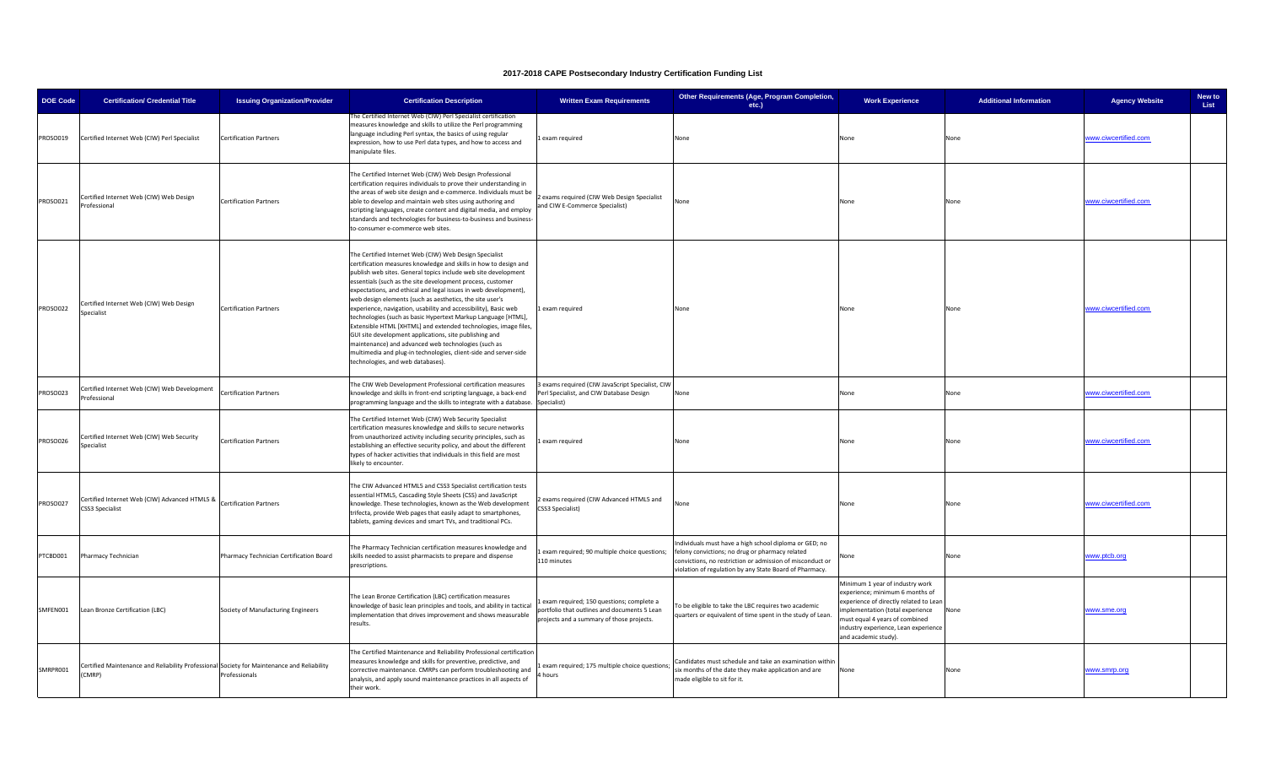| <b>DOE Code</b> | <b>Certification/ Credential Title</b>                                                               | <b>Issuing Organization/Provider</b>    | <b>Certification Description</b>                                                                                                                                                                                                                                                                                                                                                                                                                                                                                                                                                                                                                                                                                                                                                                                          | <b>Written Exam Requirements</b>                                                                                                       | Other Requirements (Age, Program Completion,<br>etc.)                                                                                                                                                                            | <b>Work Experience</b>                                                                                                                                                                                                                             | <b>Additional Information</b> | <b>Agency Website</b> | New to<br>List |
|-----------------|------------------------------------------------------------------------------------------------------|-----------------------------------------|---------------------------------------------------------------------------------------------------------------------------------------------------------------------------------------------------------------------------------------------------------------------------------------------------------------------------------------------------------------------------------------------------------------------------------------------------------------------------------------------------------------------------------------------------------------------------------------------------------------------------------------------------------------------------------------------------------------------------------------------------------------------------------------------------------------------------|----------------------------------------------------------------------------------------------------------------------------------------|----------------------------------------------------------------------------------------------------------------------------------------------------------------------------------------------------------------------------------|----------------------------------------------------------------------------------------------------------------------------------------------------------------------------------------------------------------------------------------------------|-------------------------------|-----------------------|----------------|
| PROSO019        | Certified Internet Web (CIW) Perl Specialist                                                         | <b>Certification Partners</b>           | he Certified Internet Web (CIW) Perl Specialist certification<br>measures knowledge and skills to utilize the Perl programming<br>language including Perl syntax, the basics of using regular<br>expression, how to use Perl data types, and how to access and<br>manipulate files.                                                                                                                                                                                                                                                                                                                                                                                                                                                                                                                                       | exam required                                                                                                                          | None                                                                                                                                                                                                                             | None                                                                                                                                                                                                                                               | None                          | vww.ciwcertified.com  |                |
| PROSO021        | Certified Internet Web (CIW) Web Design<br>Professional                                              | <b>Certification Partners</b>           | The Certified Internet Web (CIW) Web Design Professional<br>certification requires individuals to prove their understanding in<br>the areas of web site design and e-commerce. Individuals must be<br>able to develop and maintain web sites using authoring and<br>scripting languages, create content and digital media, and employ<br>standards and technologies for business-to-business and business-<br>to-consumer e-commerce web sites.                                                                                                                                                                                                                                                                                                                                                                           | exams required (CIW Web Design Specialist<br>and CIW E-Commerce Specialist)                                                            | None                                                                                                                                                                                                                             | None                                                                                                                                                                                                                                               | None                          | www.ciwcertified.com  |                |
| PROSO022        | Certified Internet Web (CIW) Web Design<br>Specialist                                                | <b>Certification Partners</b>           | The Certified Internet Web (CIW) Web Design Specialist<br>certification measures knowledge and skills in how to design and<br>publish web sites. General topics include web site development<br>ssentials (such as the site development process, customer<br>expectations, and ethical and legal issues in web development),<br>web design elements (such as aesthetics, the site user's<br>experience, navigation, usability and accessibility), Basic web<br>technologies (such as basic Hypertext Markup Language [HTML],<br>Extensible HTML [XHTML] and extended technologies, image files,<br>GUI site development applications, site publishing and<br>maintenance) and advanced web technologies (such as<br>multimedia and plug-in technologies, client-side and server-side<br>technologies, and web databases). | Lexam required                                                                                                                         | None                                                                                                                                                                                                                             | None                                                                                                                                                                                                                                               | None                          | www.ciwcertified.com  |                |
| PROSO023        | Certified Internet Web (CIW) Web Development<br>rofessional                                          | <b>Certification Partners</b>           | The CIW Web Development Professional certification measures<br>knowledge and skills in front-end scripting language, a back-end<br>programming language and the skills to integrate with a database.                                                                                                                                                                                                                                                                                                                                                                                                                                                                                                                                                                                                                      | exams required (CIW JavaScript Specialist, CIW<br>Perl Specialist, and CIW Database Design<br>Specialist)                              | None                                                                                                                                                                                                                             | None                                                                                                                                                                                                                                               | None                          | www.ciwcertified.com  |                |
| PROSO026        | Certified Internet Web (CIW) Web Security<br>pecialist                                               | <b>Certification Partners</b>           | The Certified Internet Web (CIW) Web Security Specialist<br>certification measures knowledge and skills to secure networks<br>rom unauthorized activity including security principles, such as<br>establishing an effective security policy, and about the different<br>types of hacker activities that individuals in this field are most<br>likely to encounter.                                                                                                                                                                                                                                                                                                                                                                                                                                                        | exam required                                                                                                                          | None                                                                                                                                                                                                                             | None                                                                                                                                                                                                                                               | None                          | www.ciwcertified.com  |                |
| PROSO027        | Certified Internet Web (CIW) Advanced HTML5 & Certification Partners<br><b>CSS3 Specialist</b>       |                                         | The CIW Advanced HTML5 and CSS3 Specialist certification tests<br>essential HTML5, Cascading Style Sheets (CSS) and JavaScript<br>knowledge. These technologies, known as the Web development<br>trifecta, provide Web pages that easily adapt to smartphones,<br>tablets, gaming devices and smart TVs, and traditional PCs.                                                                                                                                                                                                                                                                                                                                                                                                                                                                                             | exams required (CIW Advanced HTML5 and<br>CSS3 Specialist)                                                                             | None                                                                                                                                                                                                                             | None                                                                                                                                                                                                                                               | None                          | www.ciwcertified.com  |                |
| PTCBD001        | Pharmacy Technician                                                                                  | Pharmacy Technician Certification Board | The Pharmacy Technician certification measures knowledge and<br>skills needed to assist pharmacists to prepare and dispense<br>prescriptions.                                                                                                                                                                                                                                                                                                                                                                                                                                                                                                                                                                                                                                                                             | exam required; 90 multiple choice questions;<br>110 minutes                                                                            | ndividuals must have a high school diploma or GED; no<br>felony convictions; no drug or pharmacy related<br>convictions, no restriction or admission of misconduct or<br>violation of regulation by any State Board of Pharmacy. | None                                                                                                                                                                                                                                               | None                          | www.ptcb.org          |                |
| SMFEN001        | Lean Bronze Certification (LBC)                                                                      | Society of Manufacturing Engineers      | The Lean Bronze Certification (LBC) certification measures<br>knowledge of basic lean principles and tools, and ability in tactical<br>implementation that drives improvement and shows measurable<br>results.                                                                                                                                                                                                                                                                                                                                                                                                                                                                                                                                                                                                            | Lexam required; 150 questions; complete a<br>portfolio that outlines and documents 5 Lean<br>projects and a summary of those projects. | To be eligible to take the LBC requires two academic<br>quarters or equivalent of time spent in the study of Lean.                                                                                                               | Minimum 1 year of industry work<br>experience; minimum 6 months of<br>experience of directly related to Lean<br>implementation (total experience<br>must equal 4 years of combined<br>industry experience, Lean experience<br>and academic study). | None                          | www.sme.org           |                |
| SMRPR001        | Certified Maintenance and Reliability Professional Society for Maintenance and Reliability<br>(CMRP) | Professionals                           | The Certified Maintenance and Reliability Professional certification<br>measures knowledge and skills for preventive, predictive, and<br>corrective maintenance. CMRPs can perform troubleshooting and<br>analysis, and apply sound maintenance practices in all aspects of<br>their work.                                                                                                                                                                                                                                                                                                                                                                                                                                                                                                                                | exam required; 175 multiple choice questions;<br>hours                                                                                 | Candidates must schedule and take an examination withir<br>ix months of the date they make application and are<br>made eligible to sit for it.                                                                                   | None                                                                                                                                                                                                                                               | None                          | www.smrp.org          |                |